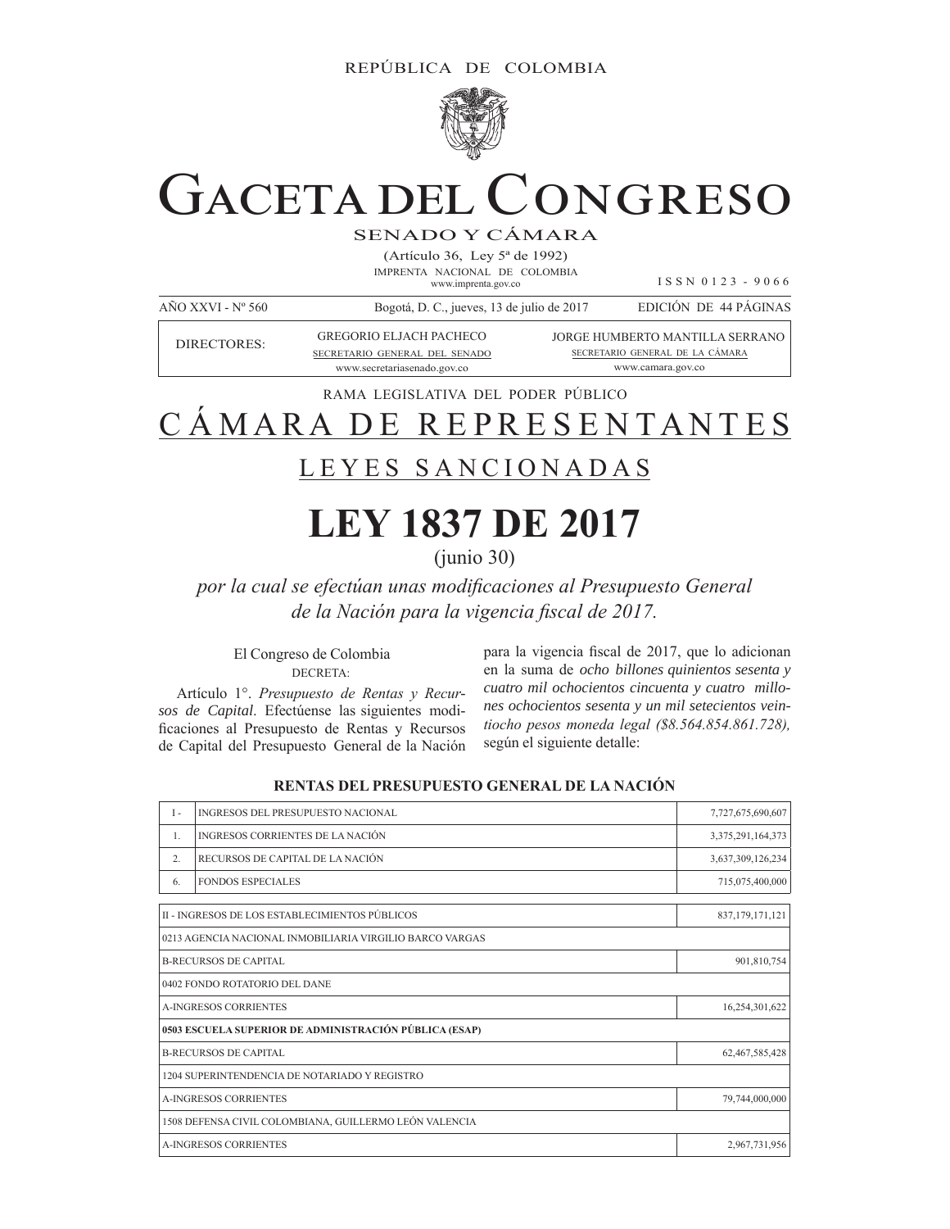

# GACETA DEL CONGRESO

SENADO Y CÁMARA

(Artículo 36, Ley 5ª de 1992) IMPRENTA NACIONAL DE COLOMBIA www.imprenta.gov.co

I S S N 0 1 2 3 - 9 0 6 6

www.camara.gov.co

| AÑO XXVI - $N^{\circ}$ 560 | Bogotá, D. C., jueves, 13 de julio de 2017 |  | EDICIÓN DE 44 PÁGINAS           |  |
|----------------------------|--------------------------------------------|--|---------------------------------|--|
| DIRECTORES:                | <b>GREGORIO EL JACH PACHECO</b>            |  | JORGE HUMBERTO MANTILLA SERRANO |  |
|                            | SECRETARIO GENERAL DEL SENADO              |  | SECRETARIO GENERAL DE LA CÁMARA |  |

RAMA LEGISLATIVA DEL PODER PÚBLICO

www.secretariasenado.gov.co

# CÁMARA DE REPRESENTANTES

# LEYES SANCIONADAS

# **LEY 1837 DE 2017**

(junio 30)

*por la cual se efectúan unas modificaciones al Presupuesto General de la Nación para la vigencia fiscal de 2017.* 

# El Congreso de Colombia DECRETA:

Artículo 1°. Presupuesto de Rentas y Recur*sos de Capital*. Efectúense las siguientes modi ficaciones al Presupuesto de Rentas y Recursos de Capital del Presupuesto General de la Nación

para la vigencia fiscal de 2017, que lo adicionan en la suma de *ocho billones quinientos sesenta y cuatro mil ochocientos cincuenta y cuatro millones ochocientos sesenta y un mil setecientos vein*tiocho pesos moneda legal (\$8.564.854.861.728), según el siguiente detalle:

| $I -$                        | INGRESOS DEL PRESUPUESTO NACIONAL                        | 7,727,675,690,607 |  |  |  |
|------------------------------|----------------------------------------------------------|-------------------|--|--|--|
| $\mathbf{1}$ .               | INGRESOS CORRIENTES DE LA NACIÓN                         | 3,375,291,164,373 |  |  |  |
| 2.                           | RECURSOS DE CAPITAL DE LA NACIÓN                         | 3,637,309,126,234 |  |  |  |
| 6.                           | <b>FONDOS ESPECIALES</b>                                 | 715,075,400,000   |  |  |  |
|                              | II - INGRESOS DE LOS ESTABLECIMIENTOS PÚBLICOS           | 837,179,171,121   |  |  |  |
|                              | 0213 AGENCIA NACIONAL INMOBILIARIA VIRGILIO BARCO VARGAS |                   |  |  |  |
| <b>B-RECURSOS DE CAPITAL</b> |                                                          |                   |  |  |  |
|                              | 0402 FONDO ROTATORIO DEL DANE                            |                   |  |  |  |
|                              | <b>A-INGRESOS CORRIENTES</b>                             | 16,254,301,622    |  |  |  |
|                              | 0503 ESCUELA SUPERIOR DE ADMINISTRACIÓN PÚBLICA (ESAP)   |                   |  |  |  |
|                              | <b>B-RECURSOS DE CAPITAL</b>                             | 62,467,585,428    |  |  |  |
|                              | 1204 SUPERINTENDENCIA DE NOTARIADO Y REGISTRO            |                   |  |  |  |
|                              | <b>A-INGRESOS CORRIENTES</b>                             |                   |  |  |  |
|                              | 1508 DEFENSA CIVIL COLOMBIANA, GUILLERMO LEÓN VALENCIA   |                   |  |  |  |
|                              | <b>A-INGRESOS CORRIENTES</b>                             | 2,967,731,956     |  |  |  |
|                              |                                                          |                   |  |  |  |

# **RENTAS DEL PRESUPUESTO GENERAL DE LA NACIÓN**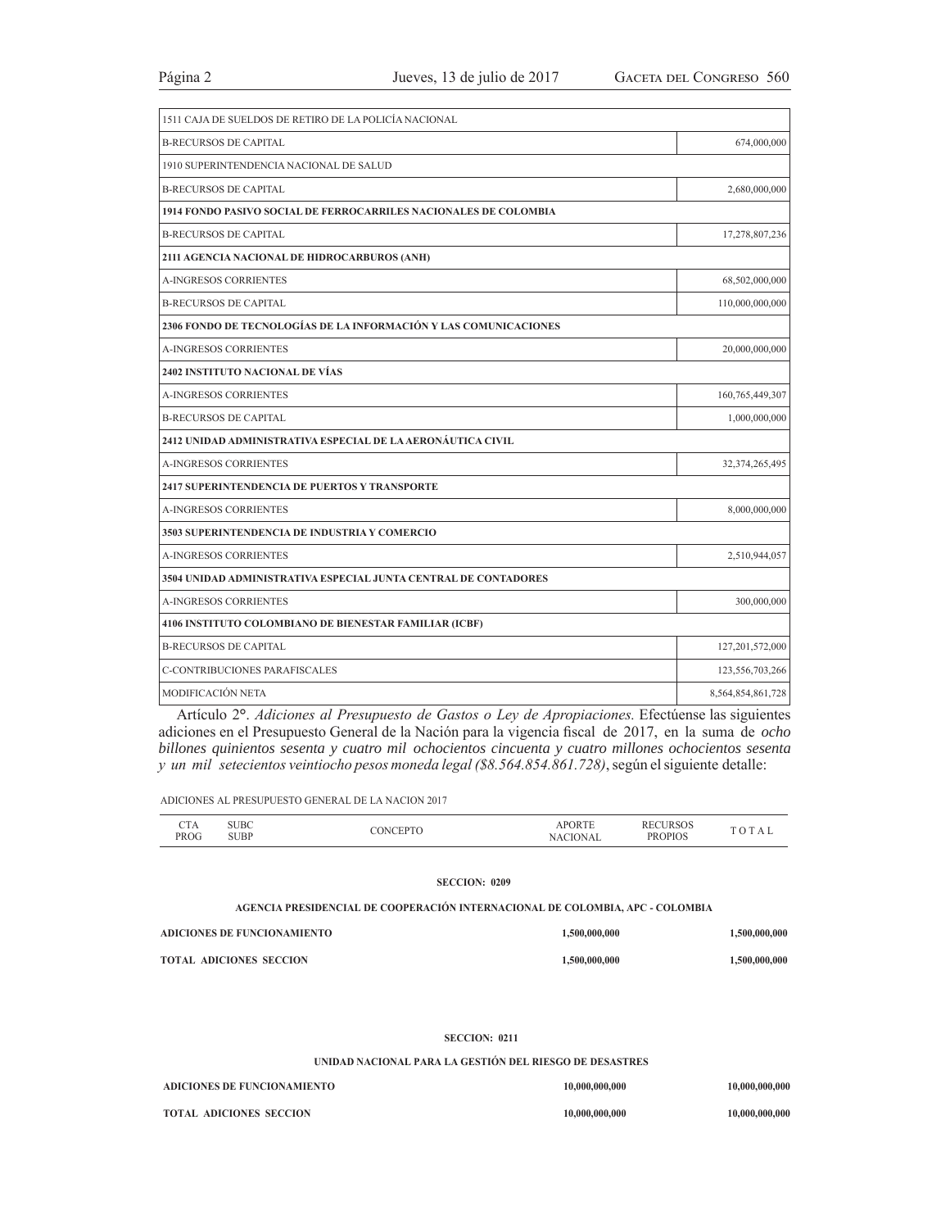| 1511 CAJA DE SUELDOS DE RETIRO DE LA POLICÍA NACIONAL                   |                    |  |  |  |
|-------------------------------------------------------------------------|--------------------|--|--|--|
| <b>B-RECURSOS DE CAPITAL</b>                                            | 674,000,000        |  |  |  |
| 1910 SUPERINTENDENCIA NACIONAL DE SALUD                                 |                    |  |  |  |
| <b>B-RECURSOS DE CAPITAL</b>                                            | 2,680,000,000      |  |  |  |
| <b>1914 FONDO PASIVO SOCIAL DE FERROCARRILES NACIONALES DE COLOMBIA</b> |                    |  |  |  |
| <b>B-RECURSOS DE CAPITAL</b>                                            | 17,278,807,236     |  |  |  |
| 2111 AGENCIA NACIONAL DE HIDROCARBUROS (ANH)                            |                    |  |  |  |
| <b>A-INGRESOS CORRIENTES</b>                                            | 68,502,000,000     |  |  |  |
| <b>B-RECURSOS DE CAPITAL</b>                                            | 110,000,000,000    |  |  |  |
| 2306 FONDO DE TECNOLOGÍAS DE LA INFORMACIÓN Y LAS COMUNICACIONES        |                    |  |  |  |
| <b>A-INGRESOS CORRIENTES</b>                                            | 20,000,000,000     |  |  |  |
| 2402 INSTITUTO NACIONAL DE VÍAS                                         |                    |  |  |  |
| <b>A-INGRESOS CORRIENTES</b>                                            | 160, 765, 449, 307 |  |  |  |
| <b>B-RECURSOS DE CAPITAL</b>                                            | 1,000,000,000      |  |  |  |
| 2412 UNIDAD ADMINISTRATIVA ESPECIAL DE LA AERONÁUTICA CIVIL             |                    |  |  |  |
| <b>A-INGRESOS CORRIENTES</b>                                            | 32,374,265,495     |  |  |  |
| 2417 SUPERINTENDENCIA DE PUERTOS Y TRANSPORTE                           |                    |  |  |  |
| <b>A-INGRESOS CORRIENTES</b>                                            | 8,000,000,000      |  |  |  |
| <b>3503 SUPERINTENDENCIA DE INDUSTRIA Y COMERCIO</b>                    |                    |  |  |  |
| <b>A-INGRESOS CORRIENTES</b>                                            | 2,510,944,057      |  |  |  |
| 3504 UNIDAD ADMINISTRATIVA ESPECIAL JUNTA CENTRAL DE CONTADORES         |                    |  |  |  |
| <b>A-INGRESOS CORRIENTES</b>                                            | 300,000,000        |  |  |  |
| 4106 INSTITUTO COLOMBIANO DE BIENESTAR FAMILIAR (ICBF)                  |                    |  |  |  |
| <b>B-RECURSOS DE CAPITAL</b>                                            | 127,201,572,000    |  |  |  |
| C-CONTRIBUCIONES PARAFISCALES                                           | 123,556,703,266    |  |  |  |
| <b>MODIFICACIÓN NETA</b>                                                | 8,564,854,861,728  |  |  |  |

Artículo 2<sup>°</sup>. *Adiciones al Presupuesto de Gastos o Ley de Apropiaciones*. Efectúense las siguientes adiciones en el Presupuesto General de la Nación para la vigencia fiscal de 2017, en la suma de ocho *billones quinientos sesenta y cuatro mil ochocientos cincuenta y cuatro millones ochocientos sesenta y un mil setecientos veintiocho pesos moneda legal (\$8.564.854.861.728)*, según el siguiente detalle:

ADICIONES AL PRESUPUESTO GENERAL DE LA NACION 2017

| ---<br>CIA | UBC  | ъn | אנ | RF        |  |
|------------|------|----|----|-----------|--|
| PROG       | SUBP |    |    | DE<br>1PH |  |

### **SECCION: 0209**

**AGENCIA PRESIDENCIAL DE COOPERACIÓN INTERNACIONAL DE COLOMBIA, APC - COLOMBIA**

| ADICIONES DE FUNCIONAMIENTO    | 1,500,000,000 | 1.500.000.000 |
|--------------------------------|---------------|---------------|
| <b>TOTAL ADICIONES SECCION</b> | 1,500,000,000 | 1,500,000,000 |

# **SECCION: 0211**

**UNIDAD NACIONAL PARA LA GESTIÓN DEL RIESGO DE DESASTRES**

| ADICIONES DE FUNCIONAMIENTO    | 10,000,000,000 | 10,000,000,000 |
|--------------------------------|----------------|----------------|
| <b>TOTAL ADICIONES SECCION</b> | 10,000,000,000 | 10.000.000.000 |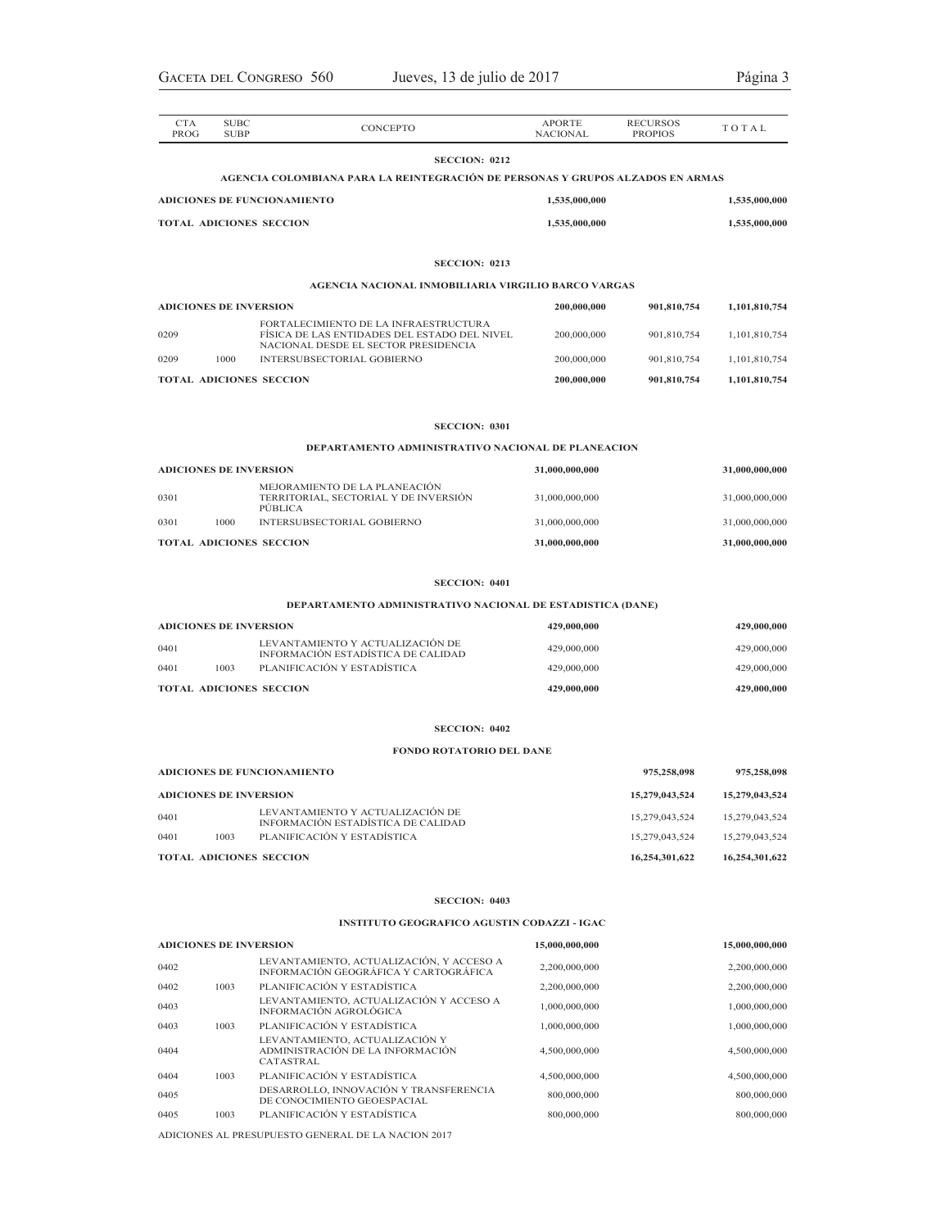| <b>CTA</b><br><b>PROG</b> | <b>SUBC</b><br><b>SUBP</b>    | CONCEPTO                                                                                                                      | <b>APORTE</b><br><b>NACIONAL</b> | <b>RECURSOS</b><br><b>PROPIOS</b> | TOTAL          |
|---------------------------|-------------------------------|-------------------------------------------------------------------------------------------------------------------------------|----------------------------------|-----------------------------------|----------------|
|                           |                               | <b>SECCION: 0212</b>                                                                                                          |                                  |                                   |                |
|                           |                               | AGENCIA COLOMBIANA PARA LA REINTEGRACIÓN DE PERSONAS Y GRUPOS ALZADOS EN ARMAS                                                |                                  |                                   |                |
|                           |                               | <b>ADICIONES DE FUNCIONAMIENTO</b>                                                                                            | 1,535,000,000                    |                                   | 1,535,000,000  |
|                           |                               | <b>TOTAL ADICIONES SECCION</b>                                                                                                | 1,535,000,000                    |                                   | 1,535,000,000  |
|                           |                               | <b>SECCION: 0213</b>                                                                                                          |                                  |                                   |                |
|                           |                               | AGENCIA NACIONAL INMOBILIARIA VIRGILIO BARCO VARGAS                                                                           |                                  |                                   |                |
|                           | <b>ADICIONES DE INVERSION</b> |                                                                                                                               | 200,000,000                      | 901,810,754                       | 1,101,810,754  |
| 0209                      |                               | FORTALECIMIENTO DE LA INFRAESTRUCTURA<br>FÍSICA DE LAS ENTIDADES DEL ESTADO DEL NIVEL<br>NACIONAL DESDE EL SECTOR PRESIDENCIA | 200,000,000                      | 901,810,754                       | 1,101,810,754  |
| 0209                      | 1000                          | INTERSUBSECTORIAL GOBIERNO                                                                                                    | 200,000,000                      | 901,810,754                       | 1,101,810,754  |
|                           |                               | <b>TOTAL ADICIONES SECCION</b>                                                                                                | 200,000,000                      | 901,810,754                       | 1,101,810,754  |
|                           |                               | <b>SECCION: 0301</b>                                                                                                          |                                  |                                   |                |
|                           |                               | DEPARTAMENTO ADMINISTRATIVO NACIONAL DE PLANEACION                                                                            |                                  |                                   |                |
|                           | <b>ADICIONES DE INVERSION</b> |                                                                                                                               | 31,000,000,000                   |                                   | 31,000,000,000 |
| 0301                      |                               | MEJORAMIENTO DE LA PLANEACIÓN<br>TERRITORIAL, SECTORIAL Y DE INVERSIÓN<br><b>PUBLICA</b>                                      | 31,000,000,000                   |                                   | 31,000,000,000 |
| 0301                      | 1000                          | INTERSUBSECTORIAL GOBIERNO                                                                                                    | 31,000,000,000                   |                                   | 31,000,000,000 |
|                           |                               | <b>TOTAL ADICIONES SECCION</b>                                                                                                | 31,000,000,000                   |                                   | 31,000,000,000 |
|                           |                               | <b>SECCION: 0401</b>                                                                                                          |                                  |                                   |                |
|                           |                               | DEPARTAMENTO ADMINISTRATIVO NACIONAL DE ESTADISTICA (DANE)                                                                    |                                  |                                   |                |
|                           | <b>ADICIONES DE INVERSION</b> |                                                                                                                               | 429,000,000                      |                                   | 429,000,000    |
| 0401                      |                               | LEVANTAMIENTO Y ACTUALIZACIÓN DE<br>INFORMACIÓN ESTADÍSTICA DE CALIDAD                                                        | 429,000,000                      |                                   | 429,000,000    |
| 0401                      | 1003                          | PLANIFICACIÓN Y ESTADÍSTICA                                                                                                   | 429,000,000                      |                                   | 429,000,000    |
|                           |                               | <b>TOTAL ADICIONES SECCION</b>                                                                                                | 429,000,000                      |                                   | 429,000,000    |
|                           |                               | <b>SECCION: 0402</b>                                                                                                          |                                  |                                   |                |
|                           |                               | <b>FONDO ROTATORIO DEL DANE</b>                                                                                               |                                  |                                   |                |
|                           |                               | <b>ADICIONES DE FUNCIONAMIENTO</b>                                                                                            |                                  | 975,258,098                       | 975,258,098    |
|                           | <b>ADICIONES DE INVERSION</b> |                                                                                                                               |                                  | 15,279,043,524                    | 15,279,043,524 |
| 0401                      |                               | LEVANTAMIENTO Y ACTUALIZACION DE<br>INFORMACIÓN ESTADÍSTICA DE CALIDAD                                                        |                                  | 15,279,043,524                    | 15,279,043,524 |
| 0401                      | 1003                          | PLANIFICACIÓN Y ESTADÍSTICA                                                                                                   |                                  | 15,279,043,524                    | 15,279,043,524 |
|                           |                               | <b>TOTAL ADICIONES SECCION</b>                                                                                                |                                  | 16,254,301,622                    | 16,254,301,622 |
|                           |                               | <b>SECCION: 0403</b>                                                                                                          |                                  |                                   |                |
|                           |                               | <b>INSTITUTO GEOGRAFICO AGUSTIN CODAZZI - IGAC</b>                                                                            |                                  |                                   |                |
|                           | <b>ADICIONES DE INVERSION</b> |                                                                                                                               | 15,000,000,000                   |                                   | 15,000,000,000 |
| 0402                      |                               | LEVANTAMIENTO, ACTUALIZACIÓN, Y ACCESO A<br>INFORMACIÓN GEOGRÁFICA Y CARTOGRÁFICA                                             | 2,200,000,000                    |                                   | 2,200,000,000  |
| 0402                      | 1003                          | PLANIFICACIÓN Y ESTADÍSTICA                                                                                                   | 2,200,000,000                    |                                   | 2,200,000,000  |
| 0403                      |                               | LEVANTAMIENTO, ACTUALIZACIÓN Y ACCESO A<br>INFORMACIÓN AGROLÓGICA                                                             | 1,000,000,000                    |                                   | 1,000,000,000  |
| 0403                      | 1003                          | PLANIFICACIÓN Y ESTADÍSTICA                                                                                                   | 1,000,000,000                    |                                   | 1,000,000,000  |
| 0404                      |                               | LEVANTAMIENTO, ACTUALIZACIÓN Y<br>ADMINISTRACIÓN DE LA INFORMACIÓN<br>CATASTRAL                                               | 4,500,000,000                    |                                   | 4,500,000,000  |
| 0404                      | 1003                          | PLANIFICACIÓN Y ESTADÍSTICA<br>DESARROLLO, INNOVACIÓN Y TRANSFERENCIA                                                         | 4,500,000,000                    |                                   | 4,500,000,000  |
| 0405                      |                               | DE CONOCIMIENTO GEOESPACIAL                                                                                                   | 800,000,000                      |                                   | 800,000,000    |
| 0405                      | 1003                          | PLANIFICACIÓN Y ESTADÍSTICA                                                                                                   | 800,000,000                      |                                   | 800,000,000    |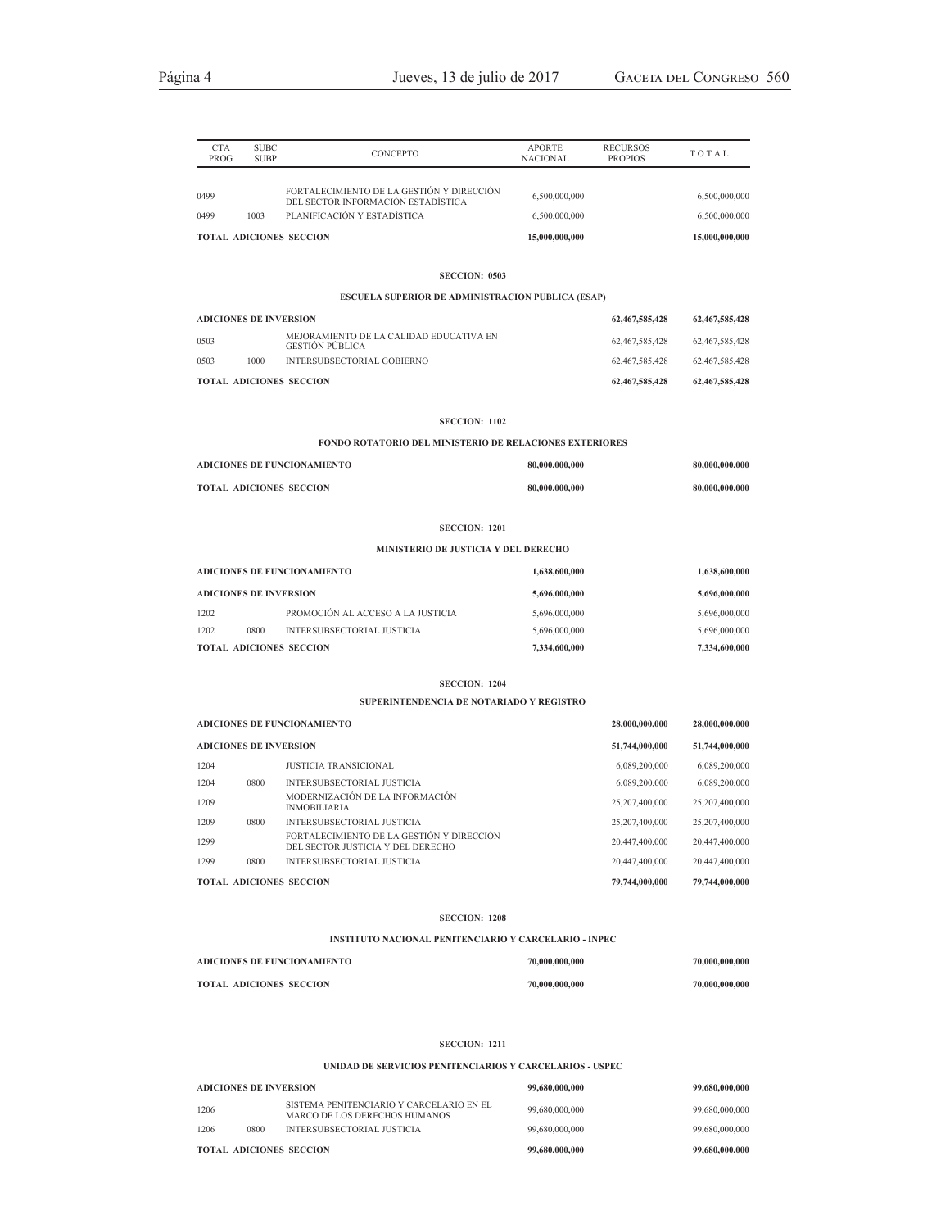| <b>CTA</b><br><b>PROG</b>     | <b>SUBC</b><br><b>SUBP</b> | <b>CONCEPTO</b>                                                                 | <b>APORTE</b><br><b>NACIONAL</b> | <b>RECURSOS</b><br><b>PROPIOS</b> | TOTAL             |
|-------------------------------|----------------------------|---------------------------------------------------------------------------------|----------------------------------|-----------------------------------|-------------------|
|                               |                            |                                                                                 |                                  |                                   |                   |
| 0499                          |                            | FORTALECIMIENTO DE LA GESTIÓN Y DIRECCIÓN<br>DEL SECTOR INFORMACIÓN ESTADÍSTICA | 6,500,000,000                    |                                   | 6,500,000,000     |
| 0499                          | 1003                       | PLANIFICACIÓN Y ESTADÍSTICA                                                     | 6,500,000,000                    |                                   | 6,500,000,000     |
|                               |                            | <b>TOTAL ADICIONES SECCION</b>                                                  | 15,000,000,000                   |                                   | 15,000,000,000    |
|                               |                            |                                                                                 |                                  |                                   |                   |
|                               |                            | <b>SECCION: 0503</b>                                                            |                                  |                                   |                   |
|                               |                            | <b>ESCUELA SUPERIOR DE ADMINISTRACION PUBLICA (ESAP)</b>                        |                                  |                                   |                   |
| <b>ADICIONES DE INVERSION</b> |                            |                                                                                 |                                  | 62,467,585,428                    | 62,467,585,428    |
| 0503                          |                            | MEJORAMIENTO DE LA CALIDAD EDUCATIVA EN<br><b>GESTIÓN PÚBLICA</b>               |                                  | 62,467,585,428                    | 62,467,585,428    |
| 0503                          | 1000                       | INTERSUBSECTORIAL GOBIERNO                                                      |                                  | 62,467,585,428                    | 62, 467, 585, 428 |
|                               |                            | <b>TOTAL ADICIONES SECCION</b>                                                  |                                  | 62,467,585,428                    | 62,467,585,428    |
|                               |                            |                                                                                 |                                  |                                   |                   |

### **SECCION: 1102**

**FONDO ROTATORIO DEL MINISTERIO DE RELACIONES EXTERIORES**

| ADICIONES DE FUNCIONAMIENTO    | 80,000,000,000 | 80,000,000,000 |
|--------------------------------|----------------|----------------|
| <b>TOTAL ADICIONES SECCION</b> | 80,000,000,000 | 80,000,000,000 |

### **SECCION: 1201**

### **MINISTERIO DE JUSTICIA Y DEL DERECHO**

| ADICIONES DE FUNCIONAMIENTO<br><b>ADICIONES DE INVERSION</b> |      |                                   | 1,638,600,000 | 1,638,600,000 |
|--------------------------------------------------------------|------|-----------------------------------|---------------|---------------|
|                                                              |      |                                   | 5,696,000,000 | 5,696,000,000 |
| 1202                                                         |      | PROMOCIÓN AL ACCESO A LA JUSTICIA | 5,696,000,000 | 5,696,000,000 |
| 1202                                                         | 0800 | INTERSUBSECTORIAL JUSTICIA        | 5,696,000,000 | 5,696,000,000 |
|                                                              |      | <b>TOTAL ADICIONES SECCION</b>    | 7,334,600,000 | 7,334,600,000 |

### **SECCION: 1204**

### **SUPERINTENDENCIA DE NOTARIADO Y REGISTRO**

|                               | <b>ADICIONES DE FUNCIONAMIENTO</b> |      |                                                                                | 28,000,000,000 | 28,000,000,000 |
|-------------------------------|------------------------------------|------|--------------------------------------------------------------------------------|----------------|----------------|
| <b>ADICIONES DE INVERSION</b> |                                    |      |                                                                                | 51,744,000,000 | 51,744,000,000 |
|                               | 1204                               |      | JUSTICIA TRANSICIONAL                                                          | 6,089,200,000  | 6,089,200,000  |
|                               | 1204                               | 0800 | INTERSUBSECTORIAL JUSTICIA                                                     | 6,089,200,000  | 6,089,200,000  |
|                               | 1209                               |      | MODERNIZACIÓN DE LA INFORMACIÓN<br><b>INMOBILIARIA</b>                         | 25,207,400,000 | 25,207,400,000 |
|                               | 1209                               | 0800 | <b>INTERSUBSECTORIAL JUSTICIA</b>                                              | 25,207,400,000 | 25,207,400,000 |
|                               | 1299                               |      | FORTALECIMIENTO DE LA GESTIÓN Y DIRECCIÓN<br>DEL SECTOR JUSTICIA Y DEL DERECHO | 20,447,400,000 | 20,447,400,000 |
|                               | 1299                               | 0800 | <b>INTERSUBSECTORIAL JUSTICIA</b>                                              | 20,447,400,000 | 20,447,400,000 |
|                               | <b>TOTAL ADICIONES SECCION</b>     |      |                                                                                | 79,744,000,000 | 79,744,000,000 |

### **SECCION: 1208**

### **INSTITUTO NACIONAL PENITENCIARIO Y CARCELARIO - INPEC**

| ADICIONES DE FUNCIONAMIENTO    | 70,000,000,000 | 70,000,000,000 |
|--------------------------------|----------------|----------------|
| <b>TOTAL ADICIONES SECCION</b> | 70,000,000,000 | 70,000,000,000 |

### **SECCION: 1211**

### **UNIDAD DE SERVICIOS PENITENCIARIOS Y CARCELARIOS - USPEC**

|                                | <b>ADICIONES DE INVERSION</b> |      |                                                                           | 99,680,000,000 | 99,680,000,000 |
|--------------------------------|-------------------------------|------|---------------------------------------------------------------------------|----------------|----------------|
|                                | 1206                          |      | SISTEMA PENITENCIARIO Y CARCELARIO EN EL<br>MARCO DE LOS DERECHOS HUMANOS | 99,680,000,000 | 99,680,000,000 |
|                                | 1206                          | 0800 | INTERSUBSECTORIAL JUSTICIA                                                | 99,680,000,000 | 99,680,000,000 |
| <b>TOTAL ADICIONES SECCION</b> |                               |      |                                                                           | 99,680,000,000 | 99,680,000,000 |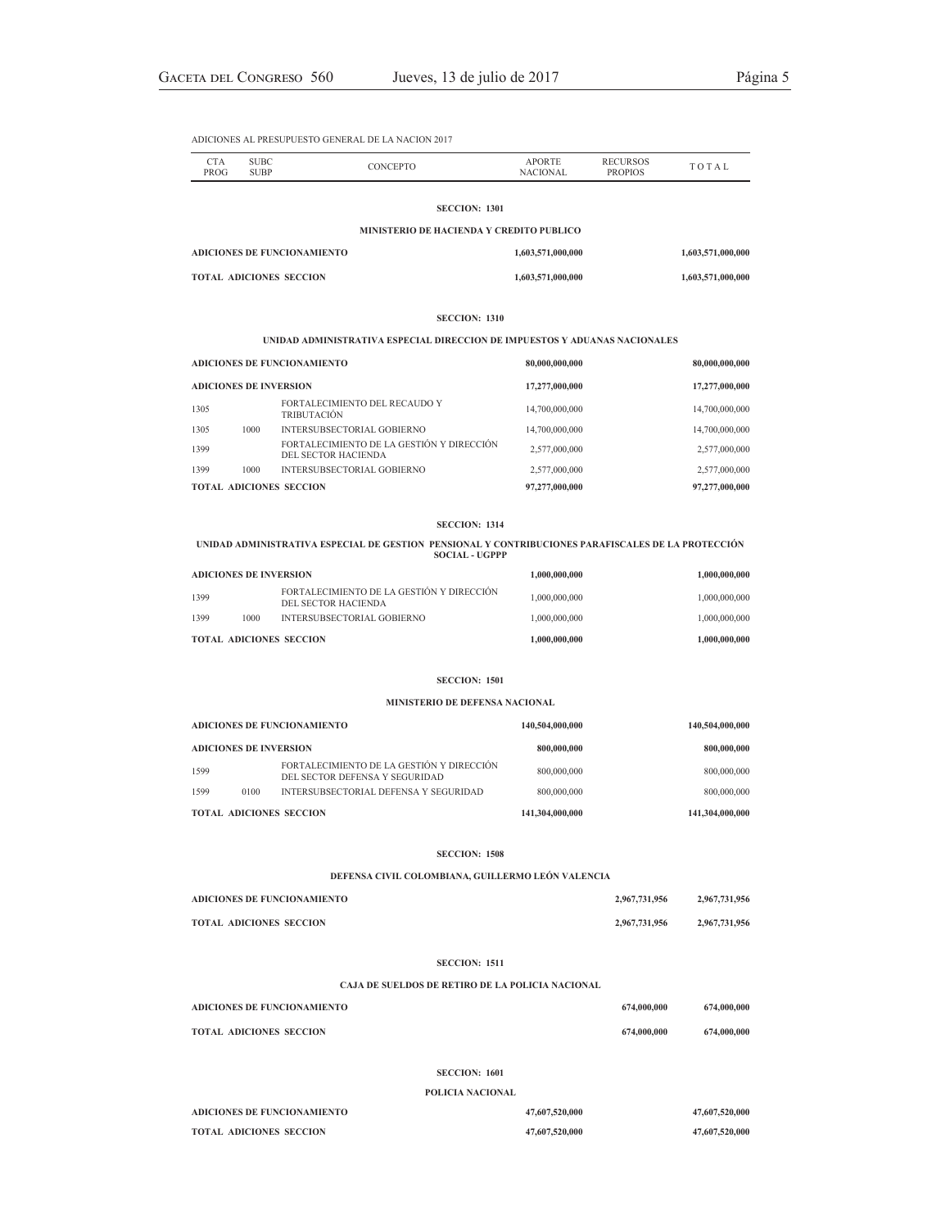| <b>CTA</b><br>PROG | <b>SUBC</b><br><b>SUBP</b>               | <b>CONCEPTO</b> | <b>APORTE</b><br>NACIONAL | <b>RECURSOS</b><br><b>PROPIOS</b> | TOTAL             |  |  |
|--------------------|------------------------------------------|-----------------|---------------------------|-----------------------------------|-------------------|--|--|
|                    | <b>SECCION: 1301</b>                     |                 |                           |                                   |                   |  |  |
|                    | MINISTERIO DE HACIENDA Y CREDITO PUBLICO |                 |                           |                                   |                   |  |  |
|                    | ADICIONES DE FUNCIONAMIENTO              |                 | 1,603,571,000,000         |                                   | 1,603,571,000,000 |  |  |
|                    | <b>TOTAL ADICIONES SECCION</b>           |                 | 1,603,571,000,000         |                                   | 1,603,571,000,000 |  |  |
|                    |                                          |                 |                           |                                   |                   |  |  |

### **SECCION: 1310**

### **UNIDAD ADMINISTRATIVA ESPECIAL DIRECCION DE IMPUESTOS Y ADUANAS NACIONALES**

| <b>ADICIONES DE FUNCIONAMIENTO</b> |      |                                                                  | 80,000,000,000 | 80,000,000,000 |
|------------------------------------|------|------------------------------------------------------------------|----------------|----------------|
| <b>ADICIONES DE INVERSION</b>      |      |                                                                  | 17,277,000,000 | 17,277,000,000 |
| 1305                               |      | FORTALECIMIENTO DEL RECAUDO Y<br><b>TRIBUTACIÓN</b>              | 14,700,000,000 | 14,700,000,000 |
| 1305                               | 1000 | INTERSUBSECTORIAL GOBIERNO                                       | 14,700,000,000 | 14,700,000,000 |
| 1399                               |      | FORTALECIMIENTO DE LA GESTIÓN Y DIRECCIÓN<br>DEL SECTOR HACIENDA | 2,577,000,000  | 2,577,000,000  |
| 1399                               | 1000 | INTERSUBSECTORIAL GOBIERNO                                       | 2,577,000,000  | 2,577,000,000  |
| <b>TOTAL ADICIONES SECCION</b>     |      |                                                                  | 97,277,000,000 | 97,277,000,000 |

### **SECCION: 1314**

### **UNIDAD ADMINISTRATIVA ESPECIAL DE GESTION PENSIONAL Y CONTRIBUCIONES PARAFISCALES DE LA PROTECCIÓN SOCIAL - UGPPP**

| <b>ADICIONES DE INVERSION</b> |      |                                                                   | 1.000.000.000 | 1.000.000.000 |
|-------------------------------|------|-------------------------------------------------------------------|---------------|---------------|
| 1399                          |      | FORTAL ECIMIENTO DE LA GESTIÓN Y DIRECCIÓN<br>DEL SECTOR HACIENDA | 1.000.000.000 | 1,000,000,000 |
| 1399                          | 1000 | INTERSUBSECTORIAL GOBIERNO                                        | 1,000,000,000 | 1,000,000,000 |
|                               |      | <b>TOTAL ADICIONES SECCION</b>                                    | 1.000.000.000 | 0.00000000    |

### **SECCION: 1501**

### **MINISTERIO DE DEFENSA NACIONAL**

| <b>ADICIONES DE FUNCIONAMIENTO</b> |                               |                                                                             | 140,504,000,000 | 140,504,000,000 |
|------------------------------------|-------------------------------|-----------------------------------------------------------------------------|-----------------|-----------------|
|                                    | <b>ADICIONES DE INVERSION</b> |                                                                             | 800,000,000     | 800,000,000     |
| 1599                               |                               | FORTALECIMIENTO DE LA GESTIÓN Y DIRECCIÓN<br>DEL SECTOR DEFENSA Y SEGURIDAD | 800,000,000     | 800,000,000     |
| 1599                               | 0100                          | INTERSUBSECTORIAL DEFENSA Y SEGURIDAD                                       | 800,000,000     | 800,000,000     |
|                                    |                               | <b>TOTAL ADICIONES SECCION</b>                                              | 141.304.000.000 | 141.304.000.000 |

### **SECCION: 1508**

### **DEFENSA CIVIL COLOMBIANA, GUILLERMO LEÓN VALENCIA**

| ADICIONES DE FUNCIONAMIENTO    | 2,967,731,956 | 2,967,731,956 |
|--------------------------------|---------------|---------------|
| <b>TOTAL ADICIONES SECCION</b> | 2,967,731,956 | 2,967,731,956 |

### **SECCION: 1511**

### **CAJA DE SUELDOS DE RETIRO DE LA POLICIA NACIONAL**

| ADICIONES DE FUNCIONAMIENTO | 674,000,000 | 674,000,000 |
|-----------------------------|-------------|-------------|
| TOTAL ADICIONES SECCION     | 674,000,000 | 674,000,000 |

### **SECCION: 1601**

### **POLICIA NACIONAL**

| ADICIONES DE FUNCIONAMIENTO    | 47,607,520,000 | 47,607,520,000 |
|--------------------------------|----------------|----------------|
| <b>TOTAL ADICIONES SECCION</b> | 47,607,520,000 | 47,607,520,000 |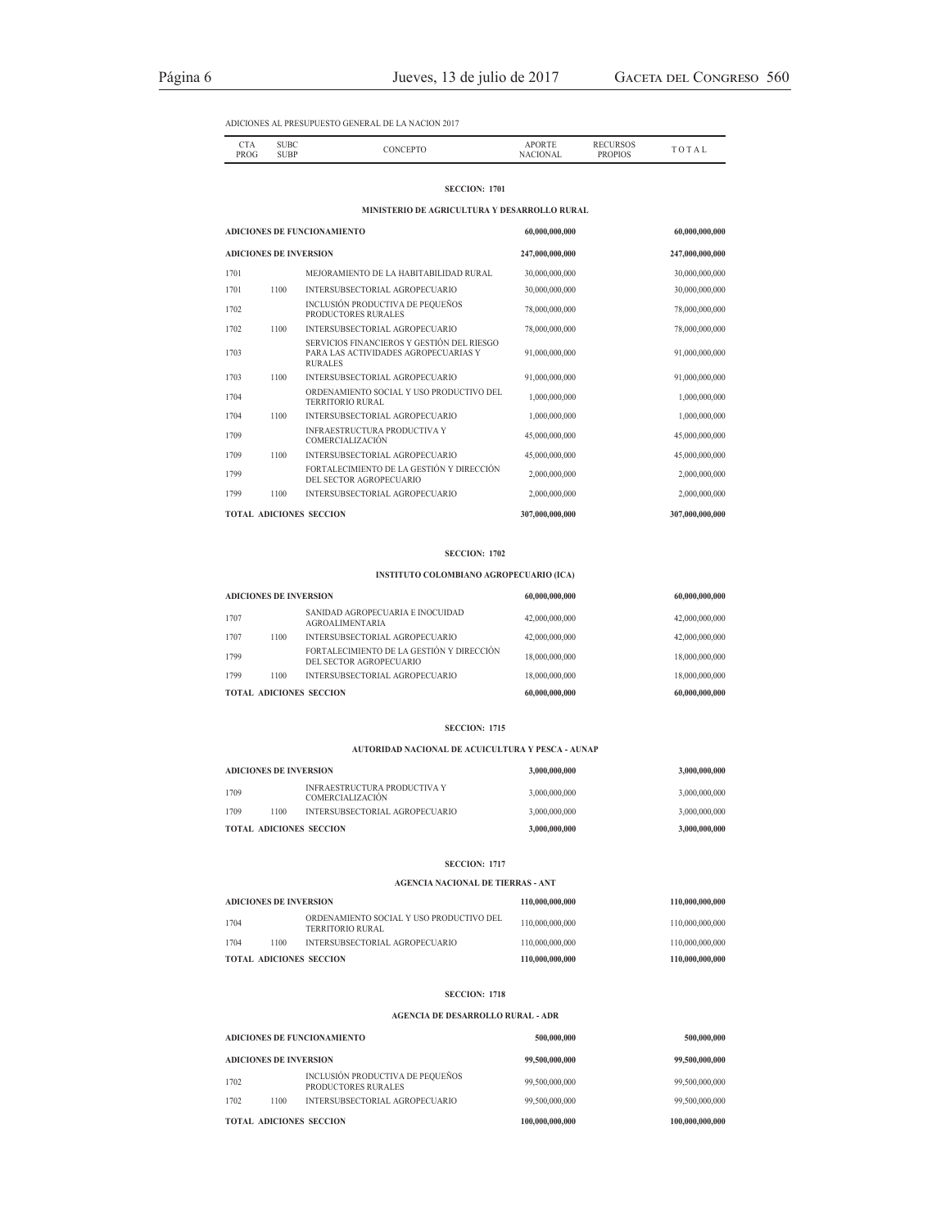| CTA<br>- - - -<br><b>PROG</b><br>. | UBC<br>----<br><b>SUBP</b> |  | <b>ADIC</b><br>DD |  |
|------------------------------------|----------------------------|--|-------------------|--|

### **SECCION: 1701**

**MINISTERIO DE AGRICULTURA Y DESARROLLO RURAL**

|                                | ADICIONES DE FUNCIONAMIENTO   |                                                                                                      |                 | 60,000,000,000  |
|--------------------------------|-------------------------------|------------------------------------------------------------------------------------------------------|-----------------|-----------------|
|                                | <b>ADICIONES DE INVERSION</b> |                                                                                                      |                 | 247,000,000,000 |
| 1701                           |                               | MEJORAMIENTO DE LA HABITABILIDAD RURAL                                                               | 30,000,000,000  | 30,000,000,000  |
| 1701                           | 1100                          | INTERSUBSECTORIAL AGROPECUARIO                                                                       | 30,000,000,000  | 30,000,000,000  |
| 1702                           |                               | INCLUSIÓN PRODUCTIVA DE PEQUEÑOS<br>PRODUCTORES RURALES                                              | 78,000,000,000  | 78,000,000,000  |
| 1702                           | 1100                          | INTERSUBSECTORIAL AGROPECUARIO                                                                       | 78,000,000,000  | 78,000,000,000  |
| 1703                           |                               | SERVICIOS FINANCIEROS Y GESTIÓN DEL RIESGO<br>PARA LAS ACTIVIDADES AGROPECUARIAS Y<br><b>RURALES</b> | 91,000,000,000  | 91,000,000,000  |
| 1703                           | 1100                          | INTERSUBSECTORIAL AGROPECUARIO                                                                       | 91,000,000,000  | 91,000,000,000  |
| 1704                           |                               | ORDENAMIENTO SOCIAL Y USO PRODUCTIVO DEL<br><b>TERRITORIO RURAL</b>                                  | 1,000,000,000   | 1,000,000,000   |
| 1704                           | 1100                          | INTERSUBSECTORIAL AGROPECUARIO                                                                       | 1,000,000,000   | 1,000,000,000   |
| 1709                           |                               | <b>INFRAESTRUCTURA PRODUCTIVA Y</b><br>COMERCIALIZACIÓN                                              | 45,000,000,000  | 45,000,000,000  |
| 1709                           | 1100                          | INTERSUBSECTORIAL AGROPECUARIO                                                                       | 45,000,000,000  | 45,000,000,000  |
| 1799                           |                               | FORTALECIMIENTO DE LA GESTIÓN Y DIRECCIÓN<br>DEL SECTOR AGROPECUARIO                                 | 2,000,000,000   | 2,000,000,000   |
| 1799                           | 1100                          | INTERSUBSECTORIAL AGROPECUARIO                                                                       | 2,000,000,000   | 2,000,000,000   |
| <b>TOTAL ADICIONES SECCION</b> |                               |                                                                                                      | 307,000,000,000 | 307,000,000,000 |

### **SECCION: 1702**

# **INSTITUTO COLOMBIANO AGROPECUARIO (ICA)**

| <b>ADICIONES DE INVERSION</b> |      |                                                                      | 60,000,000,000 | 60,000,000,000 |
|-------------------------------|------|----------------------------------------------------------------------|----------------|----------------|
| 1707                          |      | SANIDAD AGROPECUARIA E INOCUIDAD<br><b>AGROALIMENTARIA</b>           | 42,000,000,000 | 42,000,000,000 |
| 1707                          | 1100 | INTERSUBSECTORIAL AGROPECUARIO                                       | 42,000,000,000 | 42,000,000,000 |
| 1799                          |      | FORTALECIMIENTO DE LA GESTIÓN Y DIRECCIÓN<br>DEL SECTOR AGROPECUARIO | 18,000,000,000 | 18,000,000,000 |
| 1799                          | 1100 | INTERSUBSECTORIAL AGROPECUARIO                                       | 18,000,000,000 | 18,000,000,000 |
|                               |      | <b>TOTAL ADICIONES SECCION</b>                                       | 60,000,000,000 | 60,000,000,000 |

### **SECCION: 1715**

### **AUTORIDAD NACIONAL DE ACUICULTURA Y PESCA - AUNAP**

| <b>ADICIONES DE INVERSION</b>  |      |                                                                | 3,000,000,000 | 3,000,000,000 |
|--------------------------------|------|----------------------------------------------------------------|---------------|---------------|
| 1709                           |      | <b>INFRAESTRUCTURA PRODUCTIVA Y</b><br><b>COMERCIALIZACIÓN</b> | 3,000,000,000 | 3,000,000,000 |
| 1709                           | 1100 | INTERSUBSECTORIAL AGROPECUARIO                                 | 3,000,000,000 | 3,000,000,000 |
| <b>TOTAL ADICIONES SECCION</b> |      |                                                                | 3,000,000,000 | 3,000,000,000 |

### **SECCION: 1717**

### **AGENCIA NACIONAL DE TIERRAS - ANT**

| ADICIONES DE INVERSION |      |                                                              | 110,000,000,000 | 110,000,000,000 |
|------------------------|------|--------------------------------------------------------------|-----------------|-----------------|
| 1704                   |      | ORDENAMIENTO SOCIAL Y USO PRODUCTIVO DEL<br>TERRITORIO RURAL | 110,000,000,000 | 110,000,000,000 |
| 1704                   | 1100 | INTERSUBSECTORIAL AGROPECUARIO                               | 110,000,000,000 | 110,000,000,000 |
|                        |      | TOTAL ADICIONES SECCION                                      | 110,000,000,000 | 110,000,000,000 |

### **SECCION: 1718**

### **AGENCIA DE DESARROLLO RURAL - ADR**

| <b>ADICIONES DE FUNCIONAMIENTO</b> |      |                                                         | 500,000,000     | 500,000,000     |
|------------------------------------|------|---------------------------------------------------------|-----------------|-----------------|
| <b>ADICIONES DE INVERSION</b>      |      |                                                         | 99,500,000,000  | 99,500,000,000  |
| 1702                               |      | INCLUSIÓN PRODUCTIVA DE PEQUEÑOS<br>PRODUCTORES RURALES | 99,500,000,000  | 99,500,000,000  |
| 1702                               | 1100 | INTERSUBSECTORIAL AGROPECUARIO                          | 99,500,000,000  | 99,500,000,000  |
| <b>TOTAL ADICIONES SECCION</b>     |      |                                                         | 100,000,000,000 | 100,000,000,000 |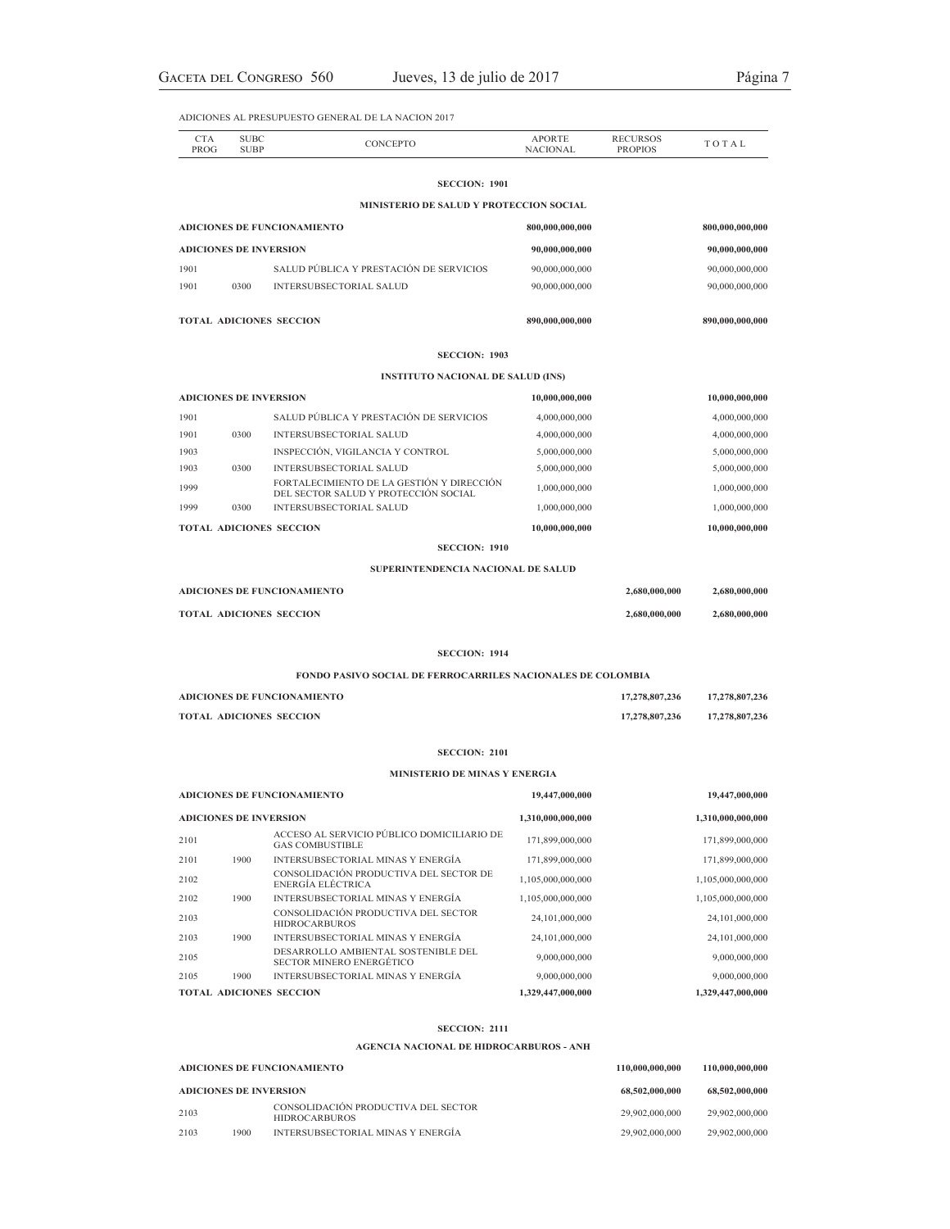| <b>CTA</b><br>PROG | <b>SUBC</b><br><b>SUBP</b>    | <b>CONCEPTO</b>                                                                   | <b>APORTE</b><br><b>NACIONAL</b> | <b>RECURSOS</b><br><b>PROPIOS</b> | TOTAL             |
|--------------------|-------------------------------|-----------------------------------------------------------------------------------|----------------------------------|-----------------------------------|-------------------|
|                    |                               | <b>SECCION: 1901</b>                                                              |                                  |                                   |                   |
|                    |                               | MINISTERIO DE SALUD Y PROTECCION SOCIAL                                           |                                  |                                   |                   |
|                    |                               | ADICIONES DE FUNCIONAMIENTO                                                       | 800,000,000,000                  |                                   | 800,000,000,000   |
|                    | <b>ADICIONES DE INVERSION</b> |                                                                                   | 90,000,000,000                   |                                   | 90,000,000,000    |
| 1901               |                               | SALUD PÚBLICA Y PRESTACIÓN DE SERVICIOS                                           | 90,000,000,000                   |                                   | 90,000,000,000    |
| 1901               | 0300                          | <b>INTERSUBSECTORIAL SALUD</b>                                                    | 90,000,000,000                   |                                   | 90,000,000,000    |
|                    |                               | TOTAL ADICIONES SECCION                                                           | 890,000,000,000                  |                                   | 890,000,000,000   |
|                    |                               | <b>SECCION: 1903</b>                                                              |                                  |                                   |                   |
|                    |                               | <b>INSTITUTO NACIONAL DE SALUD (INS)</b>                                          |                                  |                                   |                   |
|                    | <b>ADICIONES DE INVERSION</b> |                                                                                   | 10,000,000,000                   |                                   | 10,000,000,000    |
| 1901               |                               | SALUD PÚBLICA Y PRESTACIÓN DE SERVICIOS                                           | 4,000,000,000                    |                                   | 4,000,000,000     |
| 1901               | 0300                          | <b>INTERSUBSECTORIAL SALUD</b>                                                    | 4,000,000,000                    |                                   | 4,000,000,000     |
| 1903               |                               | INSPECCIÓN, VIGILANCIA Y CONTROL                                                  | 5,000,000,000                    |                                   | 5,000,000,000     |
| 1903               | 0300                          | <b>INTERSUBSECTORIAL SALUD</b>                                                    | 5,000,000,000                    |                                   | 5,000,000,000     |
| 1999               |                               | FORTALECIMIENTO DE LA GESTIÓN Y DIRECCIÓN<br>DEL SECTOR SALUD Y PROTECCIÓN SOCIAL | 1,000,000,000                    |                                   | 1,000,000,000     |
| 1999               | 0300                          | <b>INTERSUBSECTORIAL SALUD</b>                                                    | 1,000,000,000                    |                                   | 1,000,000,000     |
|                    |                               | <b>TOTAL ADICIONES SECCION</b>                                                    | 10,000,000,000                   |                                   | 10,000,000,000    |
|                    |                               | <b>SECCION: 1910</b>                                                              |                                  |                                   |                   |
|                    |                               | SUPERINTENDENCIA NACIONAL DE SALUD                                                |                                  |                                   |                   |
|                    |                               | <b>ADICIONES DE FUNCIONAMIENTO</b>                                                |                                  | 2,680,000,000                     | 2,680,000,000     |
|                    |                               | TOTAL ADICIONES SECCION                                                           |                                  | 2,680,000,000                     | 2,680,000,000     |
|                    |                               | <b>SECCION: 1914</b>                                                              |                                  |                                   |                   |
|                    |                               | <b>FONDO PASIVO SOCIAL DE FERROCARRILES NACIONALES DE COLOMBIA</b>                |                                  |                                   |                   |
|                    |                               | <b>ADICIONES DE FUNCIONAMIENTO</b>                                                |                                  | 17,278,807,236                    | 17,278,807,236    |
|                    |                               | TOTAL ADICIONES SECCION                                                           |                                  | 17,278,807,236                    | 17,278,807,236    |
|                    |                               | <b>SECCION: 2101</b>                                                              |                                  |                                   |                   |
|                    |                               | MINISTERIO DE MINAS Y ENERGIA                                                     |                                  |                                   |                   |
|                    |                               | <b>ADICIONES DE FUNCIONAMIENTO</b>                                                | 19,447,000,000                   |                                   | 19,447,000,000    |
|                    | ADICIONES DE INVERSION        |                                                                                   | 1,310,000,000,000                |                                   | 1,310,000,000,000 |
| 2101               |                               | ACCESO AL SERVICIO PÚBLICO DOMICILIARIO DE<br><b>GAS COMBUSTIBLE</b>              | 171,899,000,000                  |                                   | 171,899,000,000   |
| 2101               | 1900                          | INTERSUBSECTORIAL MINAS Y ENERGÍA                                                 | 171,899,000,000                  |                                   | 171,899,000,000   |
| 2102               |                               | CONSOLIDACIÓN PRODUCTIVA DEL SECTOR DE<br>ENERGÍA ELÉCTRICA                       | 1,105,000,000,000                |                                   | 1,105,000,000,000 |
| 2102               | 1900                          | <b>INTERSUBSECTORIAL MINAS Y ENERGÍA</b>                                          | 1,105,000,000,000                |                                   | 1,105,000,000,000 |
| 2103               |                               | CONSOLIDACIÓN PRODUCTIVA DEL SECTOR                                               | 24,101,000,000                   |                                   | 24,101,000,000    |
| 2103               | 1900                          | <b>HIDROCARBUROS</b><br>INTERSUBSECTORIAL MINAS Y ENERGÍA                         | 24,101,000,000                   |                                   | 24,101,000,000    |
| 2105               |                               | DESARROLLO AMBIENTAL SOSTENIBLE DEL                                               | 9,000,000,000                    |                                   | 9,000,000,000     |
|                    |                               | <b>SECTOR MINERO ENERGÉTICO</b><br>INTERSUBSECTORIAL MINAS Y ENERGÍA              | 9,000,000,000                    |                                   | 9,000,000,000     |
| 2105               | 1900                          |                                                                                   |                                  |                                   |                   |

### **SECCION: 2111**

**AGENCIA NACIONAL DE HIDROCARBUROS - ANH**

| <b>ADICIONES DE FUNCIONAMIENTO</b> |      |                                                             | 110,000,000,000 | 110,000,000,000 |
|------------------------------------|------|-------------------------------------------------------------|-----------------|-----------------|
| <b>ADICIONES DE INVERSION</b>      |      |                                                             | 68,502,000,000  | 68,502,000,000  |
| 2103                               |      | CONSOLIDACIÓN PRODUCTIVA DEL SECTOR<br><b>HIDROCARBUROS</b> | 29.902.000.000  | 29,902,000,000  |
| 2103                               | 1900 | INTERSUBSECTORIAL MINAS Y ENERGÍA                           | 29.902.000.000  | 29,902,000,000  |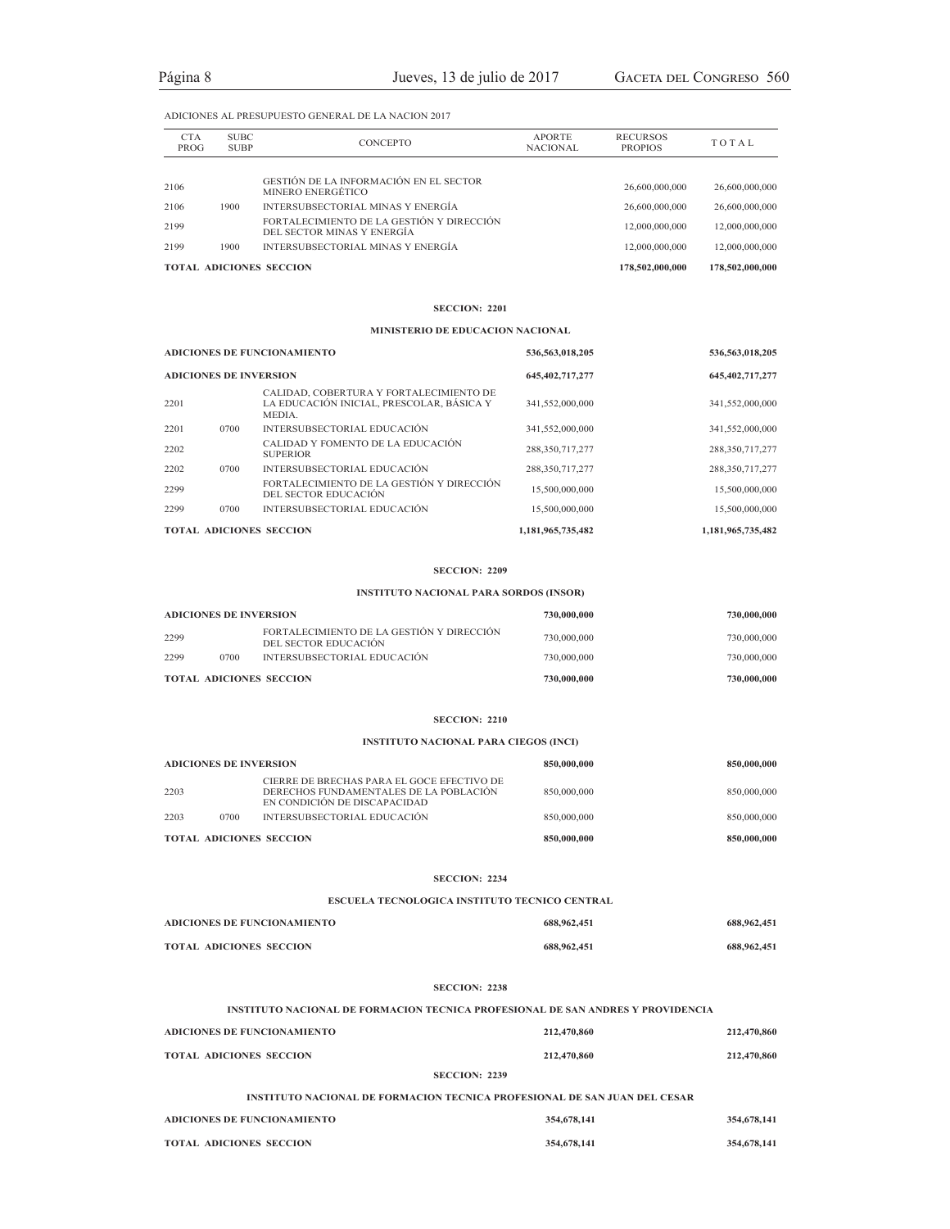|                    |                            | <b>TOTAL ADICIONES SECCION</b>                                          |                                  | 178,502,000,000                   | 178,502,000,000 |
|--------------------|----------------------------|-------------------------------------------------------------------------|----------------------------------|-----------------------------------|-----------------|
| 2199               | 1900                       | INTERSUBSECTORIAL MINAS Y ENERGÍA                                       |                                  | 12,000,000,000                    | 12,000,000,000  |
| 2199               |                            | FORTALECIMIENTO DE LA GESTIÓN Y DIRECCIÓN<br>DEL SECTOR MINAS Y ENERGÍA |                                  | 12,000,000,000                    | 12,000,000,000  |
| 2106               | 1900                       | INTERSUBSECTORIAL MINAS Y ENERGÍA                                       |                                  | 26,600,000,000                    | 26,600,000,000  |
| 2106               |                            | GESTIÓN DE LA INFORMACIÓN EN EL SECTOR<br>MINERO ENERGÉTICO             |                                  | 26,600,000,000                    | 26,600,000,000  |
|                    |                            |                                                                         |                                  |                                   |                 |
| <b>CTA</b><br>PROG | <b>SUBC</b><br><b>SUBP</b> | CONCEPTO                                                                | <b>APORTE</b><br><b>NACIONAL</b> | <b>RECURSOS</b><br><b>PROPIOS</b> | TOTAL           |

### **SECCION: 2201**

### **MINISTERIO DE EDUCACION NACIONAL**

| <b>ADICIONES DE FUNCIONAMIENTO</b> |      |                                                                                                | 536,563,018,205    | 536,563,018,205   |
|------------------------------------|------|------------------------------------------------------------------------------------------------|--------------------|-------------------|
| <b>ADICIONES DE INVERSION</b>      |      | 645, 402, 717, 277                                                                             | 645, 402, 717, 277 |                   |
| 2201                               |      | CALIDAD, COBERTURA Y FORTALECIMIENTO DE<br>LA EDUCACIÓN INICIAL, PRESCOLAR, BÁSICA Y<br>MEDIA. | 341,552,000,000    | 341,552,000,000   |
| 2201                               | 0700 | INTERSUBSECTORIAL EDUCACIÓN                                                                    | 341,552,000,000    | 341,552,000,000   |
| 2202                               |      | CALIDAD Y FOMENTO DE LA EDUCACIÓN<br><b>SUPERIOR</b>                                           | 288,350,717,277    | 288,350,717,277   |
| 2202                               | 0700 | INTERSUBSECTORIAL EDUCACIÓN                                                                    | 288,350,717,277    | 288,350,717,277   |
| 2299                               |      | FORTALECIMIENTO DE LA GESTIÓN Y DIRECCIÓN<br>DEL SECTOR EDUCACIÓN                              | 15,500,000,000     | 15,500,000,000    |
| 2299                               | 0700 | INTERSUBSECTORIAL EDUCACIÓN                                                                    | 15,500,000,000     | 15,500,000,000    |
|                                    |      | <b>TOTAL ADICIONES SECCION</b>                                                                 | 1,181,965,735,482  | 1,181,965,735,482 |

### **SECCION: 2209**

# **INSTITUTO NACIONAL PARA SORDOS (INSOR)**

| <b>ADICIONES DE INVERSION</b> |      |                                                                    | 730,000,000 | 730,000,000 |
|-------------------------------|------|--------------------------------------------------------------------|-------------|-------------|
| 2299                          |      | FORTAL ECIMIENTO DE LA GESTIÓN Y DIRECCIÓN<br>DEL SECTOR EDUCACIÓN | 730,000,000 | 730,000,000 |
| 2299                          | 0700 | INTERSUBSECTORIAL EDUCACIÓN                                        | 730,000,000 | 730,000,000 |
|                               |      | <b>TOTAL ADICIONES SECCION</b>                                     | 730,000,000 | 730,000,000 |

### **SECCION: 2210**

# **INSTITUTO NACIONAL PARA CIEGOS (INCI)**

| <b>ADICIONES DE INVERSION</b> |      |                                                                                                                      | 850,000,000 | 850,000,000 |
|-------------------------------|------|----------------------------------------------------------------------------------------------------------------------|-------------|-------------|
| 2203                          |      | CIERRE DE BRECHAS PARA EL GOCE EFECTIVO DE<br>DERECHOS FUNDAMENTALES DE LA POBLACIÓN<br>EN CONDICIÓN DE DISCAPACIDAD | 850,000,000 | 850,000,000 |
| 2203                          | 0700 | INTERSUBSECTORIAL EDUCACIÓN                                                                                          | 850,000,000 | 850,000,000 |
|                               |      | <b>TOTAL ADICIONES SECCION</b>                                                                                       | 850,000,000 | 850,000,000 |

### **SECCION: 2234**

### **ESCUELA TECNOLOGICA INSTITUTO TECNICO CENTRAL**

| ADICIONES DE FUNCIONAMIENTO    | 688,962,451 | 688,962,451 |
|--------------------------------|-------------|-------------|
| <b>TOTAL ADICIONES SECCION</b> | 688,962,451 | 688,962,451 |

### **SECCION: 2238**

# **INSTITUTO NACIONAL DE FORMACION TECNICA PROFESIONAL DE SAN ANDRES Y PROVIDENCIA**

| ADICIONES DE FUNCIONAMIENTO                                               | 212,470,860 | 212,470,860 |
|---------------------------------------------------------------------------|-------------|-------------|
| TOTAL ADICIONES SECCION                                                   | 212,470,860 | 212,470,860 |
| <b>SECCION: 2239</b>                                                      |             |             |
| INSTITUTO NACIONAL DE FORMACION TECNICA PROFESIONAL DE SAN JUAN DEL CESAR |             |             |
|                                                                           |             |             |

| ADICIONES DE FUNCIONAMIENTO    | 354,678,141 | 354,678,141 |
|--------------------------------|-------------|-------------|
| <b>TOTAL ADICIONES SECCION</b> | 354,678,141 | 354,678,141 |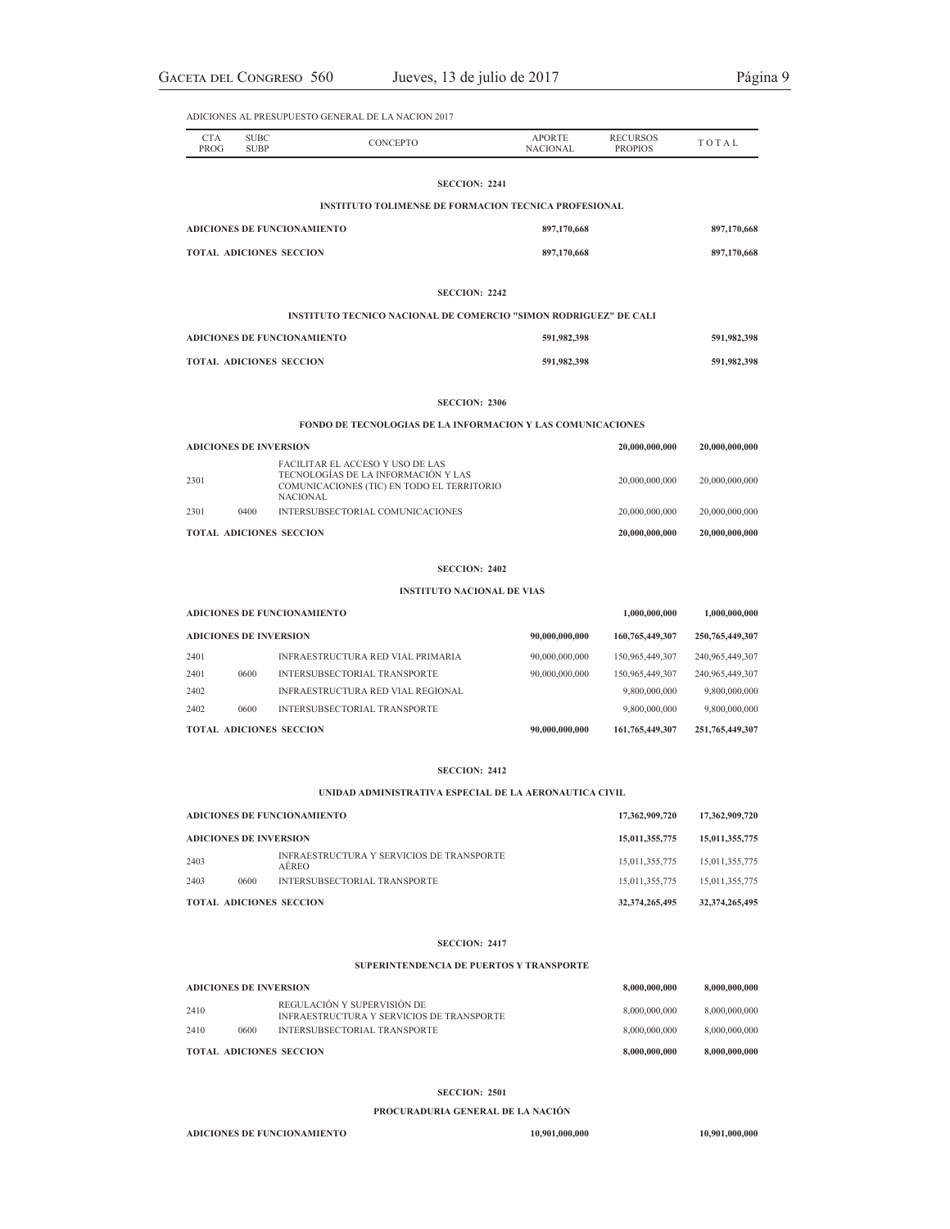| <b>CTA</b><br>PROG                 | <b>SUBC</b><br><b>SUBP</b>     | <b>CONCEPTO</b>                                                         | <b>APORTE</b><br><b>NACIONAL</b> | <b>RECURSOS</b><br><b>PROPIOS</b> | TOTAL       |  |
|------------------------------------|--------------------------------|-------------------------------------------------------------------------|----------------------------------|-----------------------------------|-------------|--|
|                                    |                                | <b>SECCION: 2241</b>                                                    |                                  |                                   |             |  |
|                                    |                                | <b>INSTITUTO TOLIMENSE DE FORMACION TECNICA PROFESIONAL</b>             |                                  |                                   |             |  |
| <b>ADICIONES DE FUNCIONAMIENTO</b> |                                |                                                                         | 897,170,668                      |                                   |             |  |
| <b>TOTAL ADICIONES SECCION</b>     |                                |                                                                         | 897,170,668                      |                                   |             |  |
|                                    |                                |                                                                         |                                  |                                   |             |  |
|                                    |                                | <b>SECCION: 2242</b>                                                    |                                  |                                   |             |  |
|                                    |                                | <b>INSTITUTO TECNICO NACIONAL DE COMERCIO "SIMON RODRIGUEZ" DE CALI</b> |                                  |                                   |             |  |
| ADICIONES DE FUNCIONAMIENTO        |                                | 591,982,398                                                             |                                  | 591,982,398                       |             |  |
|                                    | <b>TOTAL ADICIONES SECCION</b> |                                                                         | 591,982,398                      |                                   | 591,982,398 |  |
|                                    |                                |                                                                         |                                  |                                   |             |  |

### **SECCION: 2306**

# **FONDO DE TECNOLOGIAS DE LA INFORMACION Y LAS COMUNICACIONES**

|                               |      | <b>TOTAL ADICIONES SECCION</b>                                                                                                    | 20,000,000,000 | 20,000,000,000 |
|-------------------------------|------|-----------------------------------------------------------------------------------------------------------------------------------|----------------|----------------|
| 2301                          | 0400 | INTERSUBSECTORIAL COMUNICACIONES                                                                                                  | 20,000,000,000 | 20,000,000,000 |
| 2301                          |      | FACILITAR EL ACCESO Y USO DE LAS<br>TECNOLOGÍAS DE LA INFORMACIÓN Y LAS<br>COMUNICACIONES (TIC) EN TODO EL TERRITORIO<br>NACIONAL | 20,000,000,000 | 20,000,000,000 |
| <b>ADICIONES DE INVERSION</b> |      | 20,000,000,000                                                                                                                    | 20,000,000,000 |                |

### **SECCION: 2402**

### **INSTITUTO NACIONAL DE VIAS**

|                               |      | <b>ADICIONES DE FUNCIONAMIENTO</b>       |                 | 1,000,000,000      | 1,000,000,000      |
|-------------------------------|------|------------------------------------------|-----------------|--------------------|--------------------|
| <b>ADICIONES DE INVERSION</b> |      | 90,000,000,000                           | 160,765,449,307 | 250, 765, 449, 307 |                    |
| 2401                          |      | <b>INFRAESTRUCTURA RED VIAL PRIMARIA</b> | 90,000,000,000  | 150,965,449,307    | 240,965,449,307    |
| 2401                          | 0600 | INTERSUBSECTORIAL TRANSPORTE             | 90,000,000,000  | 150,965,449,307    | 240,965,449,307    |
| 2402                          |      | <b>INFRAESTRUCTURA RED VIAL REGIONAL</b> |                 | 9,800,000,000      | 9,800,000,000      |
| 2402                          | 0600 | INTERSUBSECTORIAL TRANSPORTE             |                 | 9,800,000,000      | 9,800,000,000      |
|                               |      | <b>TOTAL ADICIONES SECCION</b>           | 90,000,000,000  | 161, 765, 449, 307 | 251, 765, 449, 307 |

### **SECCION: 2412**

# **UNIDAD ADMINISTRATIVA ESPECIAL DE LA AERONAUTICA CIVIL**

| <b>TOTAL ADICIONES SECCION</b> |      |                                                    | 32, 374, 265, 495 | 32, 374, 265, 495 |
|--------------------------------|------|----------------------------------------------------|-------------------|-------------------|
| 2403                           | 0600 | INTERSUBSECTORIAL TRANSPORTE                       | 15.011.355.775    | 15.011.355.775    |
| 2403                           |      | INFRAESTRUCTURA Y SERVICIOS DE TRANSPORTE<br>AEREO | 15.011.355.775    | 15.011.355.775    |
| <b>ADICIONES DE INVERSION</b>  |      |                                                    | 15,011,355,775    | 15.011.355.775    |
|                                |      | ADICIONES DE FUNCIONAMIENTO                        | 17,362,909,720    | 17,362,909,720    |

### **SECCION: 2417**

### **SUPERINTENDENCIA DE PUERTOS Y TRANSPORTE**

| <b>ADICIONES DE INVERSION</b> |      | 8,000,000,000                                                                   | 8,000,000,000 |               |
|-------------------------------|------|---------------------------------------------------------------------------------|---------------|---------------|
| 2410                          |      | REGULACIÓN Y SUPERVISIÓN DE<br><b>INFRAESTRUCTURA Y SERVICIOS DE TRANSPORTE</b> | 8,000,000,000 | 8,000,000,000 |
| 2410                          | 0600 | INTERSUBSECTORIAL TRANSPORTE                                                    | 8,000,000,000 | 8,000,000,000 |
|                               |      | <b>TOTAL ADICIONES SECCION</b>                                                  | 8,000,000,000 | 8,000,000,000 |

### **SECCION: 2501**

### **PROCURADURIA GENERAL DE LA NACIÓN**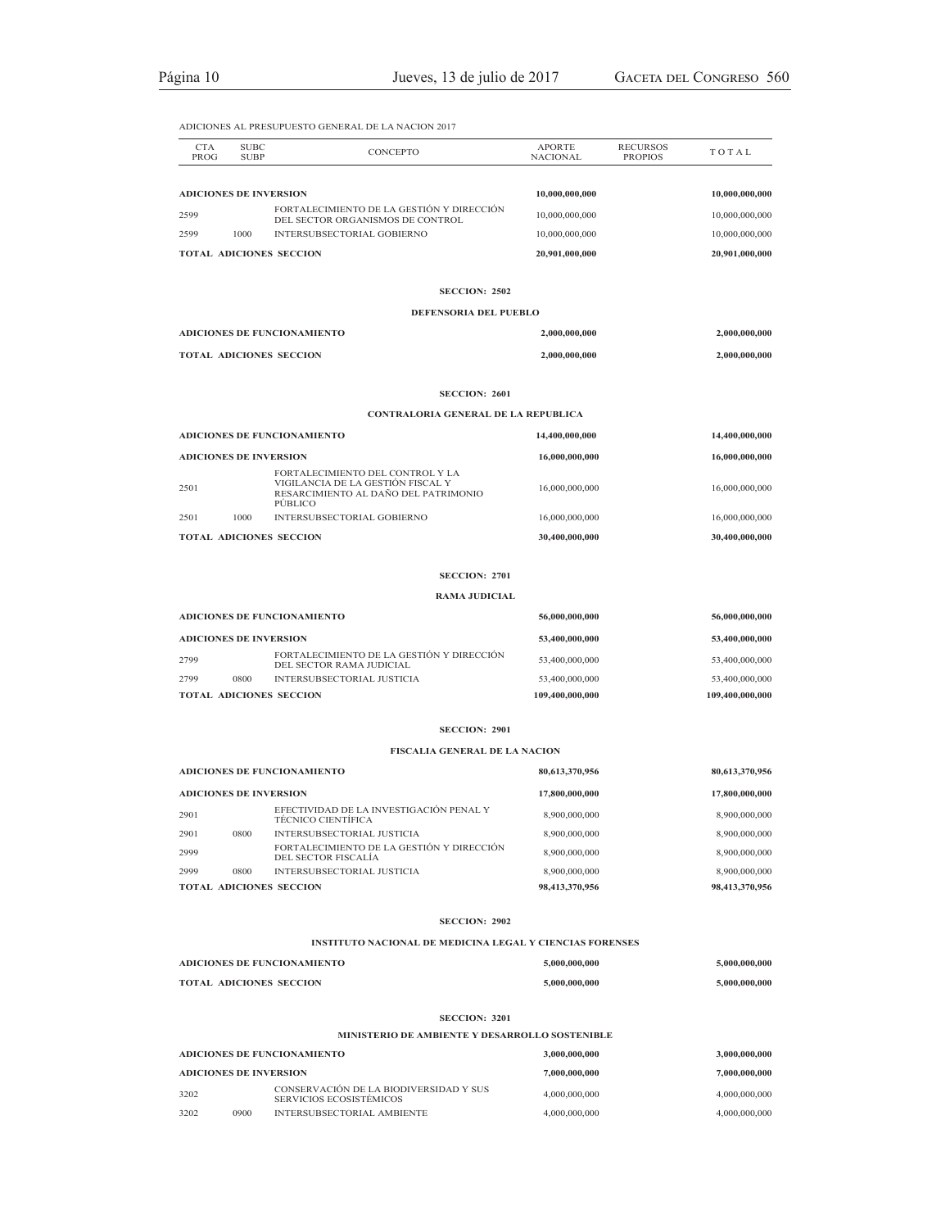| <b>CTA</b>                    | <b>SUBC</b> |                                                                                      | <b>APORTE</b>   | <b>RECURSOS</b> |                 |
|-------------------------------|-------------|--------------------------------------------------------------------------------------|-----------------|-----------------|-----------------|
| PROG                          | <b>SUBP</b> | CONCEPTO                                                                             | <b>NACIONAL</b> | <b>PROPIOS</b>  | TOTAL           |
|                               |             |                                                                                      |                 |                 |                 |
| <b>ADICIONES DE INVERSION</b> |             | FORTALECIMIENTO DE LA GESTIÓN Y DIRECCIÓN                                            | 10,000,000,000  |                 | 10,000,000,000  |
| 2599                          |             | DEL SECTOR ORGANISMOS DE CONTROL                                                     | 10,000,000,000  |                 | 10,000,000,000  |
| 2599                          | 1000        | INTERSUBSECTORIAL GOBIERNO                                                           | 10,000,000,000  |                 | 10,000,000,000  |
|                               |             | TOTAL ADICIONES SECCION                                                              | 20,901,000,000  |                 | 20,901,000,000  |
|                               |             | <b>SECCION: 2502</b>                                                                 |                 |                 |                 |
|                               |             | DEFENSORIA DEL PUEBLO                                                                |                 |                 |                 |
|                               |             | <b>ADICIONES DE FUNCIONAMIENTO</b>                                                   | 2,000,000,000   |                 | 2,000,000,000   |
|                               |             | TOTAL ADICIONES SECCION                                                              | 2,000,000,000   |                 | 2,000,000,000   |
|                               |             | <b>SECCION: 2601</b>                                                                 |                 |                 |                 |
|                               |             | CONTRALORIA GENERAL DE LA REPUBLICA                                                  |                 |                 |                 |
|                               |             | ADICIONES DE FUNCIONAMIENTO                                                          | 14,400,000,000  |                 | 14,400,000,000  |
| <b>ADICIONES DE INVERSION</b> |             |                                                                                      | 16,000,000,000  |                 | 16,000,000,000  |
|                               |             | FORTALECIMIENTO DEL CONTROL Y LA                                                     |                 |                 |                 |
| 2501                          |             | VIGILANCIA DE LA GESTIÓN FISCAL Y<br>RESARCIMIENTO AL DAÑO DEL PATRIMONIO<br>PUBLICO | 16,000,000,000  |                 | 16,000,000,000  |
| 2501                          | 1000        | INTERSUBSECTORIAL GOBIERNO                                                           | 16,000,000,000  |                 | 16,000,000,000  |
|                               |             | TOTAL ADICIONES SECCION                                                              | 30,400,000,000  |                 | 30,400,000,000  |
|                               |             | <b>SECCION: 2701</b>                                                                 |                 |                 |                 |
|                               |             | <b>RAMA JUDICIAL</b>                                                                 |                 |                 |                 |
|                               |             | ADICIONES DE FUNCIONAMIENTO                                                          | 56,000,000,000  |                 | 56,000,000,000  |
| <b>ADICIONES DE INVERSION</b> |             |                                                                                      | 53,400,000,000  |                 | 53,400,000,000  |
| 2799                          |             | FORTALECIMIENTO DE LA GESTIÓN Y DIRECCIÓN                                            | 53,400,000,000  |                 | 53,400,000,000  |
| 2799                          | 0800        | DEL SECTOR RAMA JUDICIAL<br>INTERSUBSECTORIAL JUSTICIA                               | 53,400,000,000  |                 | 53,400,000,000  |
|                               |             | TOTAL ADICIONES SECCION                                                              | 109,400,000,000 |                 | 109,400,000,000 |
|                               |             |                                                                                      |                 |                 |                 |
|                               |             | <b>SECCION: 2901</b>                                                                 |                 |                 |                 |
|                               |             | <b>FISCALIA GENERAL DE LA NACION</b>                                                 |                 |                 |                 |
|                               |             | ADICIONES DE FUNCIONAMIENTO                                                          | 80,613,370,956  |                 | 80,613,370,956  |
| <b>ADICIONES DE INVERSION</b> |             |                                                                                      | 17,800,000,000  |                 | 17,800,000,000  |
| 2901                          |             | EFECTIVIDAD DE LA INVESTIGACIÓN PENAL Y<br>TÉCNICO CIENTÍFICA                        | 8,900,000,000   |                 | 8,900,000,000   |
| 2901                          | 0800        | INTERSUBSECTORIAL JUSTICIA                                                           | 8,900,000,000   |                 | 8,900,000,000   |
| 2999                          |             | FORTALECIMIENTO DE LA GESTIÓN Y DIRECCIÓN<br>DEL SECTOR FISCALÍA                     | 8,900,000,000   |                 | 8,900,000,000   |
| 2999                          | 0800        | INTERSUBSECTORIAL JUSTICIA                                                           | 8,900,000,000   |                 | 8,900,000,000   |
|                               |             | TOTAL ADICIONES SECCION                                                              | 98,413,370,956  |                 | 98,413,370,956  |
|                               |             | <b>SECCION: 2902</b>                                                                 |                 |                 |                 |
|                               |             | <b>INSTITUTO NACIONAL DE MEDICINA LEGAL Y CIENCIAS FORENSES</b>                      |                 |                 |                 |
|                               |             | <b>ADICIONES DE FUNCIONAMIENTO</b>                                                   | 5,000,000,000   |                 | 5,000,000,000   |
|                               |             | TOTAL ADICIONES SECCION                                                              | 5,000,000,000   |                 | 5,000,000,000   |
|                               |             | <b>SECCION: 3201</b>                                                                 |                 |                 |                 |
|                               |             | <b>MINISTERIO DE AMBIENTE Y DESARROLLO SOSTENIBLE</b>                                |                 |                 |                 |
|                               |             | <b>ADICIONES DE FUNCIONAMIENTO</b>                                                   | 3,000,000,000   |                 | 3,000,000,000   |
| <b>ADICIONES DE INVERSION</b> |             |                                                                                      | 7,000,000,000   |                 | 7,000,000,000   |
| 3202                          |             | CONSERVACIÓN DE LA BIODIVERSIDAD Y SUS<br>SERVICIOS ECOSISTÉMICOS                    | 4,000,000,000   |                 | 4,000,000,000   |

3202 0900 INTERSUBSECTORIAL AMBIENTE 4,000,000,000 4,000,000,000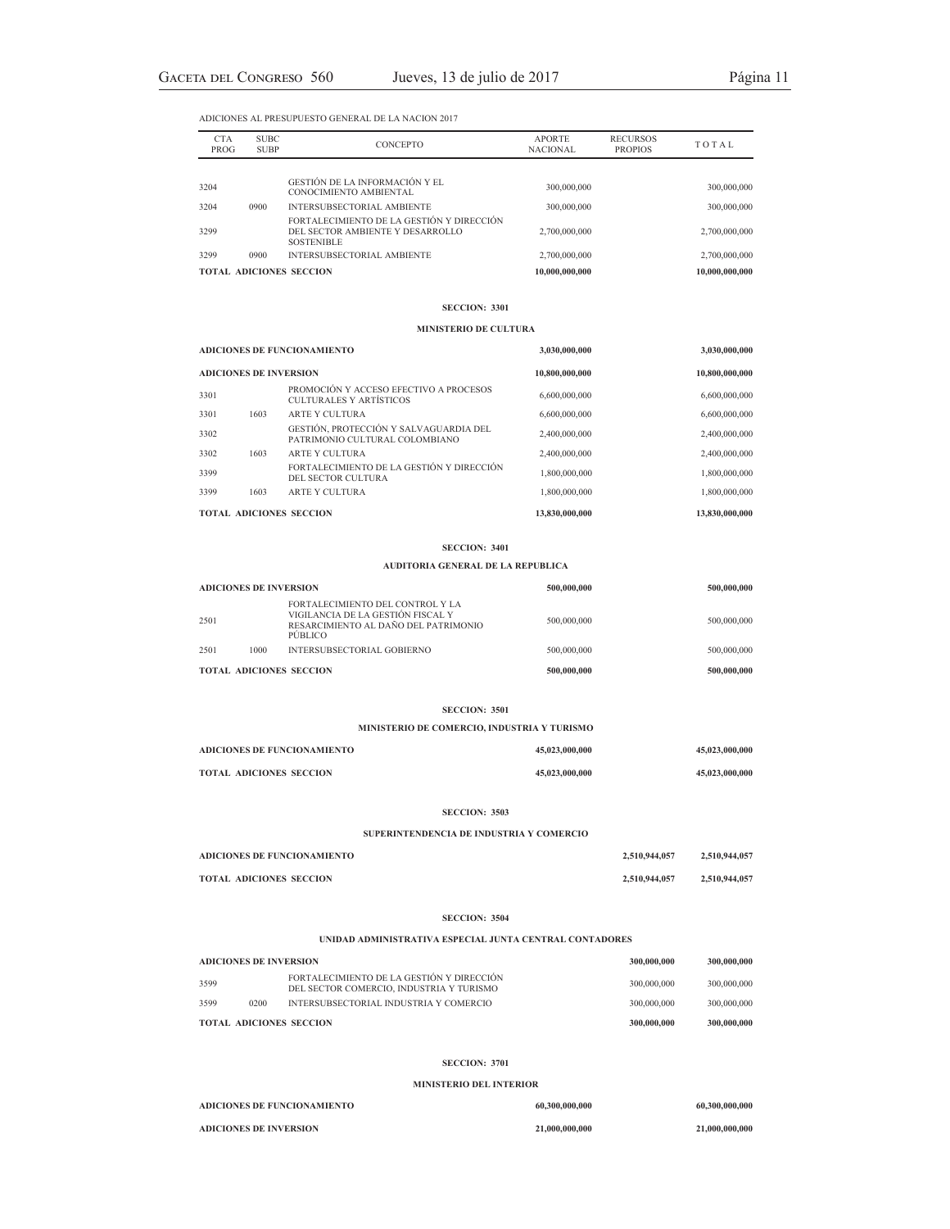| <b>CTA</b><br>PROG | <b>SUBC</b><br><b>SUBP</b> | <b>CONCEPTO</b>                                                                                    | <b>APORTE</b><br>NACIONAL | <b>RECURSOS</b><br><b>PROPIOS</b> | <b>TOTAL</b>   |
|--------------------|----------------------------|----------------------------------------------------------------------------------------------------|---------------------------|-----------------------------------|----------------|
|                    |                            |                                                                                                    |                           |                                   |                |
| 3204               |                            | GESTIÓN DE LA INFORMACIÓN Y EL<br>CONOCIMIENTO AMBIENTAL                                           | 300,000,000               |                                   | 300,000,000    |
| 3204               | 0900                       | <b>INTERSUBSECTORIAL AMBIENTE</b>                                                                  | 300,000,000               |                                   | 300,000,000    |
| 3299               |                            | FORTALECIMIENTO DE LA GESTIÓN Y DIRECCIÓN<br>DEL SECTOR AMBIENTE Y DESARROLLO<br><b>SOSTENIBLE</b> | 2,700,000,000             |                                   | 2,700,000,000  |
| 3299               | 0900                       | <b>INTERSUBSECTORIAL AMBIENTE</b>                                                                  | 2,700,000,000             |                                   | 2,700,000,000  |
|                    |                            | <b>TOTAL ADICIONES SECCION</b>                                                                     | 10.000.000.000            |                                   | 10.000.000.000 |

### **SECCION: 3301**

### **MINISTERIO DE CULTURA**

|                               |      | <b>ADICIONES DE FUNCIONAMIENTO</b>                                       | 3,030,000,000  | 3,030,000,000  |
|-------------------------------|------|--------------------------------------------------------------------------|----------------|----------------|
| <b>ADICIONES DE INVERSION</b> |      |                                                                          | 10,800,000,000 | 10,800,000,000 |
| 3301                          |      | PROMOCIÓN Y ACCESO EFECTIVO A PROCESOS<br>CULTURALES Y ARTÍSTICOS        | 6,600,000,000  | 6,600,000,000  |
| 3301                          | 1603 | ARTE Y CULTURA                                                           | 6,600,000,000  | 6,600,000,000  |
| 3302                          |      | GESTIÓN, PROTECCIÓN Y SALVAGUARDIA DEL<br>PATRIMONIO CULTURAL COLOMBIANO | 2,400,000,000  | 2,400,000,000  |
| 3302                          | 1603 | ARTE Y CULTURA                                                           | 2,400,000,000  | 2,400,000,000  |
| 3399                          |      | FORTALECIMIENTO DE LA GESTIÓN Y DIRECCIÓN<br>DEL SECTOR CULTURA          | 1,800,000,000  | 1,800,000,000  |
| 3399                          | 1603 | ARTE Y CULTURA                                                           | 1,800,000,000  | 1,800,000,000  |
|                               |      | <b>TOTAL ADICIONES SECCION</b>                                           | 13,830,000,000 | 13,830,000,000 |

### **SECCION: 3401**

### **AUDITORIA GENERAL DE LA REPUBLICA**

| <b>ADICIONES DE INVERSION</b> |      |                                                                                                                          | 500,000,000 | 500,000,000 |
|-------------------------------|------|--------------------------------------------------------------------------------------------------------------------------|-------------|-------------|
| 2501                          |      | FORTALECIMIENTO DEL CONTROL Y LA<br>VIGILANCIA DE LA GESTIÓN FISCAL Y<br>RESARCIMIENTO AL DAÑO DEL PATRIMONIO<br>PUBLICO | 500,000,000 | 500,000,000 |
| 2501                          | 1000 | INTERSUBSECTORIAL GOBIERNO                                                                                               | 500,000,000 | 500,000,000 |
|                               |      | <b>TOTAL ADICIONES SECCION</b>                                                                                           | 500,000,000 | 500,000,000 |

### **SECCION: 3501**

**MINISTERIO DE COMERCIO, INDUSTRIA Y TURISMO**

| ADICIONES DE FUNCIONAMIENTO    | 45,023,000,000 | 45,023,000,000 |
|--------------------------------|----------------|----------------|
| <b>TOTAL ADICIONES SECCION</b> | 45,023,000,000 | 45,023,000,000 |

### **SECCION: 3503**

**SUPERINTENDENCIA DE INDUSTRIA Y COMERCIO**

| ADICIONES DE FUNCIONAMIENTO | 2,510,944,057 | 2,510,944,057 |
|-----------------------------|---------------|---------------|
| TOTAL ADICIONES SECCION     | 2,510,944,057 | 2,510,944,057 |

### **SECCION: 3504**

### **UNIDAD ADMINISTRATIVA ESPECIAL JUNTA CENTRAL CONTADORES**

| <b>ADICIONES DE INVERSION</b> |      | 300,000,000                                                                           | 300,000,000 |             |
|-------------------------------|------|---------------------------------------------------------------------------------------|-------------|-------------|
| 3599                          |      | FORTALECIMIENTO DE LA GESTIÓN Y DIRECCIÓN<br>DEL SECTOR COMERCIO. INDUSTRIA Y TURISMO | 300,000,000 | 300,000,000 |
| 3599                          | 0200 | INTERSUBSECTORIAL INDUSTRIA Y COMERCIO                                                | 300,000,000 | 300,000,000 |
|                               |      | <b>TOTAL ADICIONES SECCION</b>                                                        | 300,000,000 | 300,000,000 |

### **SECCION: 3701**

### **MINISTERIO DEL INTERIOR**

| ADICIONES DE FUNCIONAMIENTO | 60,300,000,000 | 60,300,000,000 |
|-----------------------------|----------------|----------------|
| ADICIONES DE INVERSION      | 21,000,000,000 | 21,000,000,000 |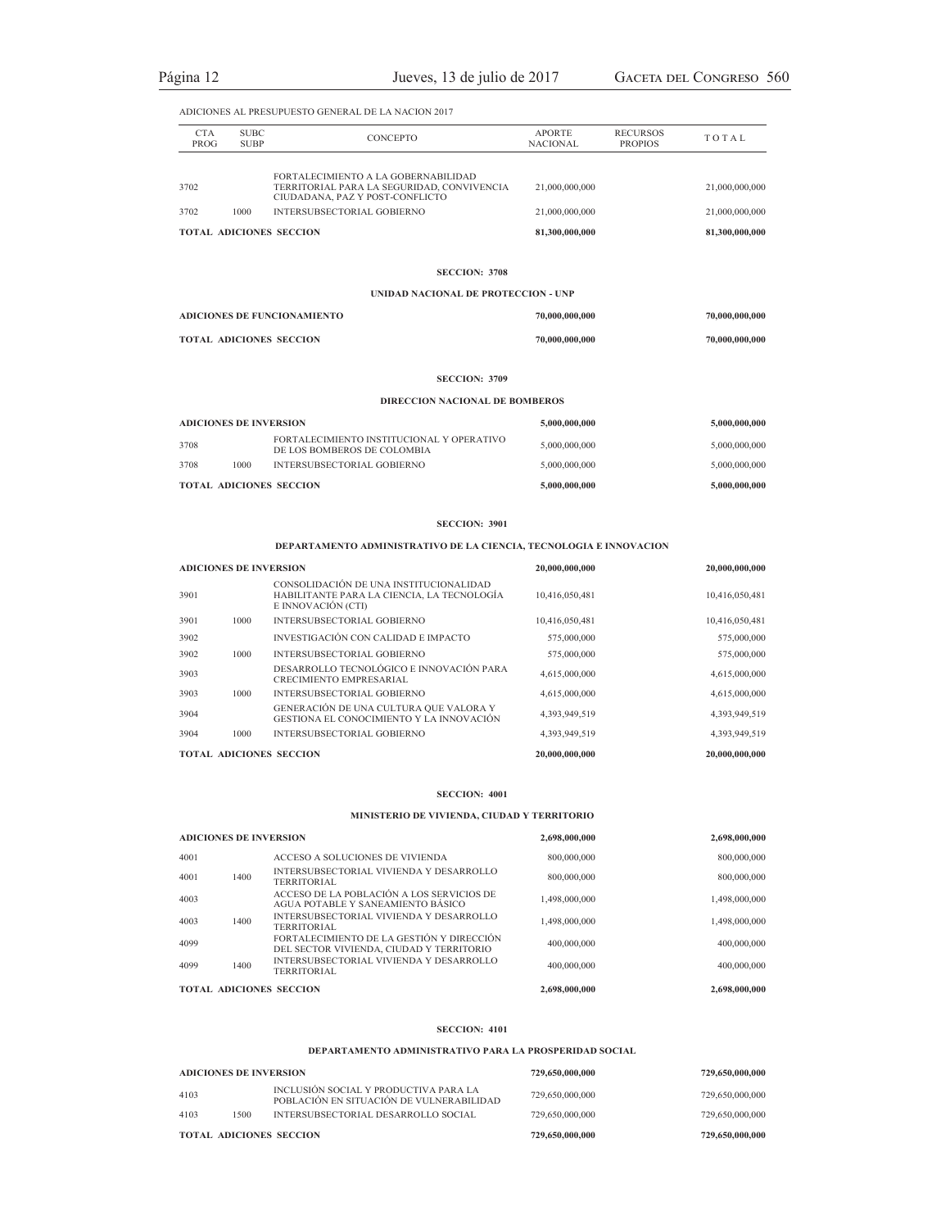| <b>CTA</b><br><b>PROG</b> | <b>SUBC</b><br><b>SUBP</b> | <b>CONCEPTO</b>                                                                                                      | <b>APORTE</b><br><b>NACIONAL</b> | <b>RECURSOS</b><br><b>PROPIOS</b> | TOTAL          |
|---------------------------|----------------------------|----------------------------------------------------------------------------------------------------------------------|----------------------------------|-----------------------------------|----------------|
|                           |                            |                                                                                                                      |                                  |                                   |                |
| 3702                      |                            | FORTALECIMIENTO A LA GOBERNABILIDAD<br>TERRITORIAL PARA LA SEGURIDAD, CONVIVENCIA<br>CIUDADANA, PAZ Y POST-CONFLICTO | 21,000,000,000                   |                                   | 21,000,000,000 |
| 3702                      | 1000                       | INTERSUBSECTORIAL GOBIERNO                                                                                           | 21,000,000,000                   |                                   | 21,000,000,000 |
|                           |                            | <b>TOTAL ADICIONES SECCION</b>                                                                                       | 81,300,000,000                   |                                   | 81,300,000,000 |

# **SECCION: 3708**

### **UNIDAD NACIONAL DE PROTECCION - UNP**

| ADICIONES DE FUNCIONAMIENTO    | 70,000,000,000 | 70,000,000,000 |
|--------------------------------|----------------|----------------|
| <b>TOTAL ADICIONES SECCION</b> | 70,000,000,000 | 70,000,000,000 |

### **SECCION: 3709**

### **DIRECCION NACIONAL DE BOMBEROS**

| <b>ADICIONES DE INVERSION</b> |      |                                                                          | 5,000,000,000 | 5,000,000,000 |
|-------------------------------|------|--------------------------------------------------------------------------|---------------|---------------|
| 3708                          |      | FORTALECIMIENTO INSTITUCIONAL Y OPERATIVO<br>DE LOS BOMBEROS DE COLOMBIA | 5,000,000,000 | 5,000,000,000 |
| 3708                          | 1000 | INTERSUBSECTORIAL GOBIERNO                                               | 5,000,000,000 | 5,000,000,000 |
|                               |      | <b>TOTAL ADICIONES SECCION</b>                                           | 5,000,000,000 | 5,000,000,000 |

### **SECCION: 3901**

### **DEPARTAMENTO ADMINISTRATIVO DE LA CIENCIA, TECNOLOGIA E INNOVACION**

| <b>ADICIONES DE INVERSION</b> |      |                                                                                                            | 20,000,000,000 | 20,000,000,000 |
|-------------------------------|------|------------------------------------------------------------------------------------------------------------|----------------|----------------|
| 3901                          |      | CONSOLIDACIÓN DE UNA INSTITUCIONALIDAD<br>HABILITANTE PARA LA CIENCIA. LA TECNOLOGÍA<br>E INNOVACIÓN (CTI) | 10.416.050.481 | 10,416,050,481 |
| 3901                          | 1000 | INTERSUBSECTORIAL GOBIERNO                                                                                 | 10,416,050,481 | 10,416,050,481 |
| 3902                          |      | INVESTIGACIÓN CON CALIDAD E IMPACTO                                                                        | 575,000,000    | 575,000,000    |
| 3902                          | 1000 | INTERSUBSECTORIAL GOBIERNO                                                                                 | 575,000,000    | 575,000,000    |
| 3903                          |      | DESARROLLO TECNOLÓGICO E INNOVACIÓN PARA<br><b>CRECIMIENTO EMPRESARIAL</b>                                 | 4,615,000,000  | 4,615,000,000  |
| 3903                          | 1000 | INTERSUBSECTORIAL GOBIERNO                                                                                 | 4,615,000,000  | 4,615,000,000  |
| 3904                          |      | GENERACIÓN DE UNA CULTURA QUE VALORA Y<br>GESTIONA EL CONOCIMIENTO Y LA INNOVACIÓN                         | 4,393,949,519  | 4,393,949,519  |
| 3904                          | 1000 | INTERSUBSECTORIAL GOBIERNO                                                                                 | 4,393,949,519  | 4,393,949,519  |
|                               |      | <b>TOTAL ADICIONES SECCION</b>                                                                             | 20,000,000,000 | 20,000,000,000 |

### **SECCION: 4001**

### **MINISTERIO DE VIVIENDA, CIUDAD Y TERRITORIO**

| <b>ADICIONES DE INVERSION</b> |      | 2,698,000,000                                                                         | 2,698,000,000 |               |
|-------------------------------|------|---------------------------------------------------------------------------------------|---------------|---------------|
| 4001                          |      | ACCESO A SOLUCIONES DE VIVIENDA                                                       | 800,000,000   | 800,000,000   |
| 4001                          | 1400 | INTERSUBSECTORIAL VIVIENDA Y DESARROLLO<br>TERRITORIAL                                | 800,000,000   | 800,000,000   |
| 4003                          |      | ACCESO DE LA POBLACIÓN A LOS SERVICIOS DE<br>AGUA POTABLE Y SANEAMIENTO BÁSICO        | 1,498,000,000 | 1,498,000,000 |
| 4003                          | 1400 | INTERSUBSECTORIAL VIVIENDA Y DESARROLLO<br>TERRITORIAL                                | 1,498,000,000 | 1,498,000,000 |
| 4099                          |      | FORTALECIMIENTO DE LA GESTIÓN Y DIRECCIÓN<br>DEL SECTOR VIVIENDA, CIUDAD Y TERRITORIO | 400,000,000   | 400,000,000   |
| 4099                          | 1400 | INTERSUBSECTORIAL VIVIENDA Y DESARROLLO<br>TERRITORIAL                                | 400,000,000   | 400,000,000   |
|                               |      | <b>TOTAL ADICIONES SECCION</b>                                                        | 2,698,000,000 | 2,698,000,000 |

### **SECCION: 4101**

# **DEPARTAMENTO ADMINISTRATIVO PARA LA PROSPERIDAD SOCIAL**

|                               |      | <b>TOTAL ADICIONES SECCION</b>                                                     | 729,650,000,000 | 729,650,000,000 |
|-------------------------------|------|------------------------------------------------------------------------------------|-----------------|-----------------|
| 4103                          | 1500 | INTERSUBSECTORIAL DESARROLLO SOCIAL                                                | 729,650,000,000 | 729,650,000,000 |
| 4103                          |      | INCLUSIÓN SOCIAL Y PRODUCTIVA PARA LA<br>POBLACIÓN EN SITUACIÓN DE VULNER ABILIDAD | 729,650,000,000 | 729,650,000,000 |
| <b>ADICIONES DE INVERSION</b> |      |                                                                                    | 729,650,000,000 | 729,650,000,000 |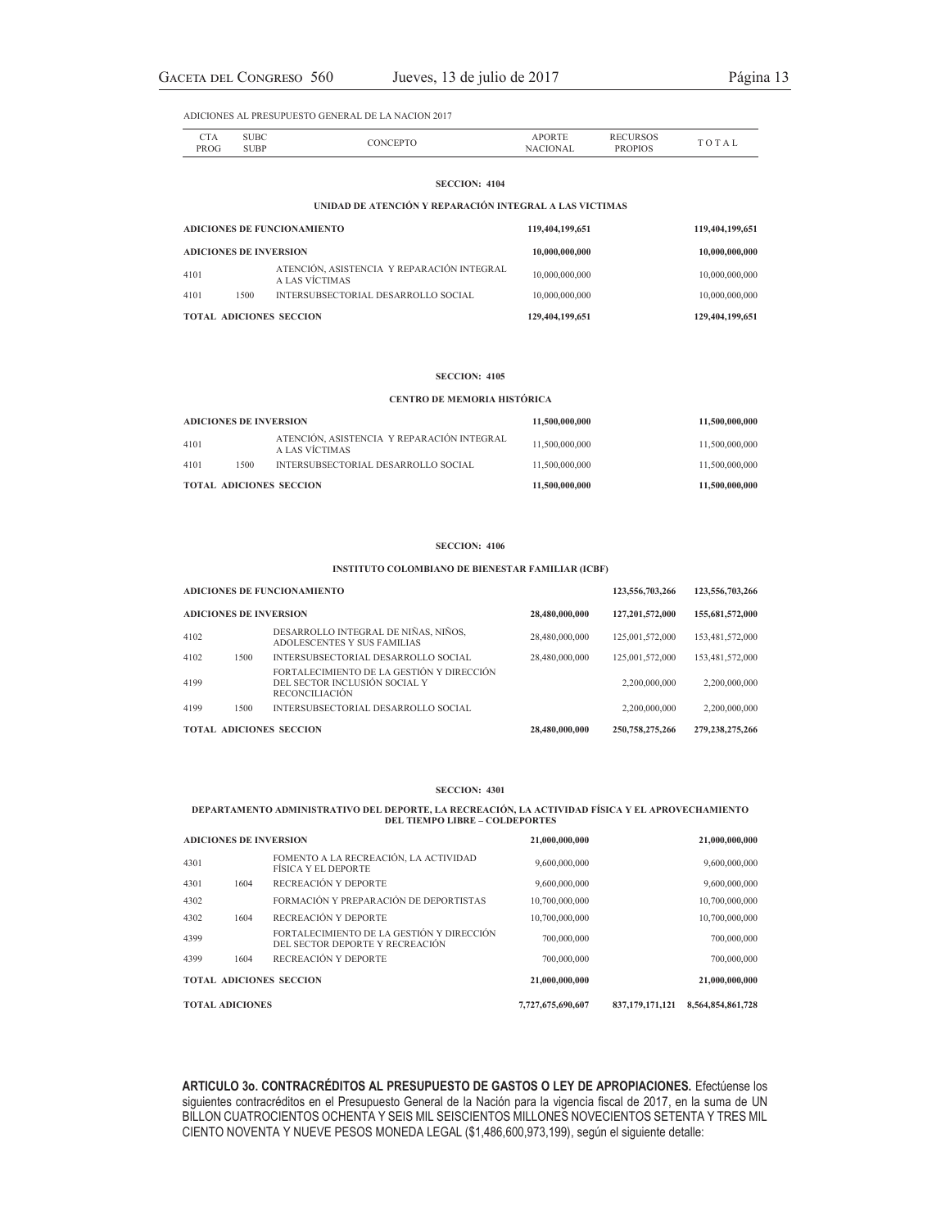| CTA<br>PROG | <b>SUBC</b><br><b>SUBP</b> | CONCEPTO | <b>APORTE</b><br><b>NACIONAL</b> | <b>RECURSOS</b><br><b>PROPIOS</b> | TOTAL |
|-------------|----------------------------|----------|----------------------------------|-----------------------------------|-------|
|             |                            |          |                                  |                                   |       |

# **SECCION: 4104 UNIDAD DE ATENCIÓN Y REPARACIÓN INTEGRAL A LAS VICTIMAS**

| <b>ADICIONES DE FUNCIONAMIENTO</b> |      | 119,404,199,651                                              | 119,404,199,651 |                 |
|------------------------------------|------|--------------------------------------------------------------|-----------------|-----------------|
| <b>ADICIONES DE INVERSION</b>      |      | 10,000,000,000                                               | 10,000,000,000  |                 |
| 4101                               |      | ATENCIÓN, ASISTENCIA Y REPARACIÓN INTEGRAL<br>A LAS VÍCTIMAS | 10,000,000,000  | 10,000,000,000  |
| 4101                               | 1500 | INTERSUBSECTORIAL DESARROLLO SOCIAL                          | 10,000,000,000  | 10,000,000,000  |
| <b>TOTAL ADICIONES SECCION</b>     |      |                                                              | 129,404,199,651 | 129,404,199,651 |

### **SECCION: 4105**

### **CENTRO DE MEMORIA HISTÓRICA**

| <b>ADICIONES DE INVERSION</b>  |      |                                                              | 11.500.000.000 | 11,500,000,000 |
|--------------------------------|------|--------------------------------------------------------------|----------------|----------------|
| 4101                           |      | ATENCIÓN, ASISTENCIA Y REPARACIÓN INTEGRAL<br>A LAS VÍCTIMAS | 11.500.000.000 | 11,500,000,000 |
| 4101                           | 1500 | INTERSUBSECTORIAL DESARROLLO SOCIAL                          | 11.500.000.000 | 11.500.000.000 |
| <b>TOTAL ADICIONES SECCION</b> |      |                                                              | 11.500.000.000 | 11.500.000.000 |

### **SECCION: 4106**

### **INSTITUTO COLOMBIANO DE BIENESTAR FAMILIAR (ICBF)**

| <b>ADICIONES DE FUNCIONAMIENTO</b><br><b>ADICIONES DE INVERSION</b><br>28,480,000,000 |      |                                                                                                      | 123,556,703,266 | 123,556,703,266 |                 |
|---------------------------------------------------------------------------------------|------|------------------------------------------------------------------------------------------------------|-----------------|-----------------|-----------------|
|                                                                                       |      |                                                                                                      |                 | 127,201,572,000 | 155,681,572,000 |
| 4102                                                                                  |      | DESARROLLO INTEGRAL DE NIÑAS, NIÑOS,<br>ADOLESCENTES Y SUS FAMILIAS                                  | 28,480,000,000  | 125,001,572,000 | 153,481,572,000 |
| 4102                                                                                  | 1500 | INTERSUBSECTORIAL DESARROLLO SOCIAL                                                                  | 28,480,000,000  | 125,001,572,000 | 153,481,572,000 |
| 4199                                                                                  |      | FORTAL ECIMIENTO DE LA GESTIÓN Y DIRECCIÓN<br>DEL SECTOR INCLUSIÓN SOCIAL Y<br><b>RECONCILIACIÓN</b> |                 | 2,200,000,000   | 2,200,000,000   |
| 4199                                                                                  | 1500 | INTERSUBSECTORIAL DESARROLLO SOCIAL                                                                  |                 | 2,200,000,000   | 2,200,000,000   |
|                                                                                       |      | <b>TOTAL ADICIONES SECCION</b>                                                                       | 28,480,000,000  | 250,758,275,266 | 279.238.275.266 |

#### **SECCION: 4301**

# **DEPARTAMENTO ADMINISTRATIVO DEL DEPORTE, LA RECREACIÓN, LA ACTIVIDAD FÍSICA Y EL APROVECHAMIENTO DEL TIEMPO LIBRE – COLDEPORTES**

**ADICIONES DE INVERSION 21,000,000,000 21,000,000,000** <sup>4301</sup> FOMENTO A LA RECREACIÓN, LA ACTIVIDAD FÓMENTO A LA RECREACIÓN, LA ACTIVIDAD 9,600,000,000 9,600,000,000 9,600,000,000 9,600,000,000 4301 1604 RECREACIÓN Y DEPORTE 9,600,000,000 9,600,000,000 9,600,000,000 4302 FORMACIÓN Y PREPARACIÓN DE DEPORTISTAS 10,700,000,000 10,700,000,000 4302 1604 RECREACIÓN Y DEPORTE 10,700,000,000 10,700,000,000 10,700,000,000 10,700,000,000 <sup>4399</sup> FORTALECIMIENTO DE LA GESTIÓN Y DIRECCIÓN FORTALECIMIENTO DE LA GESTION Y DIRECCION 700,000,000  $\,$  700,000,000  $\,$  700,000,000  $\,$  700,000,000  $\,$ 4399 1604 RECREACIÓN Y DEPORTE 700,000,000 700,000,000 **TOTAL ADICIONES SECCION 21,000,000,000 21,000,000,000 TOTAL ADICIONES 7,727,675,690,607 837,179,171,121 8,564,854,861,728**

**ARTICULO 3o. CONTRACRÉDITOS AL PRESUPUESTO DE GASTOS O LEY DE APROPIACIONES.** Efectúense los siguientes contracréditos en el Presupuesto General de la Nación para la vigencia fiscal de 2017, en la suma de UN BILLON CUATROCIENTOS OCHENTA Y SEIS MIL SEISCIENTOS MILLONES NOVECIENTOS SETENTA Y TRES MIL CIENTO NOVENTA Y NUEVE PESOS MONEDA LEGAL (\$1,486,600,973,199), según el siguiente detalle: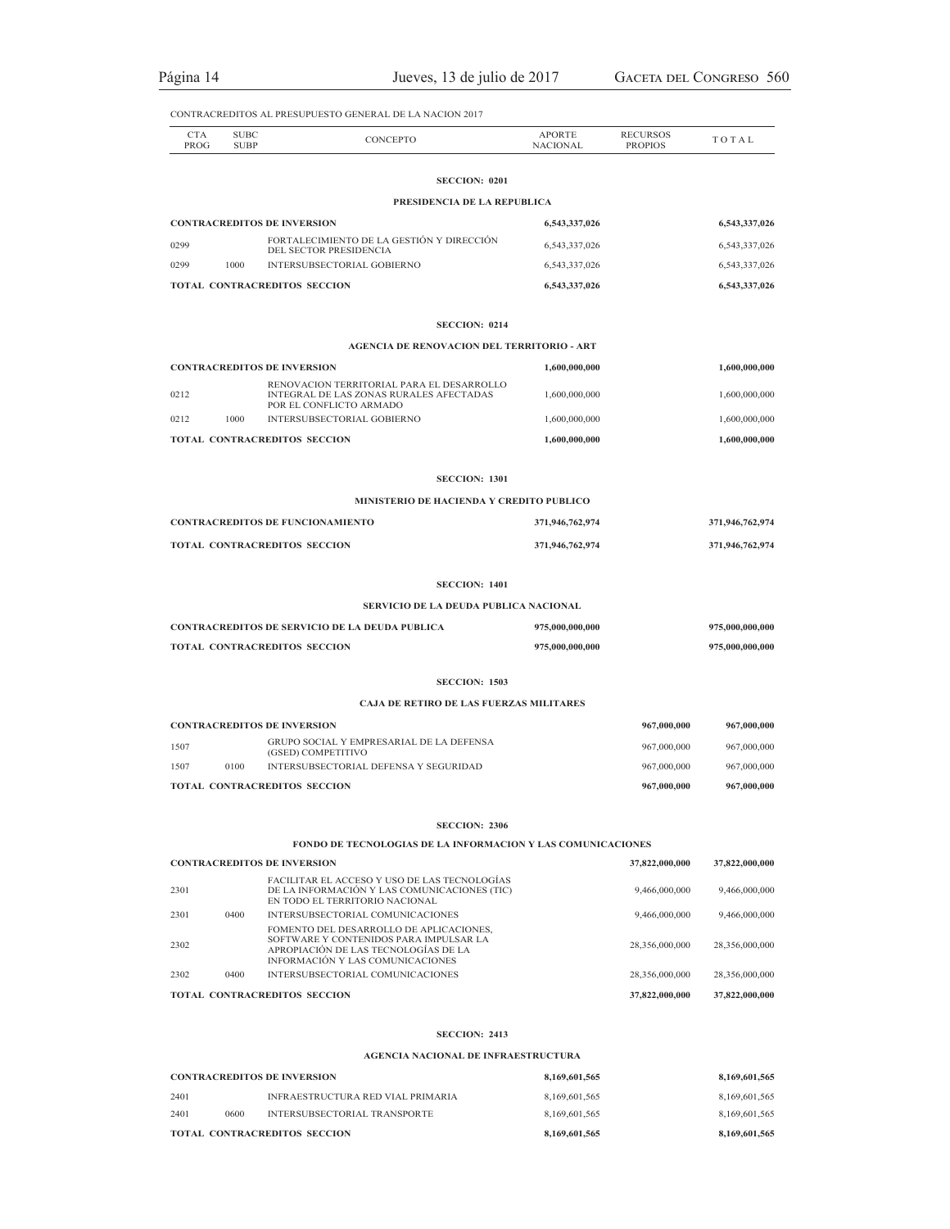Página 14 Jueves, 13 de julio de 2017 GACETA DEL CONGRESO 560

|                    |                            | CONTRACREDITOS AL PRESUPUESTO GENERAL DE LA NACION 2017                                                            |                                  |                                   |                 |
|--------------------|----------------------------|--------------------------------------------------------------------------------------------------------------------|----------------------------------|-----------------------------------|-----------------|
| <b>CTA</b><br>PROG | <b>SUBC</b><br><b>SUBP</b> | CONCEPTO                                                                                                           | <b>APORTE</b><br><b>NACIONAL</b> | <b>RECURSOS</b><br><b>PROPIOS</b> | TOTAL           |
|                    |                            | <b>SECCION: 0201</b>                                                                                               |                                  |                                   |                 |
|                    |                            | PRESIDENCIA DE LA REPUBLICA                                                                                        |                                  |                                   |                 |
|                    |                            | <b>CONTRACREDITOS DE INVERSION</b>                                                                                 | 6,543,337,026                    |                                   | 6,543,337,026   |
| 0299               |                            | FORTALECIMIENTO DE LA GESTIÓN Y DIRECCIÓN                                                                          | 6,543,337,026                    |                                   | 6,543,337,026   |
| 0299               | 1000                       | DEL SECTOR PRESIDENCIA<br>INTERSUBSECTORIAL GOBIERNO                                                               | 6,543,337,026                    |                                   | 6,543,337,026   |
|                    |                            | TOTAL CONTRACREDITOS SECCION                                                                                       | 6,543,337,026                    |                                   | 6,543,337,026   |
|                    |                            |                                                                                                                    |                                  |                                   |                 |
|                    |                            | <b>SECCION: 0214</b><br><b>AGENCIA DE RENOVACION DEL TERRITORIO - ART</b>                                          |                                  |                                   |                 |
|                    |                            |                                                                                                                    |                                  |                                   |                 |
|                    |                            | <b>CONTRACREDITOS DE INVERSION</b><br>RENOVACION TERRITORIAL PARA EL DESARROLLO                                    | 1,600,000,000                    |                                   | 1,600,000,000   |
| 0212               |                            | INTEGRAL DE LAS ZONAS RURALES AFECTADAS<br>POR EL CONFLICTO ARMADO                                                 | 1,600,000,000                    |                                   | 1,600,000,000   |
| 0212               | 1000                       | INTERSUBSECTORIAL GOBIERNO                                                                                         | 1,600,000,000                    |                                   | 1,600,000,000   |
|                    |                            | TOTAL CONTRACREDITOS SECCION                                                                                       | 1,600,000,000                    |                                   | 1,600,000,000   |
|                    |                            | <b>SECCION: 1301</b>                                                                                               |                                  |                                   |                 |
|                    |                            | MINISTERIO DE HACIENDA Y CREDITO PUBLICO                                                                           |                                  |                                   |                 |
|                    |                            | <b>CONTRACREDITOS DE FUNCIONAMIENTO</b>                                                                            | 371,946,762,974                  |                                   | 371,946,762,974 |
|                    |                            | TOTAL CONTRACREDITOS SECCION                                                                                       | 371,946,762,974                  |                                   | 371,946,762,974 |
|                    |                            | <b>SECCION: 1401</b>                                                                                               |                                  |                                   |                 |
|                    |                            | SERVICIO DE LA DEUDA PUBLICA NACIONAL                                                                              |                                  |                                   |                 |
|                    |                            | <b>CONTRACREDITOS DE SERVICIO DE LA DEUDA PUBLICA</b>                                                              | 975,000,000,000                  |                                   | 975,000,000,000 |
|                    |                            | TOTAL CONTRACREDITOS SECCION                                                                                       | 975,000,000,000                  |                                   | 975,000,000,000 |
|                    |                            | <b>SECCION: 1503</b>                                                                                               |                                  |                                   |                 |
|                    |                            | CAJA DE RETIRO DE LAS FUERZAS MILITARES                                                                            |                                  |                                   |                 |
|                    |                            | <b>CONTRACREDITOS DE INVERSION</b>                                                                                 |                                  | 967,000,000                       | 967,000,000     |
| 1507               |                            | GRUPO SOCIAL Y EMPRESARIAL DE LA DEFENSA                                                                           |                                  | 967,000,000                       | 967,000,000     |
| 1507               | 0100                       | (GSED) COMPETITIVO<br>INTERSUBSECTORIAL DEFENSA Y SEGURIDAD                                                        |                                  | 967,000,000                       | 967,000,000     |
|                    |                            | <b>TOTAL CONTRACREDITOS SECCION</b>                                                                                |                                  | 967,000,000                       | 967,000,000     |
|                    |                            |                                                                                                                    |                                  |                                   |                 |
|                    |                            | <b>SECCION: 2306</b>                                                                                               |                                  |                                   |                 |
|                    |                            | <b>FONDO DE TECNOLOGIAS DE LA INFORMACION Y LAS COMUNICACIONES</b>                                                 |                                  |                                   |                 |
|                    |                            | <b>CONTRACREDITOS DE INVERSION</b><br>FACILITAR EL ACCESO Y USO DE LAS TECNOLOGÍAS                                 |                                  | 37,822,000,000                    | 37,822,000,000  |
| 2301               |                            | DE LA INFORMACIÓN Y LAS COMUNICACIONES (TIC)<br>EN TODO EL TERRITORIO NACIONAL                                     |                                  | 9,466,000,000                     | 9,466,000,000   |
| 2301               | 0400                       | INTERSUBSECTORIAL COMUNICACIONES<br>FOMENTO DEL DESARROLLO DE APLICACIONES.                                        |                                  | 9,466,000,000                     | 9,466,000,000   |
| 2302               |                            | SOFTWARE Y CONTENIDOS PARA IMPULSAR LA<br>APROPIACIÓN DE LAS TECNOLOGÍAS DE LA<br>INFORMACIÓN Y LAS COMUNICACIONES |                                  | 28,356,000,000                    | 28,356,000,000  |
| 2302               | 0400                       | INTERSUBSECTORIAL COMUNICACIONES                                                                                   |                                  | 28,356,000,000                    | 28,356,000,000  |
|                    |                            | TOTAL CONTRACREDITOS SECCION                                                                                       |                                  | 37,822,000,000                    | 37,822,000,000  |
|                    |                            | <b>SECCION: 2413</b>                                                                                               |                                  |                                   |                 |
|                    |                            | <b>AGENCIA NACIONAL DE INFRAESTRUCTURA</b>                                                                         |                                  |                                   |                 |
|                    |                            | <b>CONTRACREDITOS DE INVERSION</b>                                                                                 | 8,169,601,565                    |                                   | 8,169,601,565   |
| 2401               |                            | INFRAESTRUCTURA RED VIAL PRIMARIA                                                                                  | 8,169,601,565                    |                                   | 8,169,601,565   |

2401 0600 INTERSUBSECTORIAL TRANSPORTE 8,169,601,565 8,169,601,565 **TOTAL CONTRACREDITOS SECCION 8,169,601,565 8,169,601,565**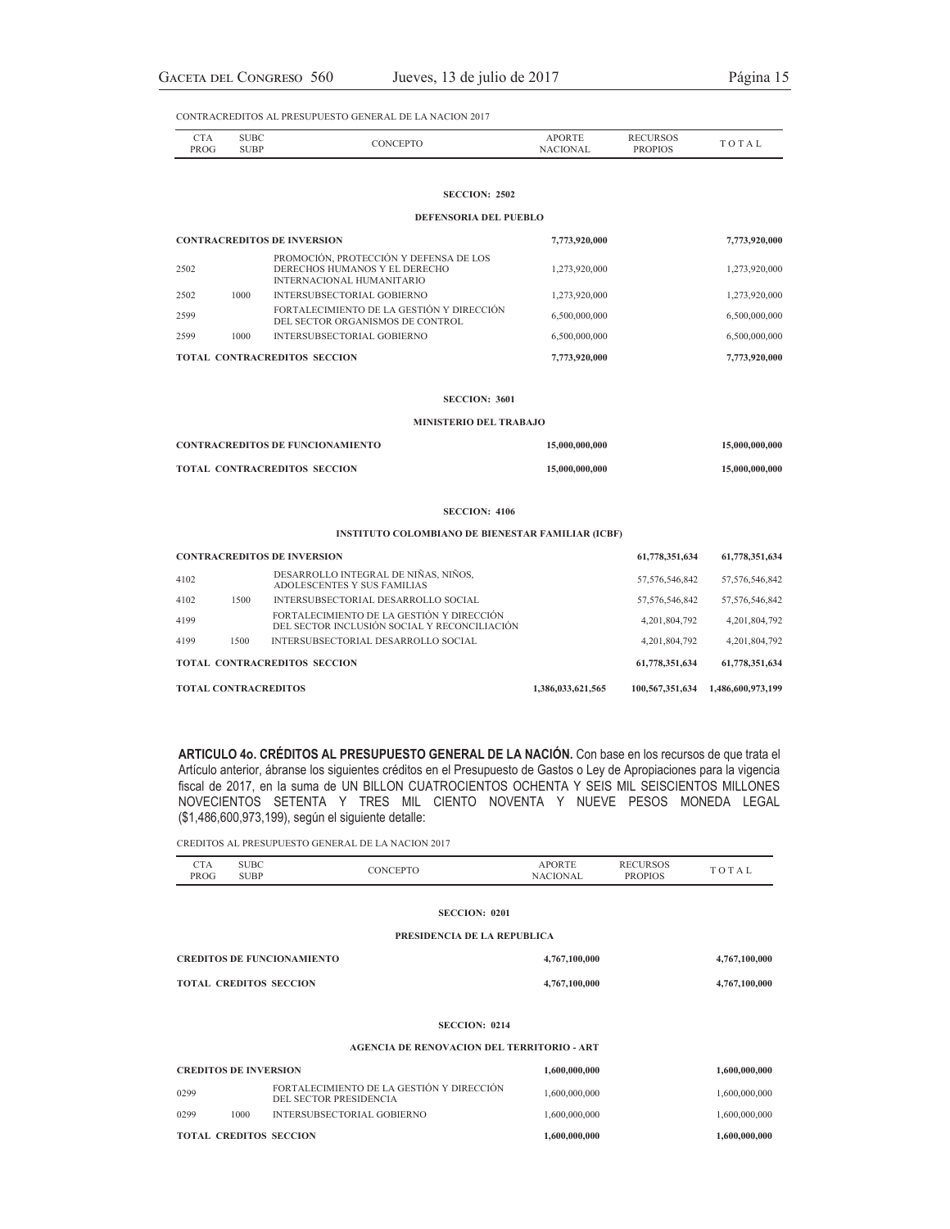|            | <b>IN</b> | ы |  |
|------------|-----------|---|--|
| DР<br>. OC |           |   |  |

### **SECCION: 2502**

### **DEFENSORIA DEL PUEBLO**

| <b>CONTRACREDITOS DE INVERSION</b>  |      |                                                                                                      | 7,773,920,000 | 7,773,920,000 |
|-------------------------------------|------|------------------------------------------------------------------------------------------------------|---------------|---------------|
| 2502                                |      | PROMOCIÓN, PROTECCIÓN Y DEFENSA DE LOS<br>DERECHOS HUMANOS Y EL DERECHO<br>INTERNACIONAL HUMANITARIO | 1,273,920,000 | 1,273,920,000 |
| 2502                                | 1000 | INTERSUBSECTORIAL GOBIERNO                                                                           | 1,273,920,000 | 1,273,920,000 |
| 2599                                |      | FORTALECIMIENTO DE LA GESTIÓN Y DIRECCIÓN<br>DEL SECTOR ORGANISMOS DE CONTROL                        | 6,500,000,000 | 6,500,000,000 |
| 2599                                | 1000 | INTERSUBSECTORIAL GOBIERNO                                                                           | 6,500,000,000 | 6,500,000,000 |
| <b>TOTAL CONTRACREDITOS SECCION</b> |      |                                                                                                      | 7,773,920,000 | 7,773,920,000 |

### **SECCION: 3601**

### **MINISTERIO DEL TRABAJO**

| <b>CONTRACREDITOS DE FUNCIONAMIENTO</b> | 15,000,000,000 | 15,000,000,000 |
|-----------------------------------------|----------------|----------------|
| <b>TOTAL CONTRACREDITOS SECCION</b>     | 15,000,000,000 | 15,000,000,000 |

### **SECCION: 4106**

### **INSTITUTO COLOMBIANO DE BIENESTAR FAMILIAR (ICBF)**

|                                    |      | <b>TOTAL CONTRACREDITOS</b>                                                               | 1,386,033,621,565 | 100,567,351,634 | 1,486,600,973,199 |
|------------------------------------|------|-------------------------------------------------------------------------------------------|-------------------|-----------------|-------------------|
|                                    |      | <b>TOTAL CONTRACREDITOS SECCION</b>                                                       |                   | 61,778,351,634  | 61,778,351,634    |
| 4199                               | 1500 | INTERSUBSECTORIAL DESARROLLO SOCIAL                                                       |                   | 4.201.804.792   | 4, 201, 804, 792  |
| 4199                               |      | FORTALECIMIENTO DE LA GESTIÓN Y DIRECCIÓN<br>DEL SECTOR INCLUSIÓN SOCIAL Y RECONCILIACIÓN |                   | 4,201,804,792   | 4, 201, 804, 792  |
| 4102                               | 1500 | INTERSUBSECTORIAL DESARROLLO SOCIAL                                                       |                   | 57,576,546,842  | 57, 576, 546, 842 |
| 4102                               |      | DESARROLLO INTEGRAL DE NIÑAS, NIÑOS,<br>ADOLESCENTES Y SUS FAMILIAS                       |                   | 57,576,546,842  | 57, 576, 546, 842 |
| <b>CONTRACREDITOS DE INVERSION</b> |      |                                                                                           |                   | 61,778,351,634  | 61,778,351,634    |

**ARTICULO 4o. CRÉDITOS AL PRESUPUESTO GENERAL DE LA NACIÓN.** Con base en los recursos de que trata el Artículo anterior, ábranse los siguientes créditos en el Presupuesto de Gastos o Ley de Apropiaciones para la vigencia fiscal de 2017, en la suma de UN BILLON CUATROCIENTOS OCHENTA Y SEIS MIL SEISCIENTOS MILLONES NOVECIENTOS SETENTA Y TRES MIL CIENTO NOVENTA Y NUEVE PESOS MONEDA LEGAL (\$1,486,600,973,199), según el siguiente detalle:

CREDITOS AL PRESUPUESTO GENERAL DE LA NACION 2017

| <b>CTA</b><br>PROG                | <b>SUBC</b><br><b>SUBP</b> | CONCEPTO                                                            | <b>APORTE</b><br><b>NACIONAL</b> | <b>RECURSOS</b><br><b>PROPIOS</b> | TOTAL         |
|-----------------------------------|----------------------------|---------------------------------------------------------------------|----------------------------------|-----------------------------------|---------------|
|                                   |                            | <b>SECCION: 0201</b>                                                |                                  |                                   |               |
|                                   |                            | PRESIDENCIA DE LA REPUBLICA                                         |                                  |                                   |               |
| <b>CREDITOS DE FUNCIONAMIENTO</b> |                            |                                                                     | 4,767,100,000                    |                                   | 4,767,100,000 |
| <b>TOTAL CREDITOS SECCION</b>     |                            |                                                                     | 4,767,100,000                    |                                   | 4,767,100,000 |
|                                   |                            | <b>SECCION: 0214</b>                                                |                                  |                                   |               |
|                                   |                            | <b>AGENCIA DE RENOVACION DEL TERRITORIO - ART</b>                   |                                  |                                   |               |
| <b>CREDITOS DE INVERSION</b>      |                            |                                                                     | 1,600,000,000                    |                                   | 1,600,000,000 |
| 0299                              |                            | FORTALECIMIENTO DE LA GESTIÓN Y DIRECCIÓN<br>DEL SECTOR PRESIDENCIA | 1,600,000,000                    |                                   | 1,600,000,000 |
| 0299                              | 1000                       | INTERSUBSECTORIAL GOBIERNO                                          | 1,600,000,000                    |                                   | 1,600,000,000 |
| <b>TOTAL CREDITOS SECCION</b>     |                            |                                                                     | 1,600,000,000                    |                                   | 1,600,000,000 |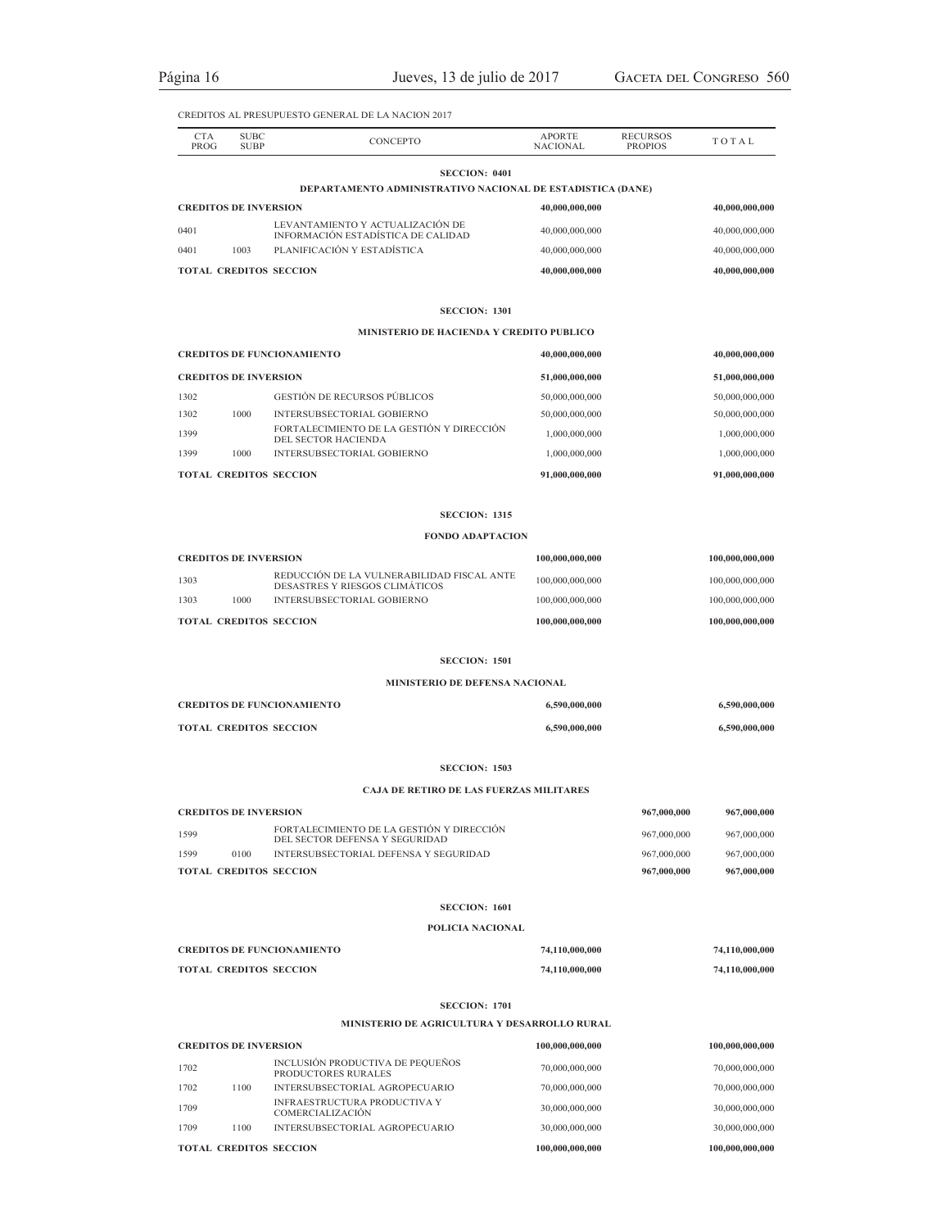| <b>CTA</b><br>PROG            | <b>SUBC</b><br><b>SUBP</b> | <b>CONCEPTO</b>                                                             | <b>APORTE</b><br><b>NACIONAL</b> | <b>RECURSOS</b><br><b>PROPIOS</b> | TOTAL           |
|-------------------------------|----------------------------|-----------------------------------------------------------------------------|----------------------------------|-----------------------------------|-----------------|
|                               |                            | <b>SECCION: 0401</b>                                                        |                                  |                                   |                 |
|                               |                            | DEPARTAMENTO ADMINISTRATIVO NACIONAL DE ESTADISTICA (DANE)                  |                                  |                                   |                 |
| <b>CREDITOS DE INVERSION</b>  |                            | LEVANTAMIENTO Y ACTUALIZACIÓN DE                                            | 40,000,000,000                   |                                   | 40,000,000,000  |
| 0401                          |                            | INFORMACIÓN ESTADÍSTICA DE CALIDAD                                          | 40,000,000,000                   |                                   | 40,000,000,000  |
| 0401                          | 1003                       | PLANIFICACIÓN Y ESTADÍSTICA                                                 | 40,000,000,000                   |                                   | 40,000,000,000  |
|                               |                            | <b>TOTAL CREDITOS SECCION</b>                                               | 40,000,000,000                   |                                   | 40,000,000,000  |
|                               |                            | <b>SECCION: 1301</b>                                                        |                                  |                                   |                 |
|                               |                            | MINISTERIO DE HACIENDA Y CREDITO PUBLICO                                    |                                  |                                   |                 |
|                               |                            | <b>CREDITOS DE FUNCIONAMIENTO</b>                                           | 40,000,000,000                   |                                   | 40,000,000,000  |
| <b>CREDITOS DE INVERSION</b>  |                            |                                                                             | 51,000,000,000                   |                                   | 51,000,000,000  |
| 1302                          |                            | <b>GESTIÓN DE RECURSOS PÚBLICOS</b>                                         | 50,000,000,000                   |                                   | 50,000,000,000  |
| 1302                          | 1000                       | INTERSUBSECTORIAL GOBIERNO                                                  | 50,000,000,000                   |                                   | 50,000,000,000  |
| 1399                          |                            | FORTALECIMIENTO DE LA GESTIÓN Y DIRECCIÓN<br>DEL SECTOR HACIENDA            | 1,000,000,000                    |                                   | 1,000,000,000   |
| 1399                          | 1000                       | <b>INTERSUBSECTORIAL GOBIERNO</b>                                           | 1,000,000,000                    |                                   | 1,000,000,000   |
|                               |                            | <b>TOTAL CREDITOS SECCION</b>                                               | 91,000,000,000                   |                                   | 91,000,000,000  |
|                               |                            | <b>SECCION: 1315</b>                                                        |                                  |                                   |                 |
|                               |                            | <b>FONDO ADAPTACION</b>                                                     |                                  |                                   |                 |
| <b>CREDITOS DE INVERSION</b>  |                            |                                                                             | 100,000,000,000                  |                                   | 100,000,000,000 |
| 1303                          |                            | REDUCCIÓN DE LA VULNERABILIDAD FISCAL ANTE                                  | 100,000,000,000                  |                                   | 100,000,000,000 |
| 1303                          | 1000                       | DESASTRES Y RIESGOS CLIMÁTICOS<br>INTERSUBSECTORIAL GOBIERNO                | 100,000,000,000                  |                                   | 100,000,000,000 |
|                               |                            | <b>TOTAL CREDITOS SECCION</b>                                               | 100,000,000,000                  |                                   | 100,000,000,000 |
|                               |                            |                                                                             |                                  |                                   |                 |
|                               |                            | <b>SECCION: 1501</b><br><b>MINISTERIO DE DEFENSA NACIONAL</b>               |                                  |                                   |                 |
|                               |                            | <b>CREDITOS DE FUNCIONAMIENTO</b>                                           | 6,590,000,000                    |                                   | 6,590,000,000   |
|                               |                            |                                                                             |                                  |                                   |                 |
|                               |                            | <b>TOTAL CREDITOS SECCION</b>                                               | 6,590,000,000                    |                                   | 6,590,000,000   |
|                               |                            | <b>SECCION: 1503</b>                                                        |                                  |                                   |                 |
|                               |                            | <b>CAJA DE RETIRO DE LAS FUERZAS MILITARES</b>                              |                                  |                                   |                 |
| <b>CREDITOS DE INVERSION</b>  |                            |                                                                             |                                  | 967,000,000                       | 967,000,000     |
| 1599                          |                            | FORTALECIMIENTO DE LA GESTIÓN Y DIRECCIÓN<br>DEL SECTOR DEFENSA Y SEGURIDAD |                                  | 967,000,000                       | 967,000,000     |
| 1599                          | 0100                       | INTERSUBSECTORIAL DEFENSA Y SEGURIDAD                                       |                                  | 967,000,000                       | 967,000,000     |
|                               |                            | <b>TOTAL CREDITOS SECCION</b>                                               |                                  | 967,000,000                       | 967,000,000     |
|                               |                            | <b>SECCION: 1601</b>                                                        |                                  |                                   |                 |
|                               |                            | POLICIA NACIONAL                                                            |                                  |                                   |                 |
|                               |                            | <b>CREDITOS DE FUNCIONAMIENTO</b>                                           | 74,110,000,000                   |                                   | 74,110,000,000  |
|                               |                            | <b>TOTAL CREDITOS SECCION</b>                                               | 74,110,000,000                   |                                   | 74,110,000,000  |
|                               |                            | <b>SECCION: 1701</b>                                                        |                                  |                                   |                 |
|                               |                            | MINISTERIO DE AGRICULTURA Y DESARROLLO RURAL                                |                                  |                                   |                 |
| <b>CREDITOS DE INVERSION</b>  |                            |                                                                             | 100,000,000,000                  |                                   | 100,000,000,000 |
| 1702                          |                            | INCLUSIÓN PRODUCTIVA DE PEQUEÑOS<br>PRODUCTORES RURALES                     | 70,000,000,000                   |                                   | 70,000,000,000  |
| 1702                          | 1100                       | INTERSUBSECTORIAL AGROPECUARIO                                              | 70,000,000,000                   |                                   | 70,000,000,000  |
| 1709                          |                            | <b>INFRAESTRUCTURA PRODUCTIVA Y</b><br>COMERCIALIZACIÓN                     | 30,000,000,000                   |                                   | 30,000,000,000  |
| 1709                          | 1100                       | INTERSUBSECTORIAL AGROPECUARIO                                              | 30,000,000,000                   |                                   | 30,000,000,000  |
| <b>TOTAL CREDITOS SECCION</b> |                            |                                                                             | 100,000,000,000                  |                                   | 100,000,000,000 |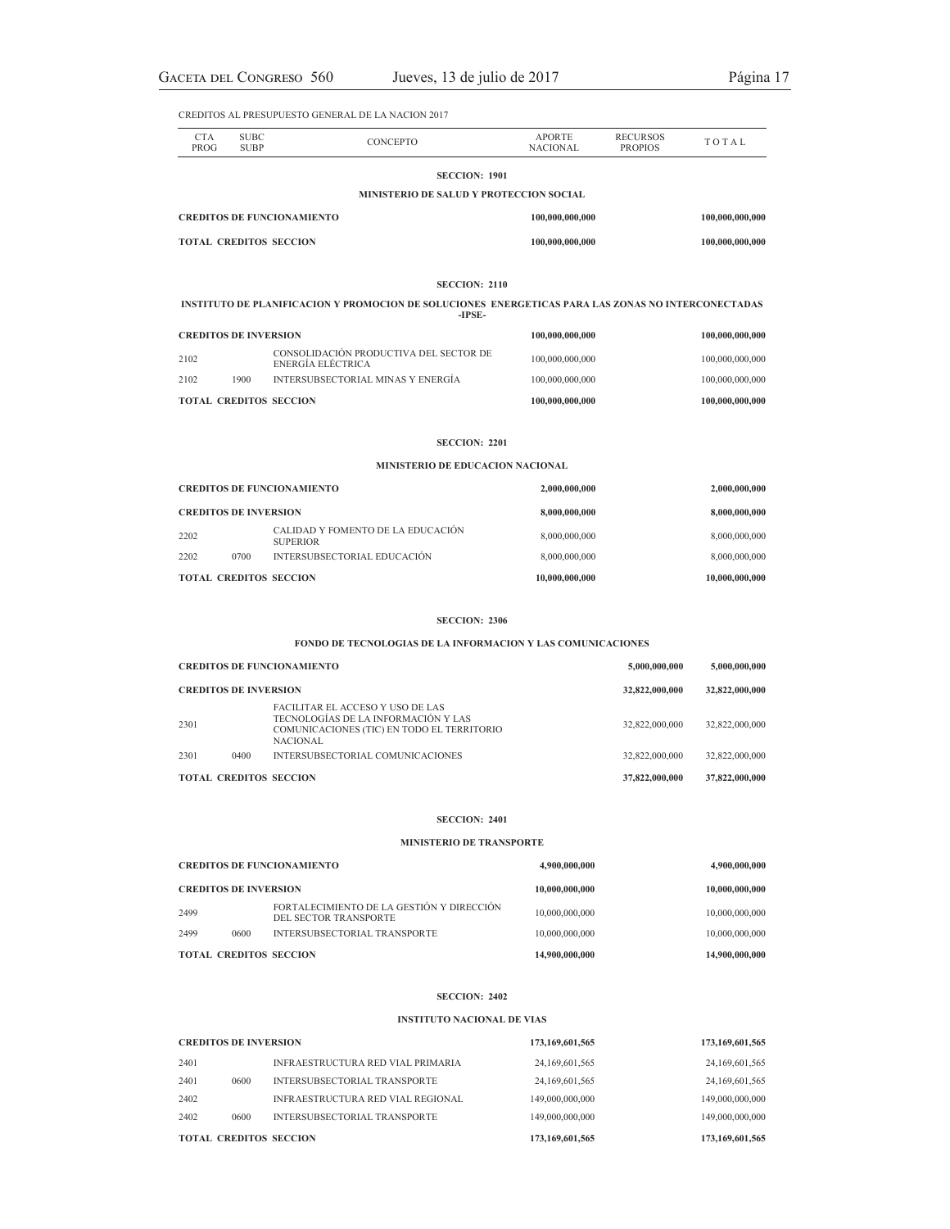| <b>CTA</b><br>PROG                | <b>SUBC</b><br><b>SUBP</b>   | CONCEPTO                                                                                                                                 | APORTE<br><b>NACIONAL</b> | <b>RECURSOS</b><br><b>PROPIOS</b> | TOTAL           |
|-----------------------------------|------------------------------|------------------------------------------------------------------------------------------------------------------------------------------|---------------------------|-----------------------------------|-----------------|
|                                   |                              | <b>SECCION: 1901</b>                                                                                                                     |                           |                                   |                 |
|                                   |                              | MINISTERIO DE SALUD Y PROTECCION SOCIAL                                                                                                  |                           |                                   |                 |
|                                   |                              | <b>CREDITOS DE FUNCIONAMIENTO</b>                                                                                                        | 100,000,000,000           |                                   | 100,000,000,000 |
|                                   | TOTAL CREDITOS SECCION       |                                                                                                                                          |                           |                                   | 100,000,000,000 |
|                                   |                              | <b>SECCION: 2110</b>                                                                                                                     |                           |                                   |                 |
|                                   |                              | INSTITUTO DE PLANIFICACION Y PROMOCION DE SOLUCIONES ENERGETICAS PARA LAS ZONAS NO INTERCONECTADAS<br>-IPSE-                             |                           |                                   |                 |
| <b>CREDITOS DE INVERSION</b>      |                              |                                                                                                                                          | 100,000,000,000           |                                   | 100,000,000,000 |
| 2102                              |                              | CONSOLIDACIÓN PRODUCTIVA DEL SECTOR DE<br>ENERGÍA ELÉCTRICA                                                                              | 100,000,000,000           |                                   | 100,000,000,000 |
| 2102                              | 1900                         | INTERSUBSECTORIAL MINAS Y ENERGÍA                                                                                                        | 100,000,000,000           |                                   | 100,000,000,000 |
|                                   |                              | TOTAL CREDITOS SECCION                                                                                                                   | 100,000,000,000           |                                   | 100,000,000,000 |
|                                   |                              | <b>SECCION: 2201</b>                                                                                                                     |                           |                                   |                 |
|                                   |                              | MINISTERIO DE EDUCACION NACIONAL                                                                                                         |                           |                                   |                 |
| <b>CREDITOS DE FUNCIONAMIENTO</b> |                              |                                                                                                                                          | 2,000,000,000             |                                   | 2,000,000,000   |
| <b>CREDITOS DE INVERSION</b>      |                              |                                                                                                                                          | 8,000,000,000             |                                   | 8,000,000,000   |
| 2202                              |                              | CALIDAD Y FOMENTO DE LA EDUCACIÓN<br><b>SUPERIOR</b>                                                                                     | 8,000,000,000             |                                   | 8,000,000,000   |
| 2202                              | 0700                         | INTERSUBSECTORIAL EDUCACIÓN                                                                                                              | 8,000,000,000             |                                   | 8,000,000,000   |
|                                   |                              | TOTAL CREDITOS SECCION                                                                                                                   | 10,000,000,000            |                                   | 10,000,000,000  |
|                                   |                              | <b>SECCION: 2306</b>                                                                                                                     |                           |                                   |                 |
|                                   |                              | FONDO DE TECNOLOGIAS DE LA INFORMACION Y LAS COMUNICACIONES                                                                              |                           |                                   |                 |
|                                   |                              | <b>CREDITOS DE FUNCIONAMIENTO</b>                                                                                                        |                           | 5,000,000,000                     | 5,000,000,000   |
| <b>CREDITOS DE INVERSION</b>      |                              |                                                                                                                                          |                           | 32,822,000,000                    | 32,822,000,000  |
| 2301                              |                              | FACILITAR EL ACCESO Y USO DE LAS<br>TECNOLOGÍAS DE LA INFORMACIÓN Y LAS<br>COMUNICACIONES (TIC) EN TODO EL TERRITORIO<br><b>NACIONAL</b> |                           | 32,822,000,000                    | 32,822,000,000  |
| 2301                              | 0400                         | INTERSUBSECTORIAL COMUNICACIONES                                                                                                         |                           | 32,822,000,000                    | 32,822,000,000  |
|                                   |                              | TOTAL CREDITOS SECCION                                                                                                                   |                           | 37,822,000,000                    | 37,822,000,000  |
|                                   |                              | <b>SECCION: 2401</b>                                                                                                                     |                           |                                   |                 |
|                                   |                              | MINISTERIO DE TRANSPORTE                                                                                                                 |                           |                                   |                 |
|                                   |                              | <b>CREDITOS DE FUNCIONAMIENTO</b>                                                                                                        | 4,900,000,000             |                                   | 4,900,000,000   |
|                                   | <b>CREDITOS DE INVERSION</b> |                                                                                                                                          |                           |                                   | 10,000,000,000  |

|      |      | TOTAL CREDITOS SECCION                                             | 14,900,000,000 | 14,900,000,000 |
|------|------|--------------------------------------------------------------------|----------------|----------------|
| 2499 | 0600 | INTERSUBSECTORIAL TRANSPORTE                                       | 10,000,000,000 | 10,000,000,000 |
| 2499 |      | FORTALECIMIENTO DE LA GESTIÓN Y DIRECCIÓN<br>DEL SECTOR TRANSPORTE | 10,000,000,000 | 10,000,000,000 |
|      |      |                                                                    |                |                |

## **SECCION: 2402**

# **INSTITUTO NACIONAL DE VIAS**

| <b>CREDITOS DE INVERSION</b> |      | 173,169,601,565                          | 173,169,601,565   |                    |
|------------------------------|------|------------------------------------------|-------------------|--------------------|
| 2401                         |      | INFRAESTRUCTURA RED VIAL PRIMARIA        | 24, 169, 601, 565 | 24,169,601,565     |
| 2401                         | 0600 | INTERSUBSECTORIAL TRANSPORTE             | 24, 169, 601, 565 | 24,169,601,565     |
| 2402                         |      | <b>INFRAESTRUCTURA RED VIAL REGIONAL</b> | 149,000,000,000   | 149,000,000,000    |
| 2402                         | 0600 | INTERSUBSECTORIAL TRANSPORTE             | 149,000,000,000   | 149,000,000,000    |
|                              |      | <b>TOTAL CREDITOS SECCION</b>            | 173,169,601,565   | 173, 169, 601, 565 |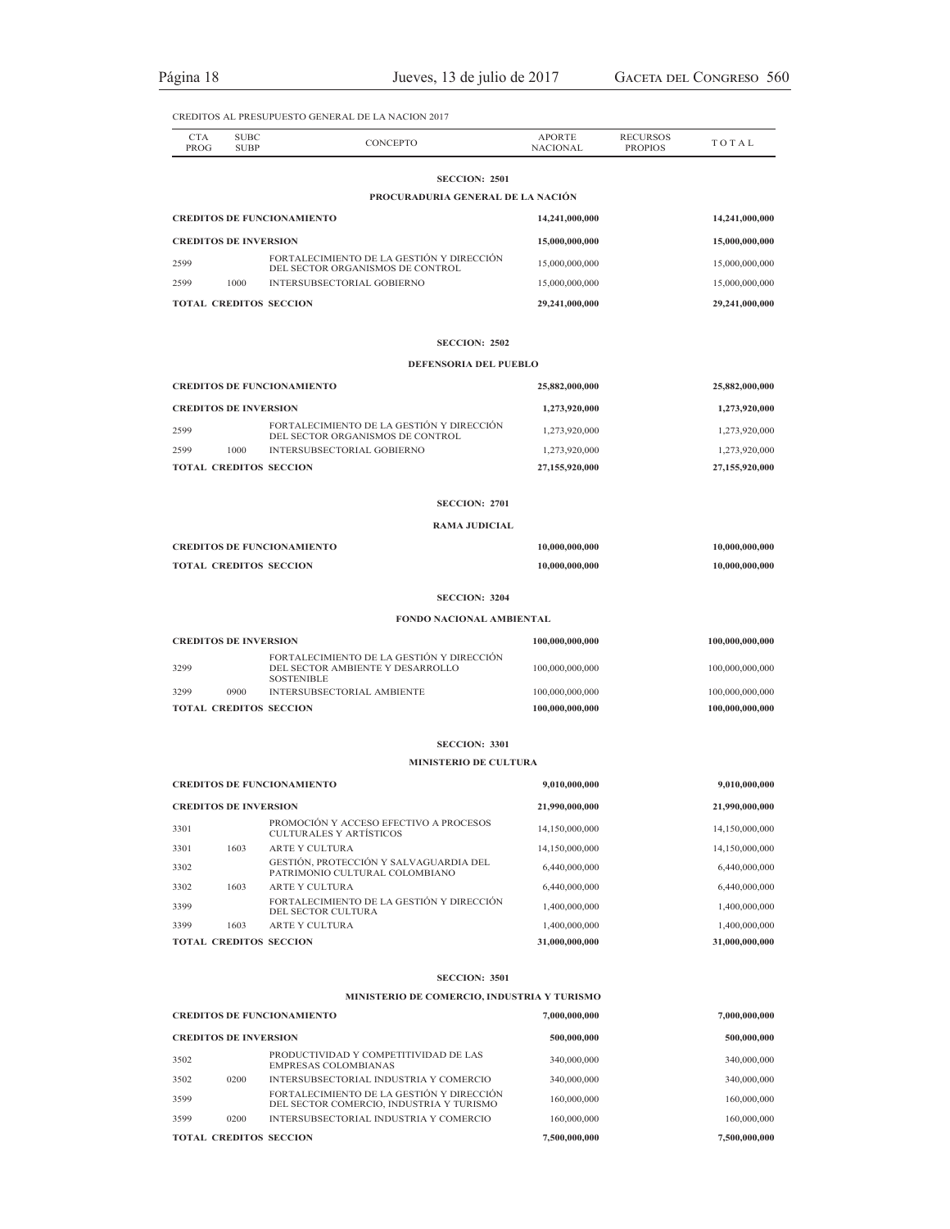| <b>CTA</b>                   | <b>SUBC</b>                  | <b>CONCEPTO</b>                                                                                    | <b>APORTE</b>   | <b>RECURSOS</b> | TOTAL           |
|------------------------------|------------------------------|----------------------------------------------------------------------------------------------------|-----------------|-----------------|-----------------|
| PROG                         | <b>SUBP</b>                  |                                                                                                    | <b>NACIONAL</b> | <b>PROPIOS</b>  |                 |
|                              |                              | <b>SECCION: 2501</b><br>PROCURADURIA GENERAL DE LA NACIÓN                                          |                 |                 |                 |
|                              |                              | <b>CREDITOS DE FUNCIONAMIENTO</b>                                                                  | 14,241,000,000  |                 | 14,241,000,000  |
|                              | <b>CREDITOS DE INVERSION</b> |                                                                                                    |                 |                 |                 |
|                              |                              | FORTALECIMIENTO DE LA GESTIÓN Y DIRECCIÓN                                                          | 15,000,000,000  |                 | 15,000,000,000  |
| 2599                         |                              | DEL SECTOR ORGANISMOS DE CONTROL                                                                   | 15,000,000,000  |                 | 15,000,000,000  |
| 2599                         | 1000                         | INTERSUBSECTORIAL GOBIERNO                                                                         | 15,000,000,000  |                 | 15,000,000,000  |
|                              |                              | <b>TOTAL CREDITOS SECCION</b>                                                                      | 29,241,000,000  |                 | 29,241,000,000  |
|                              |                              | <b>SECCION: 2502</b>                                                                               |                 |                 |                 |
|                              |                              | DEFENSORIA DEL PUEBLO                                                                              |                 |                 |                 |
|                              |                              | <b>CREDITOS DE FUNCIONAMIENTO</b>                                                                  | 25,882,000,000  |                 | 25,882,000,000  |
| <b>CREDITOS DE INVERSION</b> |                              |                                                                                                    | 1,273,920,000   |                 | 1,273,920,000   |
| 2599                         |                              | FORTALECIMIENTO DE LA GESTIÓN Y DIRECCIÓN<br>DEL SECTOR ORGANISMOS DE CONTROL                      | 1,273,920,000   |                 | 1,273,920,000   |
| 2599                         | 1000                         | INTERSUBSECTORIAL GOBIERNO                                                                         | 1,273,920,000   |                 | 1,273,920,000   |
|                              |                              | <b>TOTAL CREDITOS SECCION</b>                                                                      | 27,155,920,000  |                 | 27,155,920,000  |
|                              |                              | <b>SECCION: 2701</b>                                                                               |                 |                 |                 |
|                              |                              | <b>RAMA JUDICIAL</b>                                                                               |                 |                 |                 |
|                              |                              | <b>CREDITOS DE FUNCIONAMIENTO</b>                                                                  | 10,000,000,000  |                 | 10,000,000,000  |
|                              |                              | <b>TOTAL CREDITOS SECCION</b>                                                                      | 10,000,000,000  |                 | 10,000,000,000  |
|                              |                              | <b>SECCION: 3204</b>                                                                               |                 |                 |                 |
|                              |                              | FONDO NACIONAL AMBIENTAL                                                                           |                 |                 |                 |
|                              | <b>CREDITOS DE INVERSION</b> |                                                                                                    | 100,000,000,000 |                 | 100,000,000,000 |
| 3299                         |                              | FORTALECIMIENTO DE LA GESTIÓN Y DIRECCIÓN<br>DEL SECTOR AMBIENTE Y DESARROLLO<br><b>SOSTENIBLE</b> | 100,000,000,000 |                 | 100,000,000,000 |
| 3299                         | 0900                         | INTERSUBSECTORIAL AMBIENTE                                                                         | 100,000,000,000 |                 | 100,000,000,000 |
|                              |                              | <b>TOTAL CREDITOS SECCION</b>                                                                      | 100,000,000,000 |                 | 100,000,000,000 |
|                              |                              | <b>SECCION: 3301</b>                                                                               |                 |                 |                 |
|                              |                              | <b>MINISTERIO DE CULTURA</b>                                                                       |                 |                 |                 |
|                              |                              | <b>CREDITOS DE FUNCIONAMIENTO</b>                                                                  | 9,010,000,000   |                 | 9,010,000,000   |
|                              | <b>CREDITOS DE INVERSION</b> |                                                                                                    | 21,990,000,000  |                 | 21,990,000,000  |
| 3301                         |                              | PROMOCIÓN Y ACCESO EFECTIVO A PROCESOS<br><b>CULTURALES Y ARTÍSTICOS</b>                           | 14,150,000,000  |                 | 14,150,000,000  |
| 3301                         | 1603                         | <b>ARTE Y CULTURA</b>                                                                              | 14,150,000,000  |                 | 14,150,000,000  |
| 3302                         |                              | GESTIÓN, PROTECCIÓN Y SALVAGUARDIA DEL<br>PATRIMONIO CULTURAL COLOMBIANO                           | 6,440,000,000   |                 | 6,440,000,000   |
| 3302                         | 1603                         | <b>ARTE Y CULTURA</b>                                                                              | 6,440,000,000   |                 | 6,440,000,000   |
| 3399                         |                              | FORTALECIMIENTO DE LA GESTIÓN Y DIRECCIÓN<br>DEL SECTOR CULTURA                                    | 1,400,000,000   |                 | 1,400,000,000   |
| 3399                         | 1603                         | <b>ARTE Y CULTURA</b>                                                                              | 1,400,000,000   |                 | 1,400,000,000   |
|                              |                              | <b>TOTAL CREDITOS SECCION</b>                                                                      | 31,000,000,000  |                 | 31,000,000,000  |
|                              |                              | <b>SECCION: 3501</b>                                                                               |                 |                 |                 |
|                              |                              | MINISTERIO DE COMERCIO, INDUSTRIA Y TURISMO                                                        |                 |                 |                 |
|                              |                              | <b>CREDITOS DE FUNCIONAMIENTO</b>                                                                  | 7,000,000,000   |                 | 7,000,000,000   |
|                              | <b>CREDITOS DE INVERSION</b> |                                                                                                    | 500,000,000     |                 | 500,000,000     |
| 3502                         |                              | PRODUCTIVIDAD Y COMPETITIVIDAD DE LAS<br><b>EMPRESAS COLOMBIANAS</b>                               | 340,000,000     |                 | 340,000,000     |
| 3502                         | 0200                         | INTERSUBSECTORIAL INDUSTRIA Y COMERCIO<br>FORTALECIMIENTO DE LA GESTIÓN Y DIRECCIÓN                | 340,000,000     |                 | 340,000,000     |
| 3599                         |                              | DEL SECTOR COMERCIO, INDUSTRIA Y TURISMO                                                           | 160,000,000     |                 | 160,000,000     |
| 3599                         | 0200                         | INTERSUBSECTORIAL INDUSTRIA Y COMERCIO                                                             | 160,000,000     |                 | 160,000,000     |

**TOTAL CREDITOS SECCION 7,500,000,000 7,500,000,000**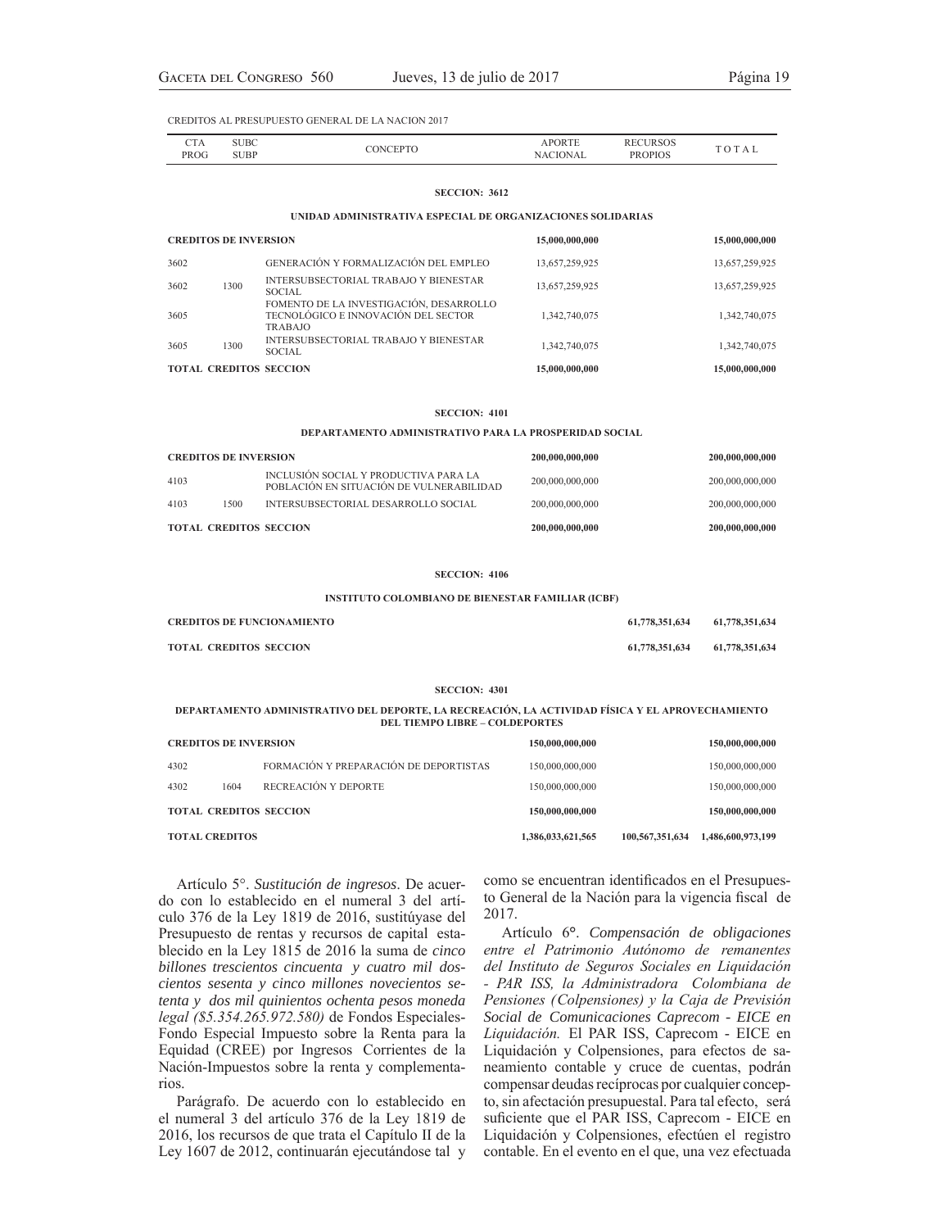| - 17        | JB0   |  |           |  |
|-------------|-------|--|-----------|--|
| <b>PROG</b> | 1 ש ר |  | ١DТ<br>ρp |  |

### **SECCION: 3612**

### **UNIDAD ADMINISTRATIVA ESPECIAL DE ORGANIZACIONES SOLIDARIAS**

| <b>CREDITOS DE INVERSION</b>  |                                                                                                  | 15,000,000,000 | 15,000,000,000 |
|-------------------------------|--------------------------------------------------------------------------------------------------|----------------|----------------|
| 3602                          | GENERACIÓN Y FORMALIZACIÓN DEL EMPLEO                                                            | 13,657,259,925 | 13,657,259,925 |
| 1300<br>3602                  | INTERSUBSECTORIAL TRABAJO Y BIENESTAR<br><b>SOCIAL</b>                                           | 13,657,259,925 | 13,657,259,925 |
| 3605                          | FOMENTO DE LA INVESTIGACIÓN, DESARROLLO<br>TECNOLÓGICO E INNOVACIÓN DEL SECTOR<br><b>TRABAJO</b> | 1,342,740,075  | 1,342,740,075  |
| 1300<br>3605                  | INTERSUBSECTORIAL TRABAJO Y BIENESTAR<br>SOCIAL.                                                 | 1,342,740,075  | 1,342,740,075  |
| <b>TOTAL CREDITOS SECCION</b> |                                                                                                  | 15,000,000,000 | 15,000,000,000 |

### **SECCION: 4101**

**DEPARTAMENTO ADMINISTRATIVO PARA LA PROSPERIDAD SOCIAL**

| <b>TOTAL CREDITOS SECCION</b> |      |                                                                                    | 200,000,000,000 | 200,000,000,000 |
|-------------------------------|------|------------------------------------------------------------------------------------|-----------------|-----------------|
| 4103                          | 1500 | INTERSUBSECTORIAL DESARROLLO SOCIAL                                                | 200,000,000,000 | 200,000,000,000 |
| 4103                          |      | INCLUSIÓN SOCIAL Y PRODUCTIVA PARA LA<br>POBLACIÓN EN SITUACIÓN DE VULNER ABILIDAD | 200,000,000,000 | 200,000,000,000 |
| <b>CREDITOS DE INVERSION</b>  |      |                                                                                    | 200,000,000,000 | 200,000,000,000 |

### **SECCION: 4106**

### **INSTITUTO COLOMBIANO DE BIENESTAR FAMILIAR (ICBF)**

| <b>CREDITOS DE FUNCIONAMIENTO</b> | 61,778,351,634 | 61,778,351,634 |
|-----------------------------------|----------------|----------------|
| <b>TOTAL CREDITOS SECCION</b>     | 61,778,351,634 | 61,778,351,634 |

#### **SECCION: 4301**

### **DEPARTAMENTO ADMINISTRATIVO DEL DEPORTE, LA RECREACIÓN, LA ACTIVIDAD FÍSICA Y EL APROVECHAMIENTO DEL TIEMPO LIBRE – COLDEPORTES**

| 4302                  | 1604 | FORMACIÓN Y PREPARACIÓN DE DEPORTISTAS<br>RECREACIÓN Y DEPORTE | 150,000,000,000<br>150,000,000,000 |                 | 150,000,000,000<br>150,000,000,000 |
|-----------------------|------|----------------------------------------------------------------|------------------------------------|-----------------|------------------------------------|
|                       |      | <b>TOTAL CREDITOS SECCION</b>                                  | 150,000,000,000                    |                 | 150,000,000,000                    |
| <b>TOTAL CREDITOS</b> |      |                                                                | 1,386,033,621,565                  | 100.567.351.634 | 1,486,600,973,199                  |

Artículo 5°. *Sustitución de ingresos*. De acuerdo con lo establecido en el numeral 3 del artículo 376 de la Ley 1819 de 2016, sustitúyase del Presupuesto de rentas y recursos de capital establecido en la Ley 1815 de 2016 la suma de *cinco billones trescientos cincuenta y cuatro mil doscientos sesenta y cinco millones novecientos setenta y dos mil quinientos ochenta pesos moneda*  legal (\$5.354.265.972.580) de Fondos Especiales-Fondo Especial Impuesto sobre la Renta para la Equidad (CREE) por Ingresos Corrientes de la Nación-Impuestos sobre la renta y complementarios.

Parágrafo. De acuerdo con lo establecido en el numeral 3 del artículo 376 de la Ley 1819 de 2016, los recursos de que trata el Capítulo II de la Ley 1607 de 2012, continuarán ejecutándose tal y como se encuentran identificados en el Presupuesto General de la Nación para la vigencia fiscal de 2017.

Artículo 6**°**. *Compensación de obligaciones entre el Patrimonio Autónomo de remanentes* del Instituto de Seguros Sociales en Liquidación - PAR ISS, la Administradora Colombiana de Pensiones (Colpensiones) y la Caja de Previsión *Social de Comunicaciones Caprecom - EICE en*  Liquidación. El PAR ISS, Caprecom - EICE en Liquidación y Colpensiones, para efectos de saneamiento contable y cruce de cuentas, podrán compensar deudas recíprocas por cualquier concepto, sin afectación presupuestal. Para tal efecto, será suficiente que el PAR ISS, Caprecom - EICE en Liquidación y Colpensiones, efectúen el registro contable. En el evento en el que, una vez efectuada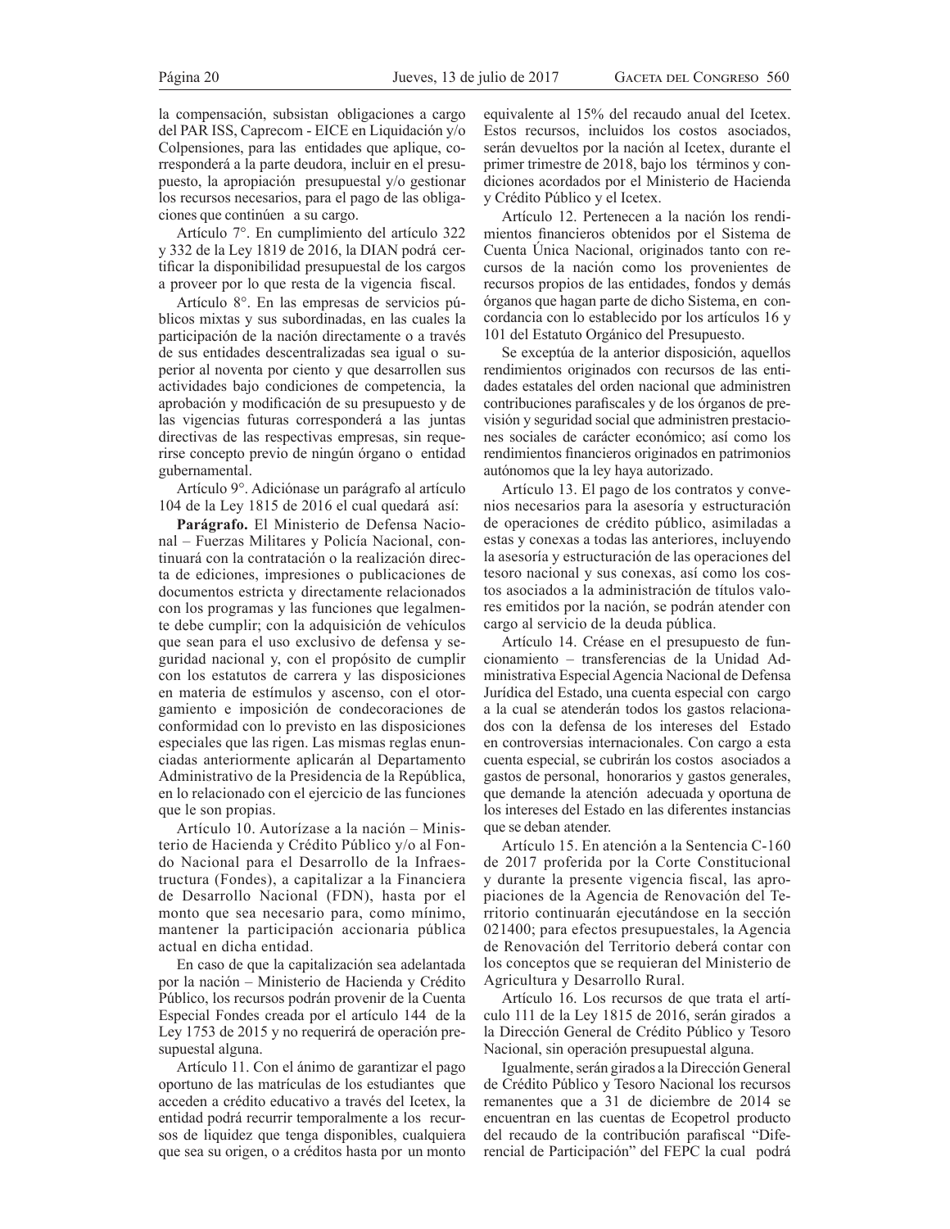la compensación, subsistan obligaciones a cargo del PAR ISS, Caprecom - EICE en Liquidación y/o Colpensiones, para las entidades que aplique, corresponderá a la parte deudora, incluir en el presupuesto, la apropiación presupuestal y/o gestionar los recursos necesarios, para el pago de las obligaciones que continúen a su cargo.

Artículo 7°. En cumplimiento del artículo 322 y 332 de la Ley 1819 de 2016, la DIAN podrá certificar la disponibilidad presupuestal de los cargos a proveer por lo que resta de la vigencia fiscal.

Artículo 8°. En las empresas de servicios públicos mixtas y sus subordinadas, en las cuales la participación de la nación directamente o a través de sus entidades descentralizadas sea igual o superior al noventa por ciento y que desarrollen sus actividades bajo condiciones de competencia, la aprobación y modificación de su presupuesto y de las vigencias futuras corresponderá a las juntas directivas de las respectivas empresas, sin requerirse concepto previo de ningún órgano o entidad gubernamental.

Artículo 9°. Adiciónase un parágrafo al artículo 104 de la Ley 1815 de 2016 el cual quedará así:

**Parágrafo.** El Ministerio de Defensa Nacional - Fuerzas Militares y Policía Nacional, continuará con la contratación o la realización directa de ediciones, impresiones o publicaciones de documentos estricta y directamente relacionados con los programas y las funciones que legalmente debe cumplir; con la adquisición de vehículos que sean para el uso exclusivo de defensa y seguridad nacional y, con el propósito de cumplir con los estatutos de carrera y las disposiciones en materia de estímulos y ascenso, con el otorgamiento e imposición de condecoraciones de conformidad con lo previsto en las disposiciones especiales que las rigen. Las mismas reglas enunciadas anteriormente aplicarán al Departamento Administrativo de la Presidencia de la República, en lo relacionado con el ejercicio de las funciones que le son propias.

Artículo 10. Autorízase a la nación - Ministerio de Hacienda y Crédito Público y/o al Fondo Nacional para el Desarrollo de la Infraestructura (Fondes), a capitalizar a la Financiera de Desarrollo Nacional (FDN), hasta por el monto que sea necesario para, como mínimo, mantener la participación accionaria pública actual en dicha entidad.

En caso de que la capitalización sea adelantada por la nación – Ministerio de Hacienda y Crédito Público, los recursos podrán provenir de la Cuenta Especial Fondes creada por el artículo 144 de la Ley 1753 de 2015 y no requerirá de operación presupuestal alguna.

Artículo 11. Con el ánimo de garantizar el pago oportuno de las matrículas de los estudiantes que acceden a crédito educativo a través del Icetex, la entidad podrá recurrir temporalmente a los recursos de liquidez que tenga disponibles, cualquiera que sea su origen, o a créditos hasta por un monto

equivalente al 15% del recaudo anual del Icetex. Estos recursos, incluidos los costos asociados, serán devueltos por la nación al Icetex, durante el primer trimestre de 2018, bajo los términos y condiciones acordados por el Ministerio de Hacienda y Crédito Público y el Icetex.

Artículo 12. Pertenecen a la nación los rendimientos financieros obtenidos por el Sistema de Cuenta Única Nacional, originados tanto con recursos de la nación como los provenientes de recursos propios de las entidades, fondos y demás órganos que hagan parte de dicho Sistema, en concordancia con lo establecido por los artículos 16 y 101 del Estatuto Orgánico del Presupuesto.

Se exceptúa de la anterior disposición, aquellos rendimientos originados con recursos de las entidades estatales del orden nacional que administren contribuciones parafiscales y de los órganos de previsión y seguridad social que administren prestaciones sociales de carácter económico; así como los rendimientos financieros originados en patrimonios autónomos que la ley haya autorizado.

Artículo 13. El pago de los contratos y convenios necesarios para la asesoría y estructuración de operaciones de crédito público, asimiladas a estas y conexas a todas las anteriores, incluyendo la asesoría y estructuración de las operaciones del tesoro nacional y sus conexas, así como los costos asociados a la administración de títulos valores emitidos por la nación, se podrán atender con cargo al servicio de la deuda pública.

Artículo 14. Créase en el presupuesto de funcionamiento – transferencias de la Unidad Administrativa Especial Agencia Nacional de Defensa Jurídica del Estado, una cuenta especial con cargo a la cual se atenderán todos los gastos relacionados con la defensa de los intereses del Estado en controversias internacionales. Con cargo a esta cuenta especial, se cubrirán los costos asociados a gastos de personal, honorarios y gastos generales, que demande la atención adecuada y oportuna de los intereses del Estado en las diferentes instancias que se deban atender.

Artículo 15. En atención a la Sentencia C-160 de 2017 proferida por la Corte Constitucional y durante la presente vigencia fiscal, las apropiaciones de la Agencia de Renovación del Territorio continuarán ejecutándose en la sección 021400; para efectos presupuestales, la Agencia de Renovación del Territorio deberá contar con los conceptos que se requieran del Ministerio de Agricultura y Desarrollo Rural.

Artículo 16. Los recursos de que trata el artículo 111 de la Ley 1815 de 2016, serán girados a la Dirección General de Crédito Público y Tesoro Nacional, sin operación presupuestal alguna.

Igualmente, serán girados a la Dirección General de Crédito Público y Tesoro Nacional los recursos remanentes que a 31 de diciembre de 2014 se encuentran en las cuentas de Ecopetrol producto del recaudo de la contribución parafiscal "Diferencial de Participación" del FEPC la cual podrá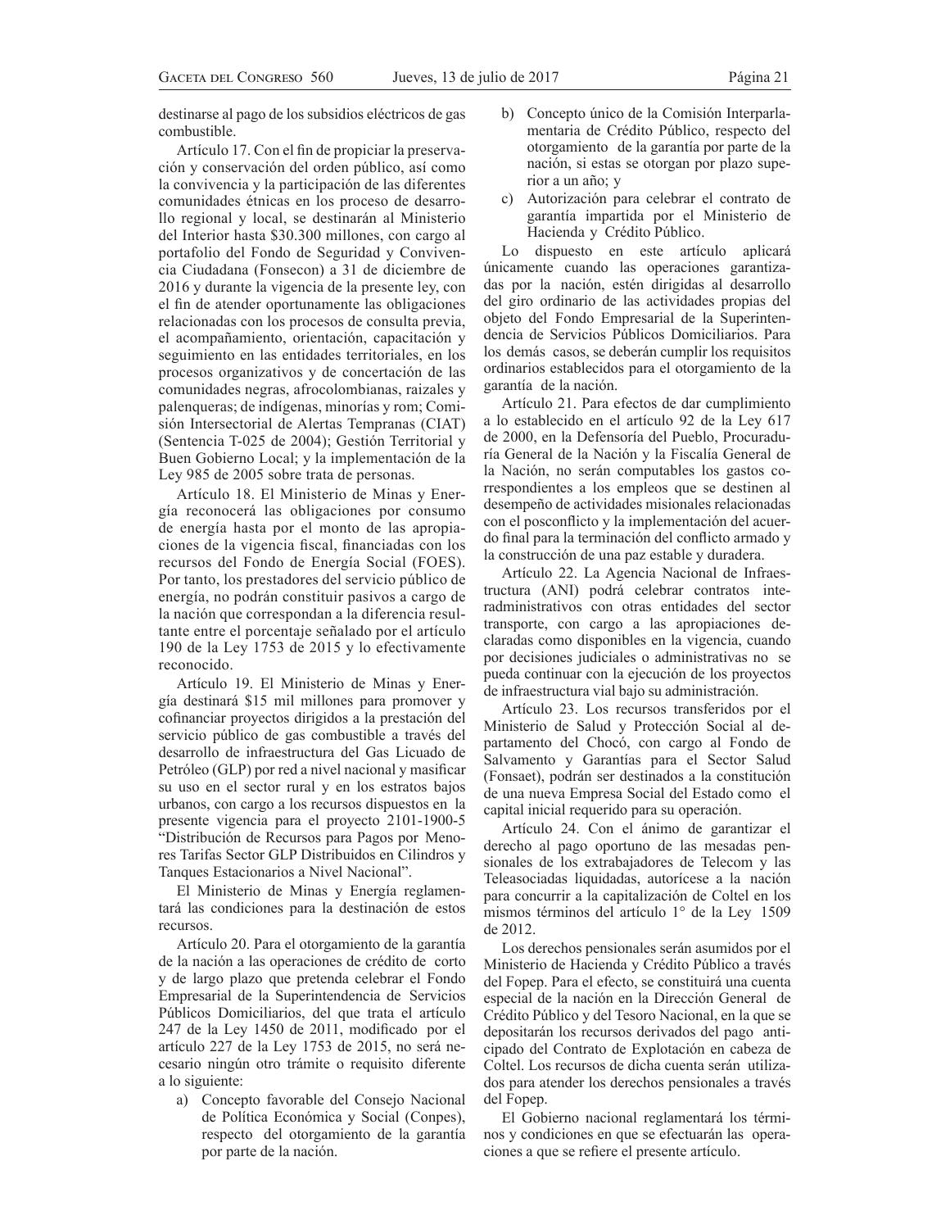destinarse al pago de los subsidios eléctricos de gas combustible.

Artículo 17. Con el fin de propiciar la preservación y conservación del orden público, así como la convivencia y la participación de las diferentes comunidades étnicas en los proceso de desarrollo regional y local, se destinarán al Ministerio del Interior hasta \$30.300 millones, con cargo al portafolio del Fondo de Seguridad y Convivencia Ciudadana (Fonsecon) a 31 de diciembre de 2016 y durante la vigencia de la presente ley, con el fin de atender oportunamente las obligaciones relacionadas con los procesos de consulta previa, el acompañamiento, orientación, capacitación y seguimiento en las entidades territoriales, en los procesos organizativos y de concertación de las comunidades negras, afrocolombianas, raizales y palenqueras; de indígenas, minorías y rom; Comisión Intersectorial de Alertas Tempranas (CIAT) (Sentencia T-025 de 2004); Gestión Territorial y Buen Gobierno Local; y la implementación de la Ley 985 de 2005 sobre trata de personas.

Artículo 18. El Ministerio de Minas y Energía reconocerá las obligaciones por consumo de energía hasta por el monto de las apropiaciones de la vigencia fiscal, financiadas con los recursos del Fondo de Energía Social (FOES). Por tanto, los prestadores del servicio público de energía, no podrán constituir pasivos a cargo de la nación que correspondan a la diferencia resultante entre el porcentaje señalado por el artículo 190 de la Ley 1753 de 2015 y lo efectivamente reconocido.

Artículo 19. El Ministerio de Minas y Energía destinará \$15 mil millones para promover y cofinanciar proyectos dirigidos a la prestación del servicio público de gas combustible a través del desarrollo de infraestructura del Gas Licuado de Petróleo (GLP) por red a nivel nacional y masificar su uso en el sector rural y en los estratos bajos urbanos, con cargo a los recursos dispuestos en la presente vigencia para el proyecto 2101-1900-5 "Distribución de Recursos para Pagos por Menores Tarifas Sector GLP Distribuidos en Cilindros y Tanques Estacionarios a Nivel Nacional".

El Ministerio de Minas y Energía reglamentará las condiciones para la destinación de estos recursos.

Artículo 20. Para el otorgamiento de la garantía de la nación a las operaciones de crédito de corto y de largo plazo que pretenda celebrar el Fondo Empresarial de la Superintendencia de Servicios Públicos Domiciliarios, del que trata el artículo 247 de la Ley 1450 de 2011, modificado por el artículo 227 de la Ley 1753 de 2015, no será necesario ningún otro trámite o requisito diferente a lo siguiente:

a) Concepto favorable del Consejo Nacional de Política Económica y Social (Conpes), respecto del otorgamiento de la garantía por parte de la nación.

- b) Concepto único de la Comisión Interparlamentaria de Crédito Público, respecto del otorgamiento de la garantía por parte de la nación, si estas se otorgan por plazo superior a un año; y
- c) Autorización para celebrar el contrato de garantía impartida por el Ministerio de Hacienda y Crédito Público.

Lo dispuesto en este artículo aplicará únicamente cuando las operaciones garantizadas por la nación, estén dirigidas al desarrollo del giro ordinario de las actividades propias del objeto del Fondo Empresarial de la Superintendencia de Servicios Públicos Domiciliarios. Para los demás casos, se deberán cumplir los requisitos ordinarios establecidos para el otorgamiento de la garantía de la nación.

Artículo 21. Para efectos de dar cumplimiento a lo establecido en el artículo 92 de la Ley 617 de 2000, en la Defensoría del Pueblo, Procuraduría General de la Nación y la Fiscalía General de la Nación, no serán computables los gastos correspondientes a los empleos que se destinen al desempeño de actividades misionales relacionadas con el posconflicto y la implementación del acuerdo final para la terminación del conflicto armado y la construcción de una paz estable y duradera.

Artículo 22. La Agencia Nacional de Infraestructura (ANI) podrá celebrar contratos interadministrativos con otras entidades del sector transporte, con cargo a las apropiaciones declaradas como disponibles en la vigencia, cuando por decisiones judiciales o administrativas no se pueda continuar con la ejecución de los proyectos de infraestructura vial bajo su administración.

Artículo 23. Los recursos transferidos por el Ministerio de Salud y Protección Social al departamento del Chocó, con cargo al Fondo de Salvamento y Garantías para el Sector Salud (Fonsaet), podrán ser destinados a la constitución de una nueva Empresa Social del Estado como el capital inicial requerido para su operación.

Artículo 24. Con el ánimo de garantizar el derecho al pago oportuno de las mesadas pensionales de los extrabajadores de Telecom y las Teleasociadas liquidadas, autorícese a la nación para concurrir a la capitalización de Coltel en los mismos términos del artículo 1° de la Ley 1509 de 2012.

Los derechos pensionales serán asumidos por el Ministerio de Hacienda y Crédito Público a través del Fopep. Para el efecto, se constituirá una cuenta especial de la nación en la Dirección General de Crédito Público y del Tesoro Nacional, en la que se depositarán los recursos derivados del pago anticipado del Contrato de Explotación en cabeza de Coltel. Los recursos de dicha cuenta serán utilizados para atender los derechos pensionales a través del Fopep.

El Gobierno nacional reglamentará los términos y condiciones en que se efectuarán las operaciones a que se refiere el presente artículo.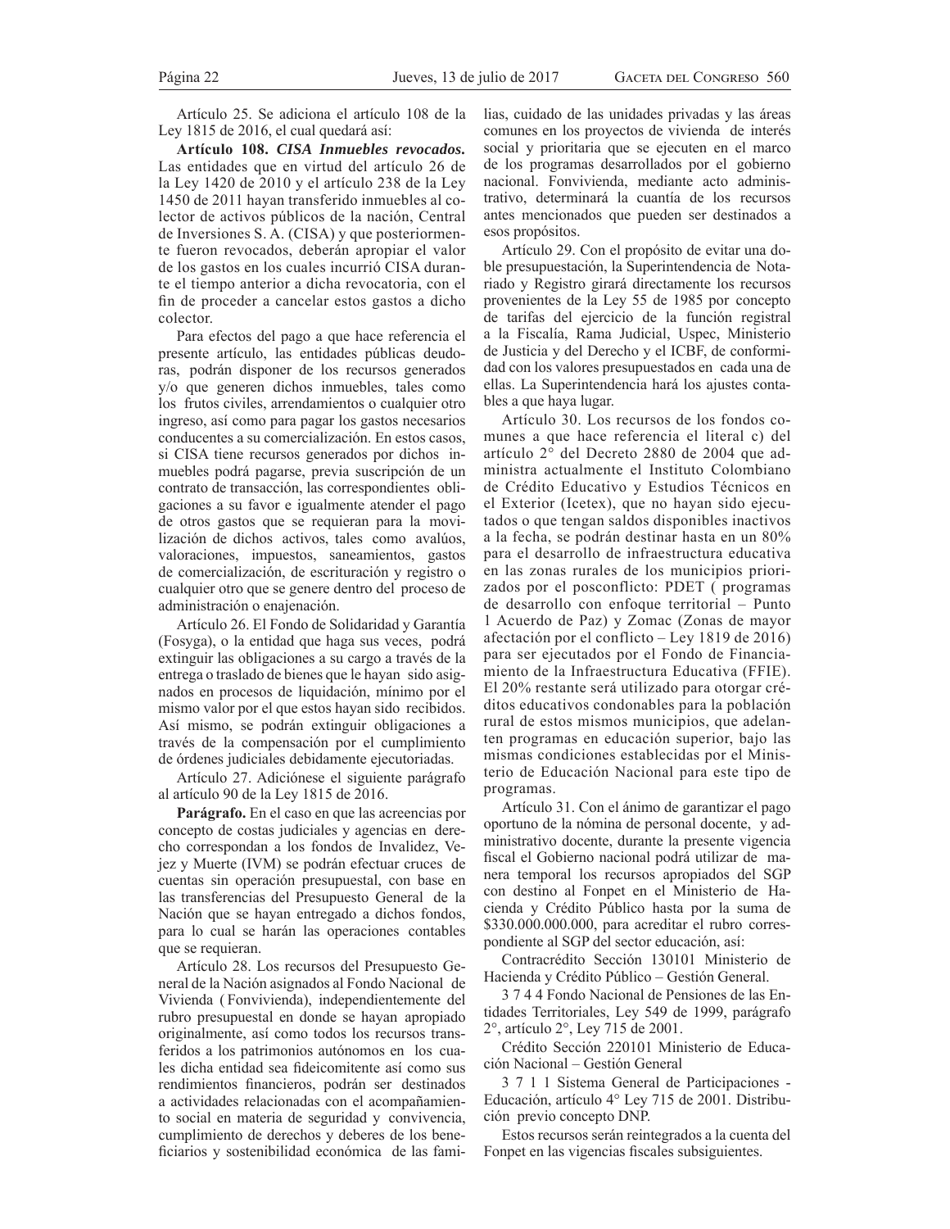Artículo 25. Se adiciona el artículo 108 de la Ley 1815 de 2016, el cual quedará así:

**Artículo 108.** *CISA Inmuebles revocados.* Las entidades que en virtud del artículo 26 de la Ley 1420 de 2010 y el artículo 238 de la Ley 1450 de 2011 hayan transferido inmuebles al colector de activos públicos de la nación, Central de Inversiones S. A. (CISA) y que posteriormente fueron revocados, deberán apropiar el valor de los gastos en los cuales incurrió CISA durante el tiempo anterior a dicha revocatoria, con el fin de proceder a cancelar estos gastos a dicho colector.

Para efectos del pago a que hace referencia el presente artículo, las entidades públicas deudoras, podrán disponer de los recursos generados  $V/O$  que generen dichos inmuebles, tales como los frutos civiles, arrendamientos o cualquier otro ingreso, así como para pagar los gastos necesarios conducentes a su comercialización. En estos casos, si CISA tiene recursos generados por dichos inmuebles podrá pagarse, previa suscripción de un contrato de transacción, las correspondientes obligaciones a su favor e igualmente atender el pago de otros gastos que se requieran para la movilización de dichos activos, tales como avalúos, valoraciones, impuestos, saneamientos, gastos de comercialización, de escrituración y registro o cualquier otro que se genere dentro del proceso de administración o enajenación.

Artículo 26. El Fondo de Solidaridad y Garantía (Fosyga), o la entidad que haga sus veces, podrá extinguir las obligaciones a su cargo a través de la entrega o traslado de bienes que le hayan sido asignados en procesos de liquidación, mínimo por el mismo valor por el que estos hayan sido recibidos. Así mismo, se podrán extinguir obligaciones a través de la compensación por el cumplimiento de órdenes judiciales debidamente ejecutoriadas.

Artículo 27. Adiciónese el siguiente parágrafo al artículo 90 de la Ley 1815 de 2016.

**Parágrafo.** En el caso en que las acreencias por concepto de costas judiciales y agencias en derecho correspondan a los fondos de Invalidez, Vejez y Muerte (IVM) se podrán efectuar cruces de cuentas sin operación presupuestal, con base en las transferencias del Presupuesto General de la Nación que se hayan entregado a dichos fondos, para lo cual se harán las operaciones contables que se requieran.

Artículo 28. Los recursos del Presupuesto General de la Nación asignados al Fondo Nacional de Vivienda ( Fonvivienda), independientemente del rubro presupuestal en donde se hayan apropiado originalmente, así como todos los recursos transferidos a los patrimonios autónomos en los cuales dicha entidad sea fideicomitente así como sus rendimientos financieros, podrán ser destinados a actividades relacionadas con el acompañamiento social en materia de seguridad y convivencia, cumplimiento de derechos y deberes de los beneficiarios y sostenibilidad económica de las familias, cuidado de las unidades privadas y las áreas comunes en los proyectos de vivienda de interés social y prioritaria que se ejecuten en el marco de los programas desarrollados por el gobierno nacional. Fonvivienda, mediante acto administrativo, determinará la cuantía de los recursos antes mencionados que pueden ser destinados a esos propósitos.

Artículo 29. Con el propósito de evitar una doble presupuestación, la Superintendencia de Notariado y Registro girará directamente los recursos provenientes de la Ley 55 de 1985 por concepto de tarifas del ejercicio de la función registral a la Fiscalía, Rama Judicial, Uspec, Ministerio de Justicia y del Derecho y el ICBF, de conformidad con los valores presupuestados en cada una de ellas. La Superintendencia hará los ajustes contables a que haya lugar.

Artículo 30. Los recursos de los fondos comunes a que hace referencia el literal c) del artículo 2° del Decreto 2880 de 2004 que administra actualmente el Instituto Colombiano de Crédito Educativo y Estudios Técnicos en el Exterior (Icetex), que no hayan sido ejecutados o que tengan saldos disponibles inactivos a la fecha, se podrán destinar hasta en un 80% para el desarrollo de infraestructura educativa en las zonas rurales de los municipios priorizados por el posconflicto: PDET (programas de desarrollo con enfoque territorial - Punto 1 Acuerdo de Paz) y Zomac (Zonas de mayor afectación por el conflicto – Ley 1819 de 2016) para ser ejecutados por el Fondo de Financiamiento de la Infraestructura Educativa (FFIE). El 20% restante será utilizado para otorgar créditos educativos condonables para la población rural de estos mismos municipios, que adelanten programas en educación superior, bajo las mismas condiciones establecidas por el Ministerio de Educación Nacional para este tipo de programas.

Artículo 31. Con el ánimo de garantizar el pago oportuno de la nómina de personal docente, y administrativo docente, durante la presente vigencia fiscal el Gobierno nacional podrá utilizar de manera temporal los recursos apropiados del SGP con destino al Fonpet en el Ministerio de Hacienda y Crédito Público hasta por la suma de \$330.000.000.000, para acreditar el rubro correspondiente al SGP del sector educación, así:

Contracrédito Sección 130101 Ministerio de Hacienda y Crédito Público – Gestión General.

3 7 4 4 Fondo Nacional de Pensiones de las Entidades Territoriales, Ley 549 de 1999, parágrafo 2°, artículo 2°, Ley 715 de 2001.

Crédito Sección 220101 Ministerio de Educación Nacional – Gestión General

3 7 1 1 Sistema General de Participaciones - Educación, artículo 4° Ley 715 de 2001. Distribución previo concepto DNP.

Estos recursos serán reintegrados a la cuenta del Fonpet en las vigencias fiscales subsiguientes.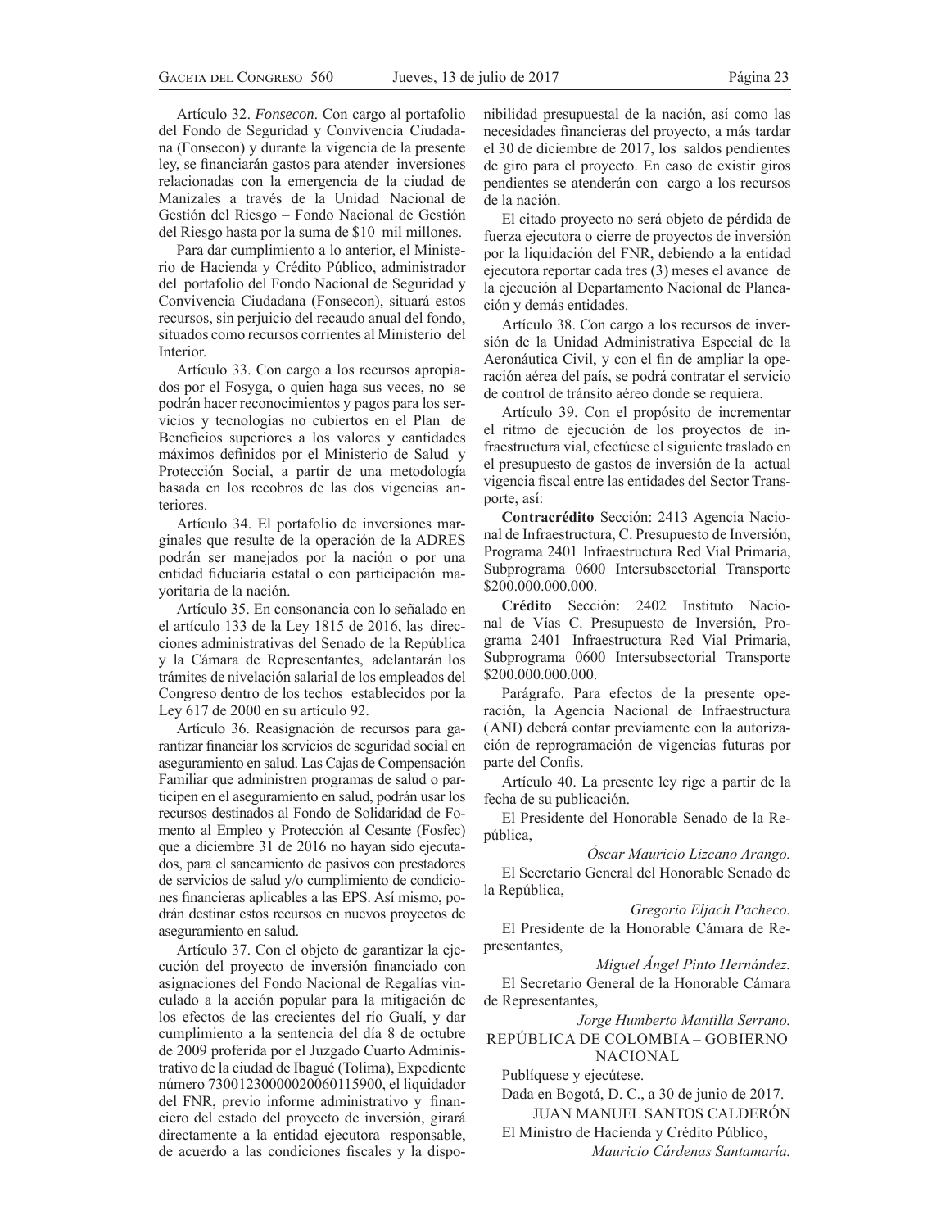Artículo 32. *Fonsecon*. Con cargo al portafolio del Fondo de Seguridad y Convivencia Ciudadana (Fonsecon) y durante la vigencia de la presente ley, se financiarán gastos para atender inversiones relacionadas con la emergencia de la ciudad de Manizales a través de la Unidad Nacional de Gestión del Riesgo – Fondo Nacional de Gestión del Riesgo hasta por la suma de \$10 mil millones.

Para dar cumplimiento a lo anterior, el Ministerio de Hacienda y Crédito Público, administrador del portafolio del Fondo Nacional de Seguridad y Convivencia Ciudadana (Fonsecon), situará estos recursos, sin perjuicio del recaudo anual del fondo, situados como recursos corrientes al Ministerio del Interior.

Artículo 33. Con cargo a los recursos apropiados por el Fosyga, o quien haga sus veces, no se podrán hacer reconocimientos y pagos para los servicios y tecnologías no cubiertos en el Plan de Beneficios superiores a los valores y cantidades máximos definidos por el Ministerio de Salud y Protección Social, a partir de una metodología basada en los recobros de las dos vigencias anteriores.

Artículo 34. El portafolio de inversiones marginales que resulte de la operación de la ADRES podrán ser manejados por la nación o por una entidad fiduciaria estatal o con participación mayoritaria de la nación.

Artículo 35. En consonancia con lo señalado en el artículo 133 de la Ley 1815 de 2016, las direcciones administrativas del Senado de la República y la Cámara de Representantes, adelantarán los trámites de nivelación salarial de los empleados del Congreso dentro de los techos establecidos por la Ley 617 de 2000 en su artículo 92.

Artículo 36. Reasignación de recursos para garantizar financiar los servicios de seguridad social en aseguramiento en salud. Las Cajas de Compensación Familiar que administren programas de salud o participen en el aseguramiento en salud, podrán usar los recursos destinados al Fondo de Solidaridad de Fomento al Empleo y Protección al Cesante (Fosfec) que a diciembre 31 de 2016 no hayan sido ejecutados, para el saneamiento de pasivos con prestadores de servicios de salud y/o cumplimiento de condiciones financieras aplicables a las EPS. Así mismo, podrán destinar estos recursos en nuevos proyectos de aseguramiento en salud.

Artículo 37. Con el objeto de garantizar la ejecución del proyecto de inversión financiado con asignaciones del Fondo Nacional de Regalías vinculado a la acción popular para la mitigación de los efectos de las crecientes del río Gualí, y dar cumplimiento a la sentencia del día 8 de octubre de 2009 proferida por el Juzgado Cuarto Administrativo de la ciudad de Ibagué (Tolima), Expediente número 73001230000020060115900, el liquidador del FNR, previo informe administrativo y financiero del estado del proyecto de inversión, girará directamente a la entidad ejecutora responsable, de acuerdo a las condiciones fiscales y la disponibilidad presupuestal de la nación, así como las necesidades financieras del proyecto, a más tardar el 30 de diciembre de 2017, los saldos pendientes de giro para el proyecto. En caso de existir giros pendientes se atenderán con cargo a los recursos de la nación.

El citado proyecto no será objeto de pérdida de fuerza ejecutora o cierre de proyectos de inversión por la liquidación del FNR, debiendo a la entidad ejecutora reportar cada tres (3) meses el avance de la ejecución al Departamento Nacional de Planeación y demás entidades.

Artículo 38. Con cargo a los recursos de inversión de la Unidad Administrativa Especial de la Aeronáutica Civil, y con el fin de ampliar la operación aérea del país, se podrá contratar el servicio de control de tránsito aéreo donde se requiera.

Artículo 39. Con el propósito de incrementar el ritmo de ejecución de los proyectos de infraestructura vial, efectúese el siguiente traslado en el presupuesto de gastos de inversión de la actual vigencia fiscal entre las entidades del Sector Transporte, así:

**Contracrédito** Sección: 2413 Agencia Nacional de Infraestructura, C. Presupuesto de Inversión, Programa 2401 Infraestructura Red Vial Primaria, Subprograma 0600 Intersubsectorial Transporte \$200.000.000.000.

**Crédito** Sección: 2402 Instituto Nacional de Vías C. Presupuesto de Inversión, Programa 2401 Infraestructura Red Vial Primaria, Subprograma 0600 Intersubsectorial Transporte \$200.000.000.000.

Parágrafo. Para efectos de la presente operación, la Agencia Nacional de Infraestructura  $(ANI)$  deberá contar previamente con la autorización de reprogramación de vigencias futuras por parte del Confis.

Artículo 40. La presente ley rige a partir de la fecha de su publicación.

El Presidente del Honorable Senado de la República,

 $\dot{O}$ *Scar Mauricio Lizcano Arango.* 

El Secretario General del Honorable Senado de la República,

*Gregorio Eljach Pacheco.* El Presidente de la Honorable Cámara de Re-

*Miguel Ángel Pinto Hernández.* 

El Secretario General de la Honorable Cámara de Representantes,

*Jorge Humberto Mantilla Serrano.* REPÚBLICA DE COLOMBIA – GOBIERNO NACIONAL

Publíquese y ejecútese.

presentantes,

Dada en Bogotá, D. C., a 30 de junio de 2017. JUAN MANUEL SANTOS CALDERÓN

El Ministro de Hacienda y Crédito Público, *Mauricio Cárdenas Santamaría.*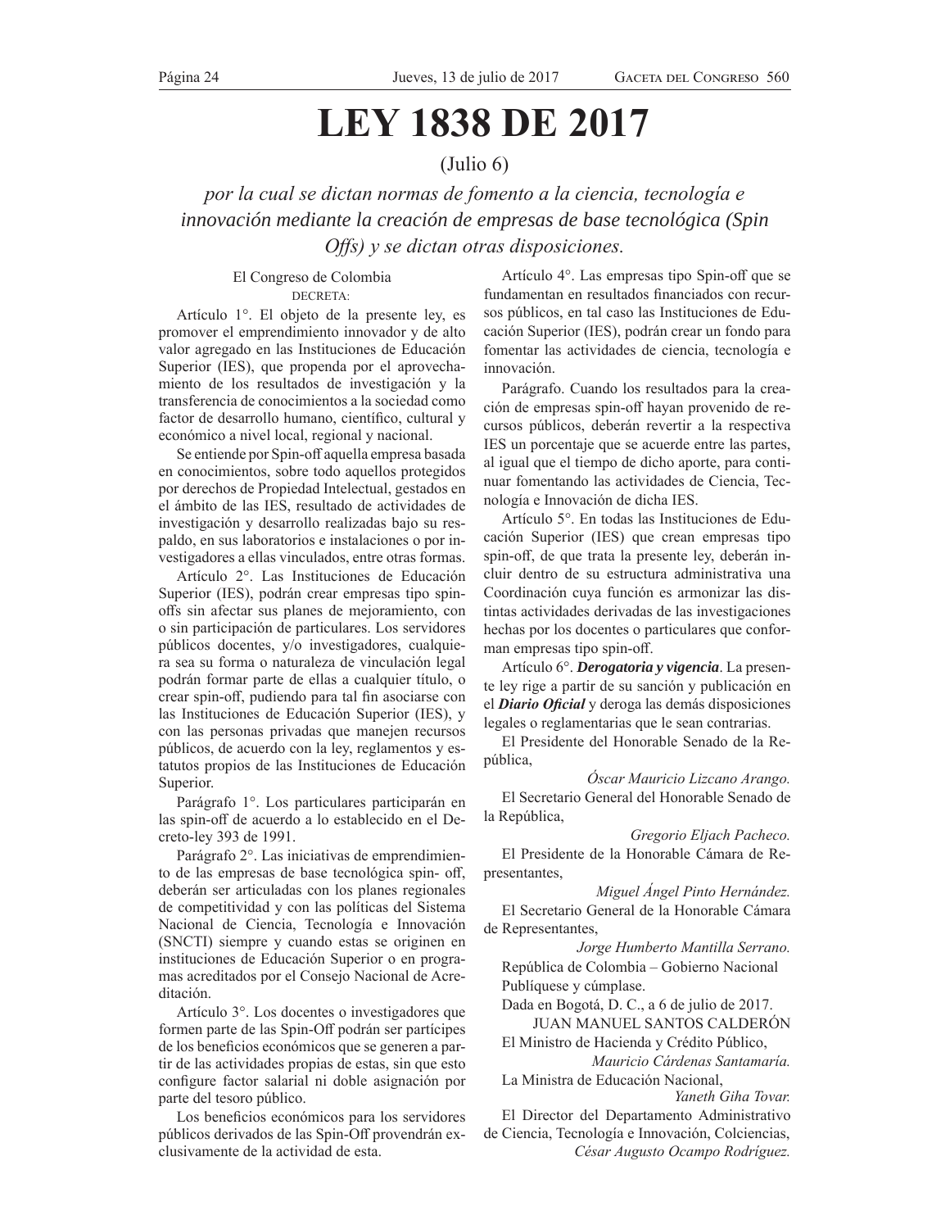# **LEY 1838 DE 2017**

# (Julio 6)

*por la cual se dictan normas de fomento a la ciencia, tecnología e innovación mediante la creación de empresas de base tecnológica (Spin Offs*) y se dictan otras disposiciones.

# El Congreso de Colombia DECRETA:

Artículo 1°. El objeto de la presente ley, es promover el emprendimiento innovador y de alto valor agregado en las Instituciones de Educación Superior (IES), que propenda por el aprovechamiento de los resultados de investigación y la transferencia de conocimientos a la sociedad como factor de desarrollo humano, científico, cultural y económico a nivel local, regional y nacional.

Se entiende por Spin-off aquella empresa basada en conocimientos, sobre todo aquellos protegidos por derechos de Propiedad Intelectual, gestados en el ámbito de las IES, resultado de actividades de investigación y desarrollo realizadas bajo su respaldo, en sus laboratorios e instalaciones o por investigadores a ellas vinculados, entre otras formas.

Artículo 2°. Las Instituciones de Educación Superior (IES), podrán crear empresas tipo spinoffs sin afectar sus planes de mejoramiento, con o sin participación de particulares. Los servidores públicos docentes, y/o investigadores, cualquiera sea su forma o naturaleza de vinculación legal podrán formar parte de ellas a cualquier título, o crear spin-off, pudiendo para tal fin asociarse con las Instituciones de Educación Superior (IES), y con las personas privadas que manejen recursos públicos, de acuerdo con la ley, reglamentos y estatutos propios de las Instituciones de Educación Superior.

Parágrafo 1°. Los particulares participarán en las spin-off de acuerdo a lo establecido en el Decreto-ley 393 de 1991.

Parágrafo 2°. Las iniciativas de emprendimiento de las empresas de base tecnológica spin- off, deberán ser articuladas con los planes regionales de competitividad y con las políticas del Sistema Nacional de Ciencia, Tecnología e Innovación (SNCTI) siempre y cuando estas se originen en instituciones de Educación Superior o en programas acreditados por el Consejo Nacional de Acreditación.

Artículo  $3^\circ$ . Los docentes o investigadores que formen parte de las Spin-Off podrán ser partícipes de los beneficios económicos que se generen a partir de las actividades propias de estas, sin que esto configure factor salarial ni doble asignación por parte del tesoro público.

Los beneficios económicos para los servidores públicos derivados de las Spin-Off provendrán exclusivamente de la actividad de esta.

Artículo 4°. Las empresas tipo Spin-off que se fundamentan en resultados financiados con recursos públicos, en tal caso las Instituciones de Educación Superior (IES), podrán crear un fondo para fomentar las actividades de ciencia, tecnología e innovación.

Parágrafo. Cuando los resultados para la creación de empresas spin-off hayan provenido de recursos públicos, deberán revertir a la respectiva IES un porcentaje que se acuerde entre las partes, al igual que el tiempo de dicho aporte, para continuar fomentando las actividades de Ciencia, Tecnología e Innovación de dicha IES.

Artículo 5°. En todas las Instituciones de Educación Superior (IES) que crean empresas tipo spin-off, de que trata la presente ley, deberán incluir dentro de su estructura administrativa una Coordinación cuya función es armonizar las distintas actividades derivadas de las investigaciones hechas por los docentes o particulares que conforman empresas tipo spin-off.

Artículo 6°. *Derogatoria y vigencia*. La presente ley rige a partir de su sanción y publicación en el *Diario Oficial* y deroga las demás disposiciones legales o reglamentarias que le sean contrarias.

El Presidente del Honorable Senado de la República,

 $\dot{O}$ *Scar Mauricio Lizcano Arango.* 

El Secretario General del Honorable Senado de la República,

Gregorio Eljach Pacheco.

El Presidente de la Honorable Cámara de Representantes,

*Miguel Ángel Pinto Hernández.* 

El Secretario General de la Honorable Cámara de Representantes,

*Jorge Humberto Mantilla Serrano.* República de Colombia – Gobierno Nacional Publíquese y cúmplase.

Dada en Bogotá, D. C., a 6 de julio de 2017. JUAN MANUEL SANTOS CALDERÓN

El Ministro de Hacienda y Crédito Público, *Mauricio Cárdenas Santamaría.* 

La Ministra de Educación Nacional, Yaneth Giha Tovar.

El Director del Departamento Administrativo de Ciencia, Tecnología e Innovación, Colciencias,

César Augusto Ocampo Rodríguez.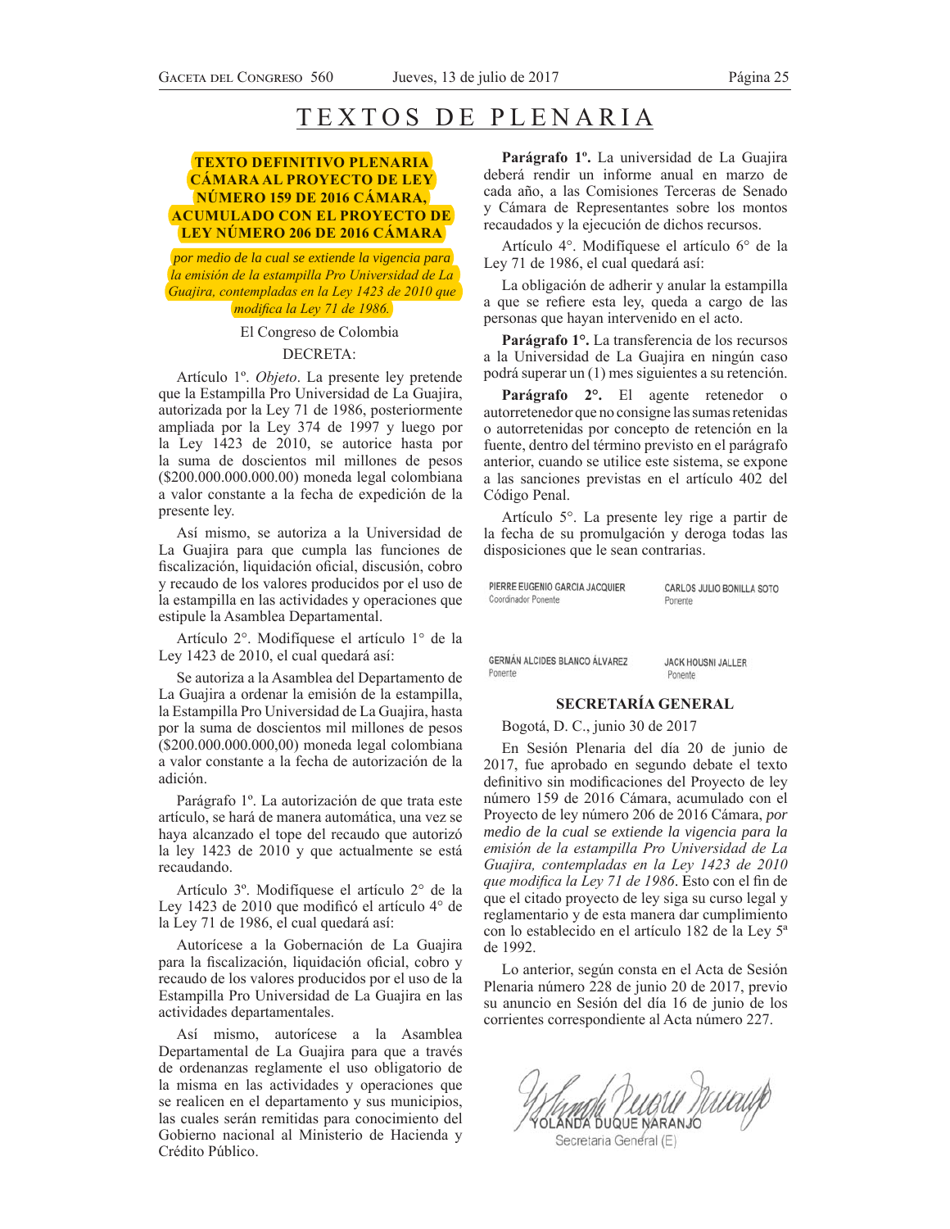# TEXTOS DE PLENARIA

# **TEXTO DEFINITIVO PLENARIA CÁMARA AL PROYECTO DE LEY NÚMERO 159 DE 2016 CÁMARA, ACUMULADO CON EL PROYECTO DE LEY NÚMERO 206 DE 2016 CÁMARA**

*por medio de la cual se extiende la vigencia para la emisión de la estampilla Pro Universidad de La Guajira, contempladas en la Ley 1423 de 2010 que Prodifica la Ley 71 de 1986.* 

# El Congreso de Colombia DECRETA:

Artículo 1º. Objeto. La presente ley pretende que la Estampilla Pro Universidad de La Guajira, autorizada por la Ley 71 de 1986, posteriormente ampliada por la Ley 374 de 1997 y luego por la Ley 1423 de 2010, se autorice hasta por la suma de doscientos mil millones de pesos (\$200.000.000.000.00) moneda legal colombiana a valor constante a la fecha de expedición de la presente ley.

Así mismo, se autoriza a la Universidad de La Guajira para que cumpla las funciones de fiscalización, liquidación oficial, discusión, cobro y recaudo de los valores producidos por el uso de la estampilla en las actividades y operaciones que estipule la Asamblea Departamental.

Artículo 2°. Modifíquese el artículo 1° de la Ley 1423 de 2010, el cual quedará así:

Se autoriza a la Asamblea del Departamento de La Guajira a ordenar la emisión de la estampilla, la Estampilla Pro Universidad de La Guajira, hasta por la suma de doscientos mil millones de pesos  $(S200.000.000.000, 00)$  moneda legal colombiana a valor constante a la fecha de autorización de la adición.

Parágrafo 1º. La autorización de que trata este artículo, se hará de manera automática, una vez se haya alcanzado el tope del recaudo que autorizó la ley 1423 de 2010 y que actualmente se está recaudando.

Artículo 3º. Modifíquese el artículo 2º de la Ley 1423 de 2010 que modificó el artículo 4° de la Ley 71 de 1986, el cual quedará así:

Autorícese a la Gobernación de La Guajira para la fiscalización, liquidación oficial, cobro y recaudo de los valores producidos por el uso de la Estampilla Pro Universidad de La Guajira en las actividades departamentales.

Así mismo, autorícese a la Asamblea Departamental de La Guajira para que a través de ordenanzas reglamente el uso obligatorio de la misma en las actividades y operaciones que se realicen en el departamento y sus municipios, las cuales serán remitidas para conocimiento del Gobierno nacional al Ministerio de Hacienda y Crédito Público.

**Parágrafo 1º.** La universidad de La Guajira deberá rendir un informe anual en marzo de cada año, a las Comisiones Terceras de Senado y Cámara de Representantes sobre los montos recaudados y la ejecución de dichos recursos.

Artículo 4°. Modifíquese el artículo 6° de la Ley 71 de 1986, el cual quedará así:

La obligación de adherir y anular la estampilla a que se refiere esta ley, queda a cargo de las personas que hayan intervenido en el acto.

**Parágrafo 1°.** La transferencia de los recursos a la Universidad de La Guajira en ningún caso podrá superar un (1) mes siguientes a su retención.

**Parágrafo 2°.** El agente retenedor o autorretenedor que no consigne las sumas retenidas o autorretenidas por concepto de retención en la fuente, dentro del término previsto en el parágrafo anterior, cuando se utilice este sistema, se expone a las sanciones previstas en el artículo 402 del Código Penal.

Artículo 5°. La presente ley rige a partir de la fecha de su promulgación y deroga todas las disposiciones que le sean contrarias.

PIERRE EUGENIO GARCIA JACQUIER Coordinador Ponente

CARLOS JULIO BONILLA SOTO Ponente

GERMÁN ALCIDES BLANCO ÁLVAREZ Ponente

**JACK HOUSNI JALLER** Ponente

### **SECRETARÍA GENERAL**

# Bogotá, D. C., junio 30 de 2017

En Sesión Plenaria del día 20 de junio de 2017, fue aprobado en segundo debate el texto definitivo sin modificaciones del Proyecto de ley número 159 de 2016 Cámara, acumulado con el Proyecto de ley número 206 de 2016 Cámara, *por medio de la cual se extiende la vigencia para la*  emisión de la estampilla Pro Universidad de La Guajira, contempladas en la Ley 1423 de 2010 que modifica la Ley 71 de 1986. Esto con el fin de que el citado proyecto de ley siga su curso legal y reglamentario y de esta manera dar cumplimiento con lo establecido en el artículo 182 de la Ley 5ª de 1992.

Lo anterior, según consta en el Acta de Sesión Plenaria número 228 de junio 20 de 2017, previo su anuncio en Sesión del día 16 de junio de los corrientes correspondiente al Acta número 227.

Wing Pupul Mucup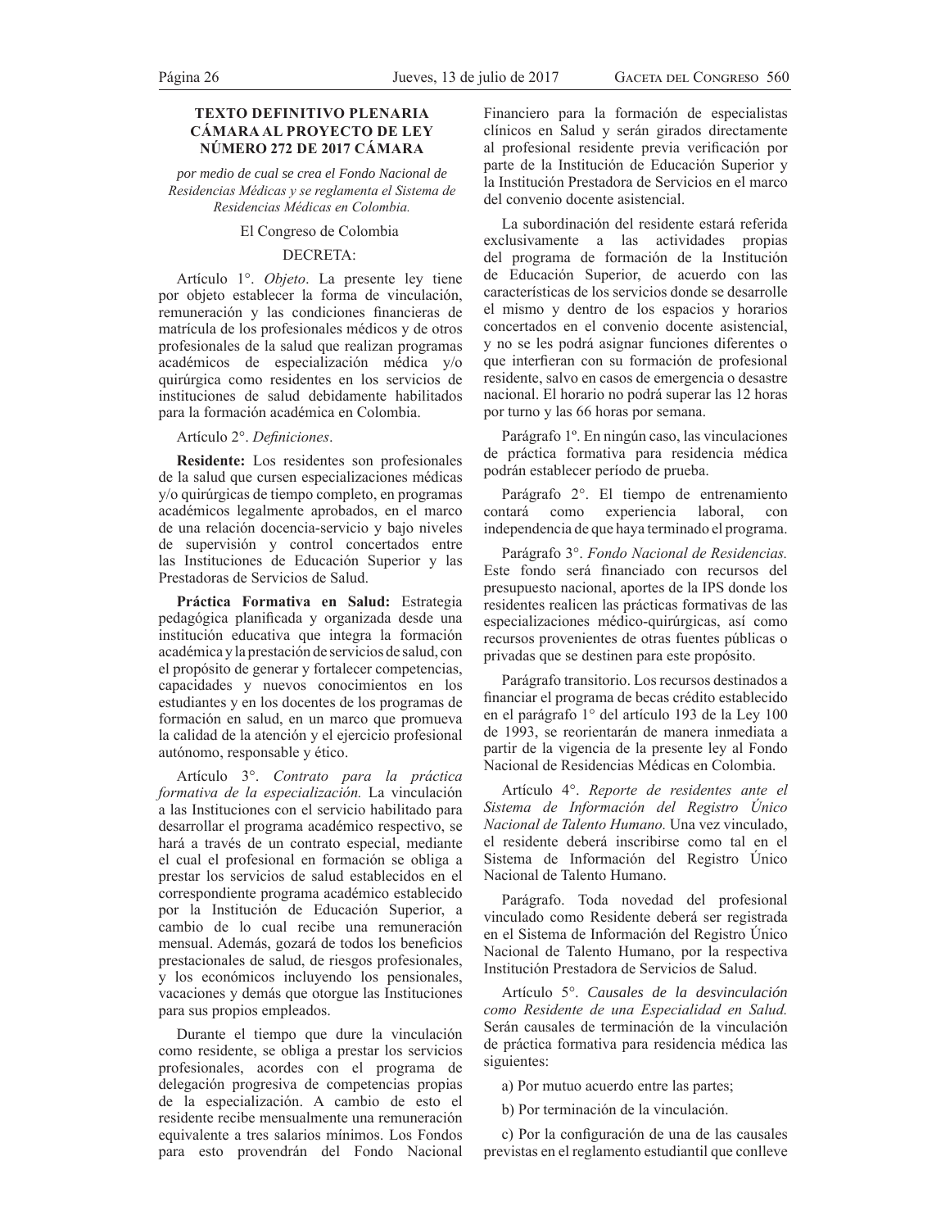# **TEXTO DEFINITIVO PLENARIA CÁMARA AL PROYECTO DE LEY NÚMERO 272 DE 2017 CÁMARA**

*por medio de cual se crea el Fondo Nacional de*  Residencias Médicas y se reglamenta el Sistema de Residencias Médicas en Colombia.

### El Congreso de Colombia

# DECRETA:

Artículo 1°. *Objeto*. La presente ley tiene por objeto establecer la forma de vinculación, remuneración y las condiciones financieras de matrícula de los profesionales médicos y de otros profesionales de la salud que realizan programas académicos de especialización médica y/o quirúrgica como residentes en los servicios de instituciones de salud debidamente habilitados para la formación académica en Colombia.

## Artículo 2°. *Definiciones*.

**Residente:** Los residentes son profesionales de la salud que cursen especializaciones médicas y/o quirúrgicas de tiempo completo, en programas académicos legalmente aprobados, en el marco de una relación docencia-servicio y bajo niveles de supervisión y control concertados entre las Instituciones de Educación Superior y las Prestadoras de Servicios de Salud.

**Práctica Formativa en Salud:** Estrategia pedagógica planificada y organizada desde una institución educativa que integra la formación académica y la prestación de servicios de salud, con el propósito de generar y fortalecer competencias, capacidades y nuevos conocimientos en los estudiantes y en los docentes de los programas de formación en salud, en un marco que promueva la calidad de la atención y el ejercicio profesional autónomo, responsable y ético.

Artículo 3°. Contrato para la práctica formativa de la especialización. La vinculación a las Instituciones con el servicio habilitado para desarrollar el programa académico respectivo, se hará a través de un contrato especial, mediante el cual el profesional en formación se obliga a prestar los servicios de salud establecidos en el correspondiente programa académico establecido por la Institución de Educación Superior, a cambio de lo cual recibe una remuneración mensual. Además, gozará de todos los beneficios prestacionales de salud, de riesgos profesionales, y los económicos incluyendo los pensionales, vacaciones y demás que otorgue las Instituciones para sus propios empleados.

Durante el tiempo que dure la vinculación como residente, se obliga a prestar los servicios profesionales, acordes con el programa de delegación progresiva de competencias propias de la especialización. A cambio de esto el residente recibe mensualmente una remuneración equivalente a tres salarios mínimos. Los Fondos para esto provendrán del Fondo Nacional

Financiero para la formación de especialistas clínicos en Salud y serán girados directamente al profesional residente previa verificación por parte de la Institución de Educación Superior y la Institución Prestadora de Servicios en el marco del convenio docente asistencial.

La subordinación del residente estará referida exclusivamente a las actividades propias del programa de formación de la Institución de Educación Superior, de acuerdo con las características de los servicios donde se desarrolle el mismo y dentro de los espacios y horarios concertados en el convenio docente asistencial, y no se les podrá asignar funciones diferentes o que interfieran con su formación de profesional residente, salvo en casos de emergencia o desastre nacional. El horario no podrá superar las 12 horas por turno y las 66 horas por semana.

Parágrafo 1º. En ningún caso, las vinculaciones de práctica formativa para residencia médica podrán establecer período de prueba.

Parágrafo 2°. El tiempo de entrenamiento contará como experiencia laboral, con independencia de que haya terminado el programa.

Parágrafo 3°. Fondo Nacional de Residencias. Este fondo será financiado con recursos del presupuesto nacional, aportes de la IPS donde los residentes realicen las prácticas formativas de las especializaciones médico-quirúrgicas, así como recursos provenientes de otras fuentes públicas o privadas que se destinen para este propósito.

Parágrafo transitorio. Los recursos destinados a financiar el programa de becas crédito establecido en el parágrafo 1° del artículo 193 de la Ley 100 de 1993, se reorientarán de manera inmediata a partir de la vigencia de la presente ley al Fondo Nacional de Residencias Médicas en Colombia.

Artículo 4°. *Reporte de residentes ante el* Sistema de Información del Registro Único *Nacional de Talento Humano*. Una vez vinculado, el residente deberá inscribirse como tal en el Sistema de Información del Registro Único Nacional de Talento Humano.

Parágrafo. Toda novedad del profesional vinculado como Residente deberá ser registrada en el Sistema de Información del Registro Único Nacional de Talento Humano, por la respectiva Institución Prestadora de Servicios de Salud.

Artículo 5°. *Causales de la desvinculación*  como Residente de una Especialidad en Salud. Serán causales de terminación de la vinculación de práctica formativa para residencia médica las siguientes:

a) Por mutuo acuerdo entre las partes;

b) Por terminación de la vinculación.

c) Por la configuración de una de las causales previstas en el reglamento estudiantil que conlleve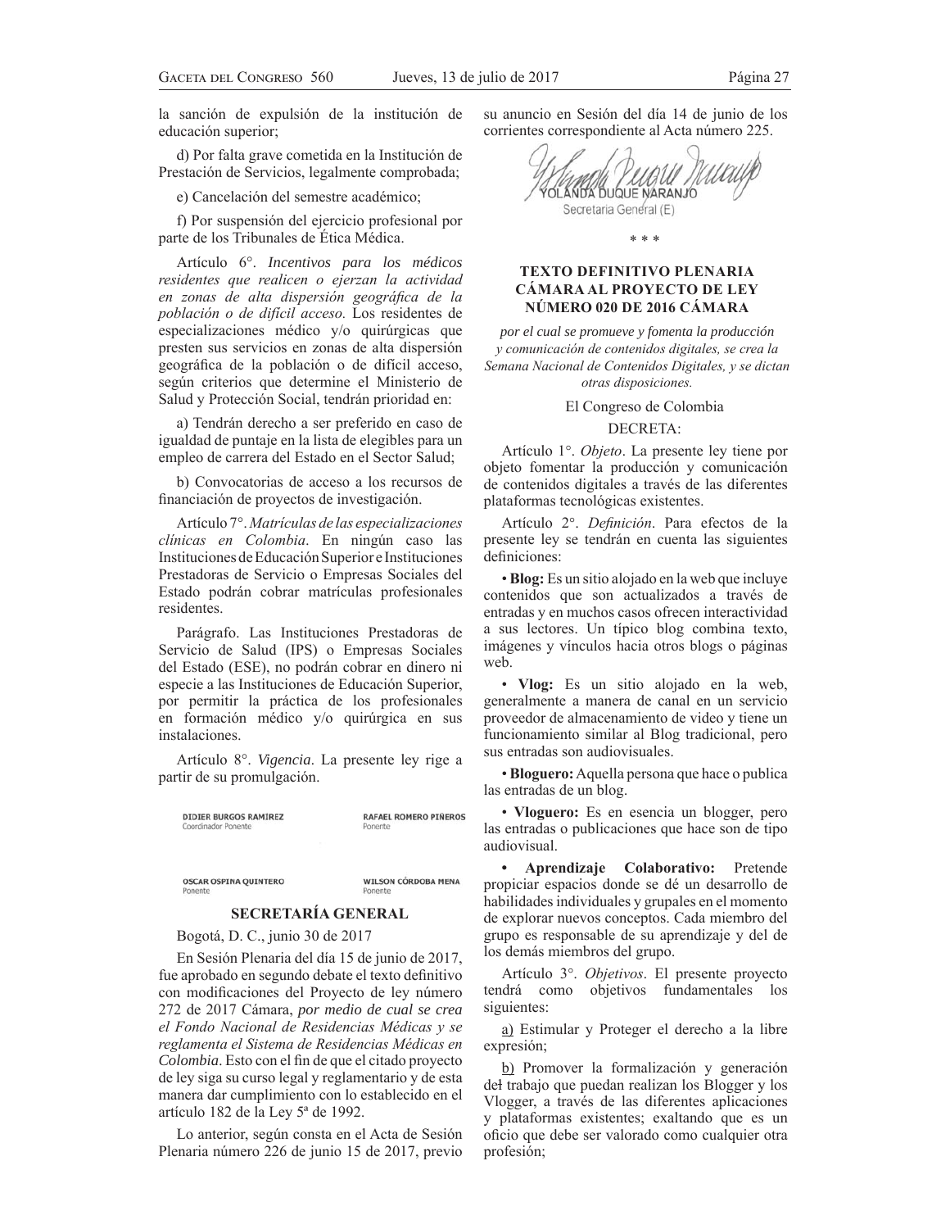la sanción de expulsión de la institución de educación superior;

d) Por falta grave cometida en la Institución de Prestación de Servicios, legalmente comprobada;

e) Cancelación del semestre académico;

f) Por suspensión del ejercicio profesional por parte de los Tribunales de Ética Médica.

Artículo 6°. *Incentivos para los médicos*  residentes que realicen o ejerzan la actividad en zonas de alta dispersión geográfica de la población o de difícil acceso. Los residentes de especializaciones médico y/o quirúrgicas que presten sus servicios en zonas de alta dispersión geográfica de la población o de difícil acceso, según criterios que determine el Ministerio de Salud y Protección Social, tendrán prioridad en:

a) Tendrán derecho a ser preferido en caso de igualdad de puntaje en la lista de elegibles para un empleo de carrera del Estado en el Sector Salud;

b) Convocatorias de acceso a los recursos de financiación de proyectos de investigación.

Artículo 7°. Matrículas de las especializaciones clínicas en Colombia. En ningún caso las Instituciones de Educación Superior e Instituciones Prestadoras de Servicio o Empresas Sociales del Estado podrán cobrar matrículas profesionales residentes.

Parágrafo. Las Instituciones Prestadoras de Servicio de Salud (IPS) o Empresas Sociales del Estado (ESE), no podrán cobrar en dinero ni especie a las Instituciones de Educación Superior, por permitir la práctica de los profesionales en formación médico y/o quirúrgica en sus instalaciones.

Artículo 8°. *Vigencia*. La presente ley rige a partir de su promulgación.

**DIDIER BURGOS RAMÍREZ** 

**RAFAEL ROMERO PIÑEROS** 

OSCAR OSPINA QUINTERO

**WILSON CÓRDOBA MENA** 

# **SECRETARÍA GENERAL**

Bogotá, D. C., junio 30 de 2017

En Sesión Plenaria del día 15 de junio de 2017, fue aprobado en segundo debate el texto definitivo con modificaciones del Proyecto de ley número 272 de 2017 Cámara, *por medio de cual se crea el Fondo Nacional de Residencias Médicas y se reglamenta el Sistema de Residencias Médicas en Colombia*. Esto con el fin de que el citado proyecto de ley siga su curso legal y reglamentario y de esta manera dar cumplimiento con lo establecido en el artículo 182 de la Ley 5ª de 1992.

Lo anterior, según consta en el Acta de Sesión Plenaria número 226 de junio 15 de 2017, previo su anuncio en Sesión del día 14 de junio de los corrientes correspondiente al Acta número 225.

YOLANDA DUQUE NARANJO Secretaria General (E)

\* \* \*

# **TEXTO DEFINITIVO PLENARIA CÁMARA AL PROYECTO DE LEY NÚMERO 020 DE 2016 CÁMARA**

*por el cual se promueve y fomenta la producción*   $y$  comunicación de contenidos digitales, se crea la Semana Nacional de Contenidos Digitales, y se dictan *otras disposiciones.* 

El Congreso de Colombia

### DECRETA:

Artículo 1°. *Objeto*. La presente ley tiene por objeto fomentar la producción y comunicación de contenidos digitales a través de las diferentes plataformas tecnológicas existentes.

Artículo 2<sup>°</sup>. *Definición*. Para efectos de la presente ley se tendrán en cuenta las siguientes definiciones:

• **Blog:** Es un sitio alojado en la web que incluye contenidos que son actualizados a través de entradas y en muchos casos ofrecen interactividad a sus lectores. Un típico blog combina texto, imágenes y vínculos hacia otros blogs o páginas web.

• **Vlog:** Es un sitio alojado en la web, generalmente a manera de canal en un servicio proveedor de almacenamiento de video y tiene un funcionamiento similar al Blog tradicional, pero sus entradas son audiovisuales.

• **Bloguero:** Aquella persona que hace o publica las entradas de un blog.

• **Vloguero:** Es en esencia un blogger, pero las entradas o publicaciones que hace son de tipo audiovisual.

**• Aprendizaje Colaborativo:** Pretende propiciar espacios donde se dé un desarrollo de habilidades individuales y grupales en el momento de explorar nuevos conceptos. Cada miembro del grupo es responsable de su aprendizaje y del de los demás miembros del grupo.

Artículo 3°. *Objetivos*. El presente proyecto tendrá como objetivos fundamentales los siguientes:

a) Estimular y Proteger el derecho a la libre expresión;

b) Promover la formalización y generación del trabajo que puedan realizan los Blogger y los Vlogger, a través de las diferentes aplicaciones y plataformas existentes; exaltando que es un oficio que debe ser valorado como cualquier otra profesión;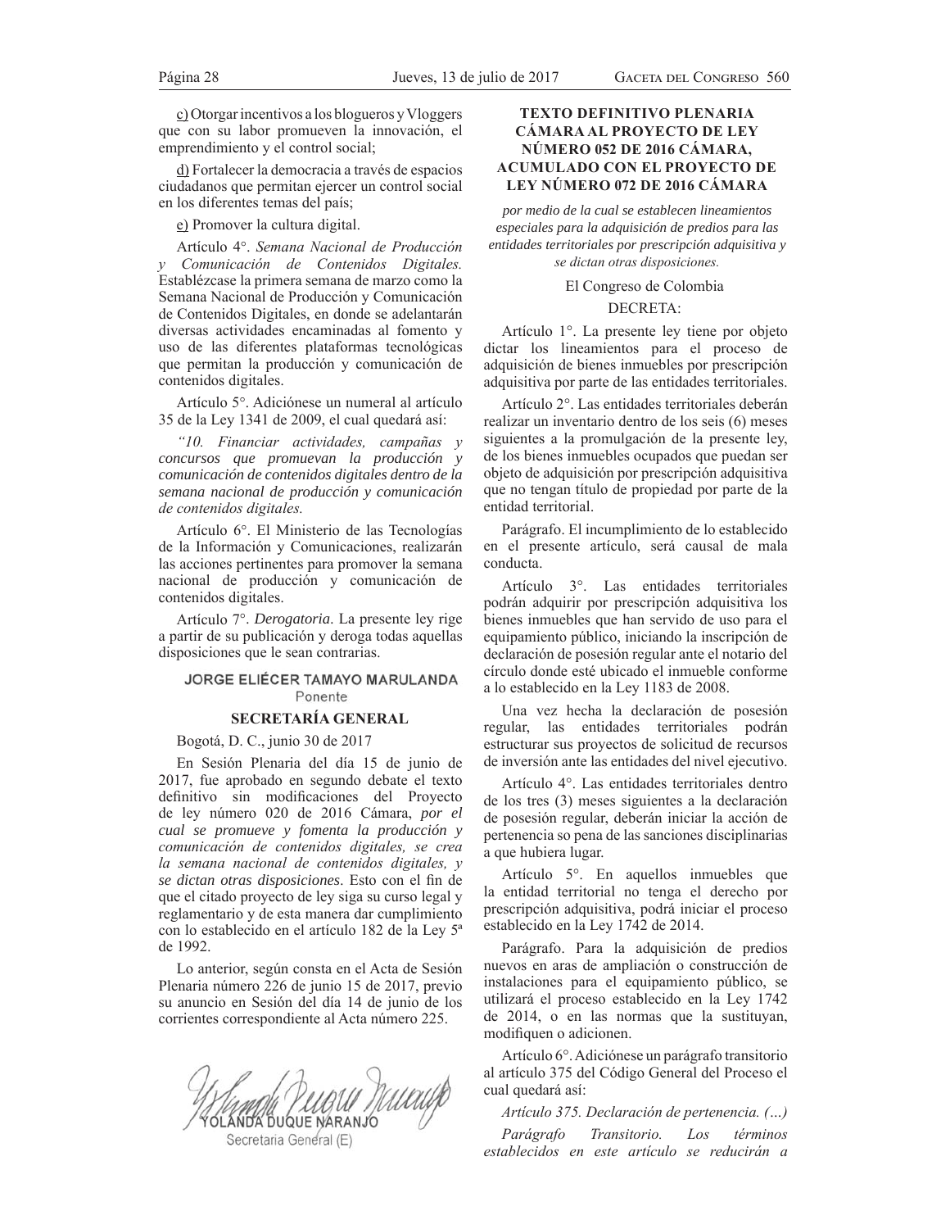c) Otorgar incentivos a los blogueros y Vloggers que con su labor promueven la innovación, el emprendimiento y el control social;

d) Fortalecer la democracia a través de espacios ciudadanos que permitan ejercer un control social en los diferentes temas del país;

e) Promover la cultura digital.

Artículo 4°. *Semana Nacional de Producción y* Comunicación de Contenidos Digitales. Establézcase la primera semana de marzo como la Semana Nacional de Producción y Comunicación de Contenidos Digitales, en donde se adelantarán diversas actividades encaminadas al fomento y uso de las diferentes plataformas tecnológicas que permitan la producción y comunicación de contenidos digitales.

Artículo 5°. Adiciónese un numeral al artículo 35 de la Ley 1341 de 2009, el cual quedará así:

"10. Financiar actividades, campañas y *concursos que promuevan la producción y comunicación de contenidos digitales dentro de la semana nacional de producción y comunicación de contenidos digitales.* 

Artículo 6°. El Ministerio de las Tecnologías de la Información y Comunicaciones, realizarán las acciones pertinentes para promover la semana nacional de producción y comunicación de contenidos digitales.

Artículo 7°. *Derogatoria*. La presente ley rige a partir de su publicación y deroga todas aquellas disposiciones que le sean contrarias.

# JORGE ELIÉCER TAMAYO MARULANDA Ponente

# **SECRETARÍA GENERAL**

Bogotá, D. C., junio 30 de 2017

En Sesión Plenaria del día 15 de junio de 2017, fue aprobado en segundo debate el texto definitivo sin modificaciones del Proyecto de ley número 020 de 2016 Cámara, *por el cual se promueve y fomenta la producción y comunicación de contenidos digitales, se crea la semana nacional de contenidos digitales, y*  $se$  *dictan otras disposiciones*. Esto con el fin de que el citado proyecto de ley siga su curso legal y reglamentario y de esta manera dar cumplimiento con lo establecido en el artículo 182 de la Ley 5ª de 1992.

Lo anterior, según consta en el Acta de Sesión Plenaria número 226 de junio 15 de 2017, previo su anuncio en Sesión del día 14 de junio de los corrientes correspondiente al Acta número 225.

Muau NDA DUQUE NARANJC

Secretaria General (E)

# **TEXTO DEFINITIVO PLENARIA CÁMARA AL PROYECTO DE LEY NÚMERO 052 DE 2016 CÁMARA, ACUMULADO CON EL PROYECTO DE LEY NÚMERO 072 DE 2016 CÁMARA**

*por medio de la cual se establecen lineamientos especiales para la adquisición de predios para las entidades territoriales por prescripción adquisitiva y se dictan otras disposiciones.* 

El Congreso de Colombia

### DECRETA:

Artículo 1°. La presente ley tiene por objeto dictar los lineamientos para el proceso de adquisición de bienes inmuebles por prescripción adquisitiva por parte de las entidades territoriales.

Artículo 2°. Las entidades territoriales deberán realizar un inventario dentro de los seis (6) meses siguientes a la promulgación de la presente ley, de los bienes inmuebles ocupados que puedan ser objeto de adquisición por prescripción adquisitiva que no tengan título de propiedad por parte de la entidad territorial.

Parágrafo. El incumplimiento de lo establecido en el presente artículo, será causal de mala conducta.

Artículo 3°. Las entidades territoriales podrán adquirir por prescripción adquisitiva los bienes inmuebles que han servido de uso para el equipamiento público, iniciando la inscripción de declaración de posesión regular ante el notario del círculo donde esté ubicado el inmueble conforme a lo establecido en la Ley 1183 de 2008.

Una vez hecha la declaración de posesión regular, las entidades territoriales podrán estructurar sus proyectos de solicitud de recursos de inversión ante las entidades del nivel ejecutivo.

Artículo 4°. Las entidades territoriales dentro de los tres (3) meses siguientes a la declaración de posesión regular, deberán iniciar la acción de pertenencia so pena de las sanciones disciplinarias a que hubiera lugar.

Artículo  $5^\circ$ . En aquellos inmuebles que la entidad territorial no tenga el derecho por prescripción adquisitiva, podrá iniciar el proceso establecido en la Ley 1742 de 2014.

Parágrafo. Para la adquisición de predios nuevos en aras de ampliación o construcción de instalaciones para el equipamiento público, se utilizará el proceso establecido en la Ley 1742 de 2014, o en las normas que la sustituyan, modifiquen o adicionen.

Artículo 6°. Adiciónese un parágrafo transitorio al artículo 375 del Código General del Proceso el cual quedará así:

*Artículo 375. Declaración de pertenencia.* (...)

*Parágrafo Transitorio. Los términos* establecidos en este artículo se reducirán a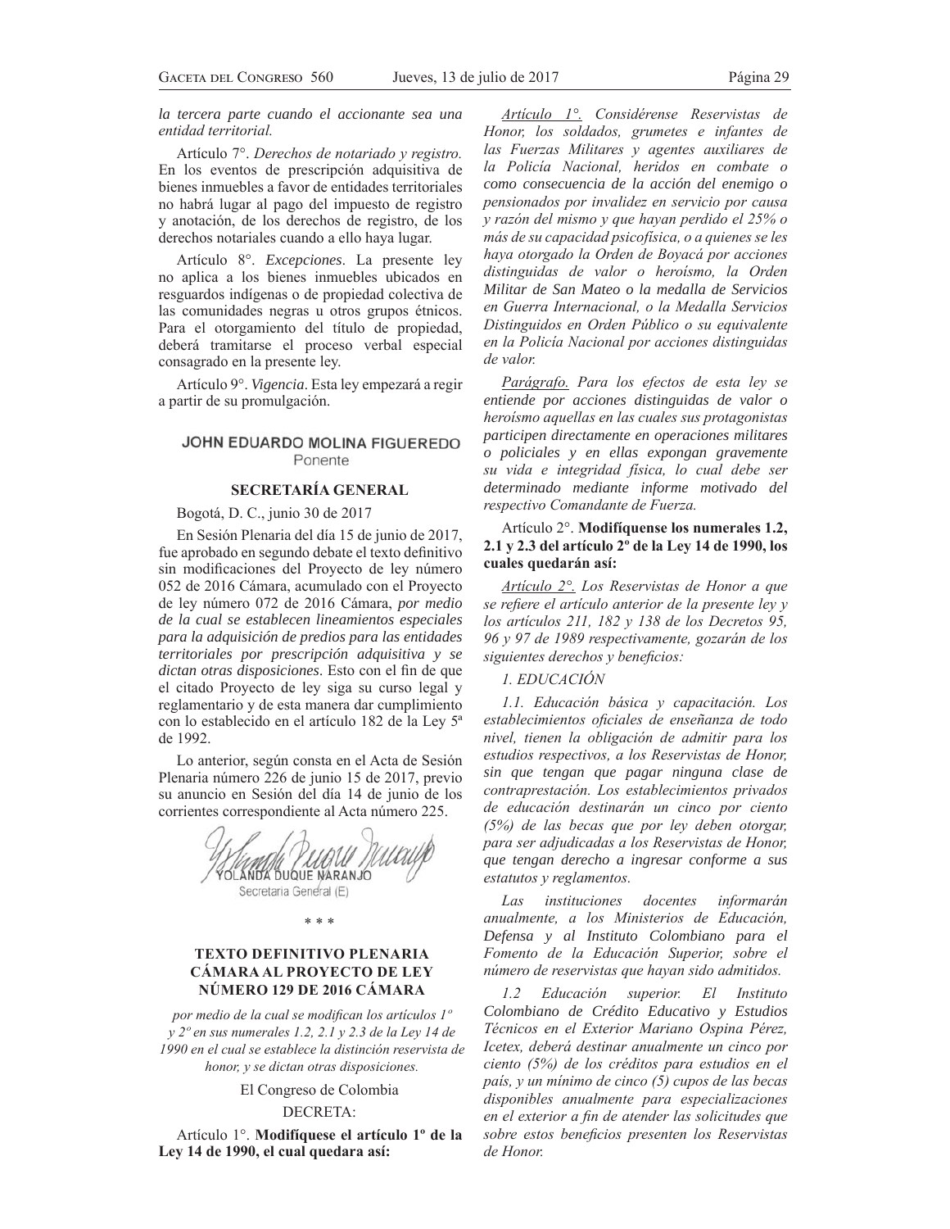*la tercera parte cuando el accionante sea una entidad territorial.* 

Artículo 7°. *Derechos de notariado y registro*. En los eventos de prescripción adquisitiva de bienes inmuebles a favor de entidades territoriales no habrá lugar al pago del impuesto de registro y anotación, de los derechos de registro, de los derechos notariales cuando a ello haya lugar.

Artículo 8°. *Excepciones*. La presente ley no aplica a los bienes inmuebles ubicados en resguardos indígenas o de propiedad colectiva de las comunidades negras u otros grupos étnicos. Para el otorgamiento del título de propiedad, deberá tramitarse el proceso verbal especial consagrado en la presente ley.

Artículo 9°. *Vigencia*. Esta ley empezará a regir a partir de su promulgación.

# JOHN EDUARDO MOLINA FIGUEREDO Ponente

## **SECRETARÍA GENERAL**

Bogotá, D. C., junio 30 de 2017

En Sesión Plenaria del día 15 de junio de 2017, fue aprobado en segundo debate el texto definitivo sin modificaciones del Proyecto de ley número 052 de 2016 Cámara, acumulado con el Proyecto de ley número 072 de 2016 Cámara, *por medio de la cual se establecen lineamientos especiales para la adquisición de predios para las entidades territoriales por prescripción adquisitiva y se dictan otras disposiciones*. Esto con el fin de que el citado Proyecto de ley siga su curso legal y reglamentario y de esta manera dar cumplimiento con lo establecido en el artículo 182 de la Ley 5ª de 1992.

Lo anterior, según consta en el Acta de Sesión Plenaria número 226 de junio 15 de 2017, previo su anuncio en Sesión del día 14 de junio de los corrientes correspondiente al Acta número 225.



\* \* \*

# **TEXTO DEFINITIVO PLENARIA CÁMARA AL PROYECTO DE LEY NÚMERO 129 DE 2016 CÁMARA**

*por medio de la cual se modifican los artículos 1<sup>°</sup> y*  $2^\circ$  en sus numerales 1.2, 2.1 *y* 2.3 de la Ley 14 de *H*<sub>290</sub> en el cual se establece la distinción reservista de *honor, y se dictan otras disposiciones.* 

El Congreso de Colombia

DECRETA:

Artículo 1°. **Modifíquese el artículo 1º de la Ley 14 de 1990, el cual quedara así:**

*Artículo I<sup>o</sup>. Considérense Reservistas de Honor*, los soldados, grumetes e infantes de *las Fuerzas Militares y agentes auxiliares de la Policía Nacional, heridos en combate o como consecuencia de la acción del enemigo o*  pensionados por invalidez en servicio por causa *y* razón del mismo y que hayan perdido el 25% o *más de su capacidad psicofísica, o a quienes se les haya otorgado la Orden de Boyacá por acciones* distinguidas de valor o heroísmo, la Orden *Militar de San Mateo o la medalla de Servicios*  en Guerra Internacional, o la Medalla Servicios Distinguidos en Orden Público o su equivalente *en la Policía Nacional por acciones distinguidas* de valor.

Parágrafo. Para los efectos de esta ley se *entiende por acciones distinguidas de valor o heroismo aquellas en las cuales sus protagonistas participen directamente en operaciones militares o policiales y en ellas expongan gravemente Su vida e integridad física, lo cual debe ser determinado mediante informe motivado del respectivo Comandante de Fuerza.* 

# Artículo 2°. **Modifíquense los numerales 1.2, 2.1 y 2.3 del artículo 2º de la Ley 14 de 1990, los cuales quedarán así:**

*Artículo 2<sup>°</sup>. Los Reservistas de Honor a que se refiere el artículo anterior de la presente ley y los artículos 211, 182 y 138 de los Decretos 95,* 96 y 97 de 1989 respectivamente, gozarán de los *siguientes derechos y beneficios:* 

# *(<i>'S*) *('BDUCACIÓN*

*I.I. Educación básica y capacitación. Los* establecimientos oficiales de enseñanza de todo nivel, tienen la obligación de admitir para los estudios respectivos, a los Reservistas de Honor, *sin que tengan que pagar ninguna clase de*   $contraprestación. Los establecimientos privados$ de educación destinarán un cinco por ciento (5%) de las becas que por ley deben otorgar, para ser adjudicadas a los Reservistas de Honor, *que tengan derecho a ingresar conforme a sus estatutos y reglamentos.* 

*Las* instituciones docentes informarán *anualmente, a los Ministerios de Educación, Defensa y al Instituto Colombiano para el*  Fomento de la Educación Superior, sobre el *número de reservistas que havan sido admitidos.* 

*I.2 Educación superior. El Instituto Colombiano de Crédito Educativo y Estudios Técnicos en el Exterior Mariano Ospina Pérez,* Icetex, deberá destinar anualmente un cinco por ciento (5%) de los créditos para estudios en el país, y un mínimo de cinco (5) cupos de las becas disponibles anualmente para especializaciones *en el exterior a fin de atender las solicitudes que* sobre estos beneficios presenten los Reservistas  $de Honor.$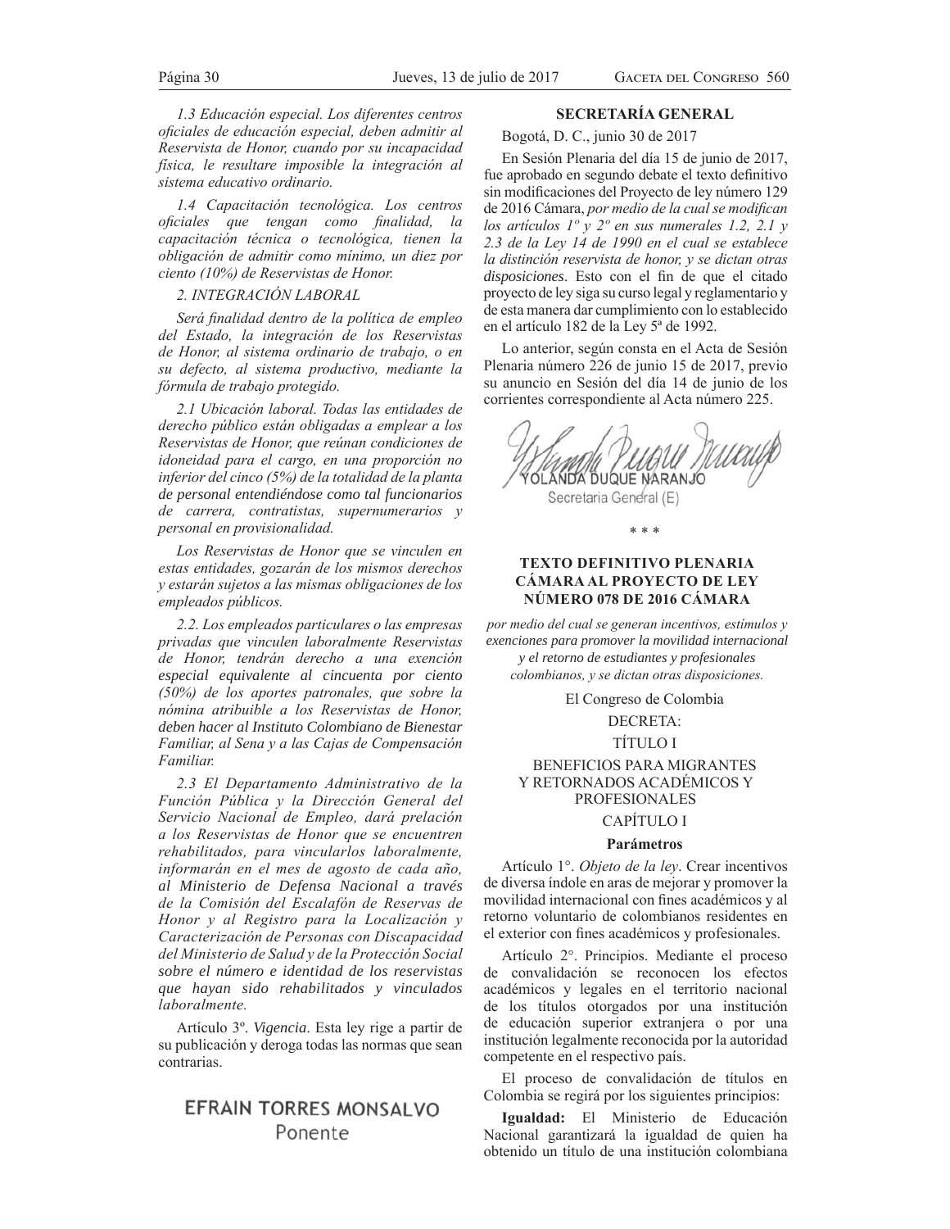*l.3 Educación especial. Los diferentes centros oficiales de educación especial, deben admitir al* Reservista de Honor, cuando por su incapacidad física, le resultare imposible la integración al *sistema educativo ordinario.* 

*1.4 Capacitación tecnológica. Los centros* oficiales que tengan como finalidad, la capacitación técnica o tecnológica, tienen la *<i>obligación de admitir como mínimo, un diez por* ciento (10%) de Reservistas de Honor.

# *2. INTEGRACIÓN LABORAL*

*Será finalidad dentro de la política de empleo* del Estado, la integración de los Reservistas de Honor, al sistema ordinario de trabajo, o en *Su defecto, al sistema productivo, mediante la fórmula de trabajo protegido.* 

2.1 Ubicación laboral. Todas las entidades de derecho público están obligadas a emplear a los  $Reservistas$  de Honor, que reúnan condiciones de idoneidad para el cargo, en una proporción no inferior del cinco (5%) de la totalidad de la planta *de personal entendiéndose como tal funcionarios de carrera, contratistas, supernumerarios y* personal en provisionalidad.

*Los Reservistas de Honor que se vinculen en* estas entidades, gozarán de los mismos derechos *v* estarán sujetos a las mismas obligaciones de los  $empleados públicos.$ 

2.2. Los empleados particulares o las empresas  $privadas$  que vinculen laboralmente Reservistas de Honor, tendrán derecho a una exención *especial equivalente al cincuenta por ciento (50%)* de los aportes patronales, que sobre la nómina atribuible a los Reservistas de Honor, *deben hacer al Instituto Colombiano de Bienestar*  Familiar, al Sena y a las Cajas de Compensación *Familiar.* 

2.3 El Departamento Administrativo de la Función Pública y la Dirección General del Servicio Nacional de Empleo, dará prelación  $a$  los Reservistas de Honor que se encuentren  $rehabilitados, para vincularlos laboralmente,$ informarán en el mes de agosto de cada año, *al Ministerio de Defensa Nacional a través*  de la Comisión del Escalafón de Reservas de *Honor y al Registro para la Localización y* Caracterización de Personas con Discapacidad del Ministerio de Salud y de la Protección Social *sobre el número e identidad de los reservistas que hayan sido rehabilitados y vinculados*   $laboralmente.$ 

Artículo 3º. *Vigencia*. Esta ley rige a partir de su publicación y deroga todas las normas que sean contrarias.

# **EFRAIN TORRES MONSALVO** Ponente

# **SECRETARÍA GENERAL**

Bogotá, D. C., junio 30 de 2017

En Sesión Plenaria del día 15 de junio de 2017, fue aprobado en segundo debate el texto definitivo sin modificaciones del Proyecto de ley número 129 de 2016 Cámara, *por medio de la cual se modifican los artículos*  $I^{\circ}$  *y 2<sup>°</sup> en sus numerales 1.2, 2.1 y* 2.3 de la Ley 14 de 1990 en el cual se establece la distinción reservista de honor, y se dictan otras *disposiciones*. Esto con el fin de que el citado proyecto de ley siga su curso legal y reglamentario y de esta manera dar cumplimiento con lo establecido en el artículo 182 de la Ley 5ª de 1992.

Lo anterior, según consta en el Acta de Sesión Plenaria número 226 de junio 15 de 2017, previo su anuncio en Sesión del día 14 de junio de los corrientes correspondiente al Acta número 225.

**OLANDA DUQUE NARANJO** 

Secretaria General (E)

### \* \* \*

# **TEXTO DEFINITIVO PLENARIA CÁMARA AL PROYECTO DE LEY NÚMERO 078 DE 2016 CÁMARA**

por medio del cual se generan incentivos, estímulos y *exenciones para promover la movilidad internacional y el retorno de estudiantes y profesionales*   $colon$ ng, y se dictan otras disposiciones.

El Congreso de Colombia

### DECRETA:

# TÍTULO I

BENEFICIOS PARA MIGRANTES Y RETORNADOS ACADÉMICOS Y PROFESIONALES CAPÍTULO I

# **Parámetros**

Artículo 1°. *Objeto de la ley*. Crear incentivos de diversa índole en aras de mejorar y promover la movilidad internacional con fines académicos y al retorno voluntario de colombianos residentes en el exterior con fines académicos y profesionales.

Artículo 2°. Principios. Mediante el proceso de convalidación se reconocen los efectos académicos y legales en el territorio nacional de los títulos otorgados por una institución de educación superior extranjera o por una institución legalmente reconocida por la autoridad competente en el respectivo país.

El proceso de convalidación de títulos en Colombia se regirá por los siguientes principios:

**Igualdad:** El Ministerio de Educación Nacional garantizará la igualdad de quien ha obtenido un título de una institución colombiana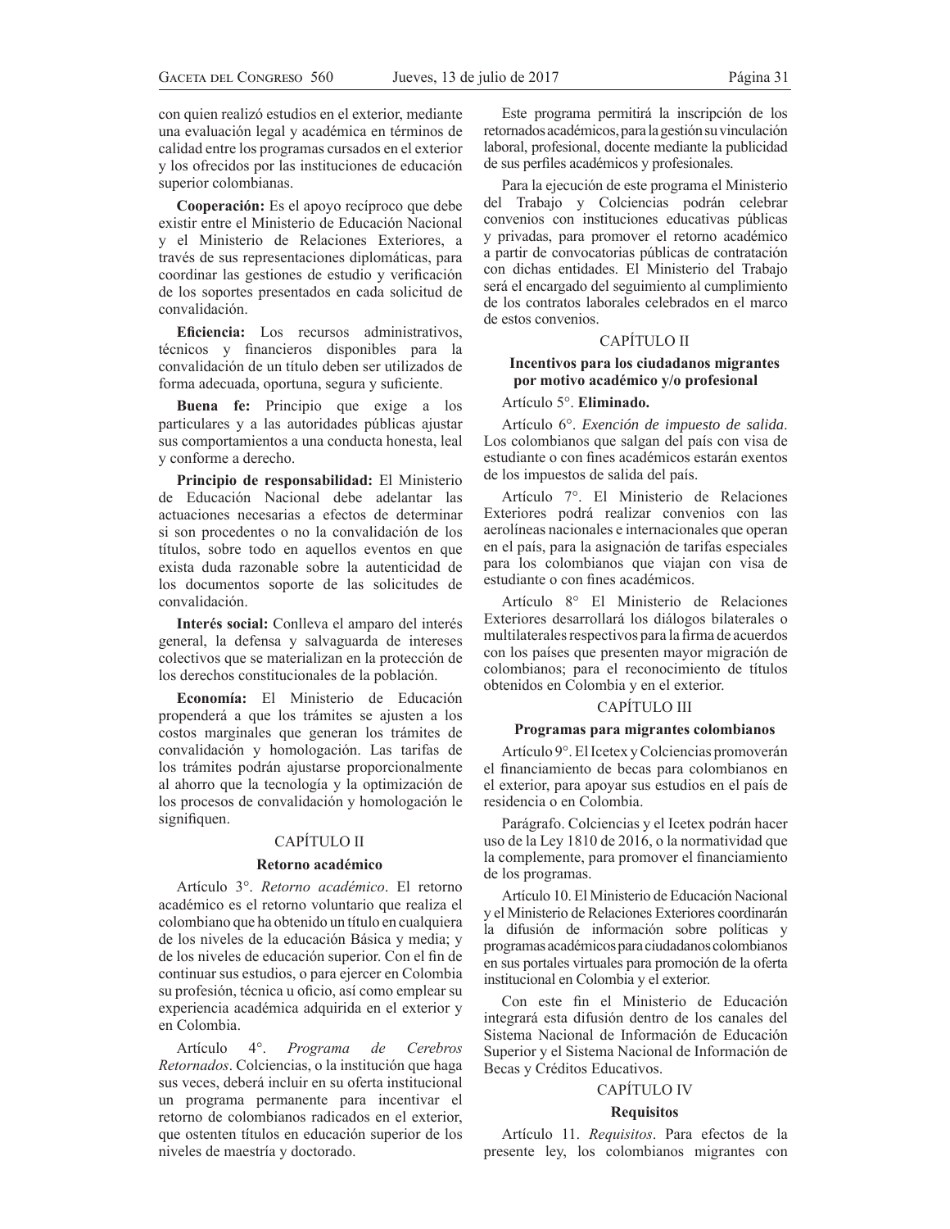con quien realizó estudios en el exterior, mediante una evaluación legal y académica en términos de calidad entre los programas cursados en el exterior y los ofrecidos por las instituciones de educación superior colombianas.

Cooperación: Es el apoyo recíproco que debe existir entre el Ministerio de Educación Nacional y el Ministerio de Relaciones Exteriores, a través de sus representaciones diplomáticas, para coordinar las gestiones de estudio y verificación de los soportes presentados en cada solicitud de convalidación.

Eficiencia: Los recursos administrativos, técnicos y financieros disponibles para la convalidación de un título deben ser utilizados de forma adecuada, oportuna, segura y suficiente.

**Buena fe:** Principio que exige a los particulares y a las autoridades públicas ajustar sus comportamientos a una conducta honesta, leal y conforme a derecho.

**Principio de responsabilidad:** El Ministerio de Educación Nacional debe adelantar las actuaciones necesarias a efectos de determinar si son procedentes o no la convalidación de los títulos, sobre todo en aquellos eventos en que exista duda razonable sobre la autenticidad de los documentos soporte de las solicitudes de convalidación.

**Interés social:** Conlleva el amparo del interés general, la defensa y salvaguarda de intereses colectivos que se materializan en la protección de los derechos constitucionales de la población.

**Economía:** El Ministerio de Educación propenderá a que los trámites se ajusten a los costos marginales que generan los trámites de convalidación y homologación. Las tarifas de los trámites podrán ajustarse proporcionalmente al ahorro que la tecnología y la optimización de los procesos de convalidación y homologación le signifiquen.

### CAPÍTULO II

## **Retorno académico**

Artículo 3°. *Retorno académico*. El retorno académico es el retorno voluntario que realiza el colombiano que ha obtenido un título en cualquiera de los niveles de la educación Básica y media; y de los niveles de educación superior. Con el fin de continuar sus estudios, o para ejercer en Colombia su profesión, técnica u oficio, así como emplear su experiencia académica adquirida en el exterior y en Colombia.

Artículo 4°. *Programa de Cerebros Retornados*. Colciencias, o la institución que haga sus veces, deberá incluir en su oferta institucional un programa permanente para incentivar el retorno de colombianos radicados en el exterior, que ostenten títulos en educación superior de los niveles de maestría y doctorado.

Este programa permitirá la inscripción de los retornados académicos, para la gestión su vinculación laboral, profesional, docente mediante la publicidad de sus perfiles académicos y profesionales.

Para la ejecución de este programa el Ministerio del Trabajo y Colciencias podrán celebrar convenios con instituciones educativas públicas y privadas, para promover el retorno académico a partir de convocatorias públicas de contratación con dichas entidades. El Ministerio del Trabajo será el encargado del seguimiento al cumplimiento de los contratos laborales celebrados en el marco de estos convenios.

# CAPÍTULO II

# **Incentivos para los ciudadanos migrantes por motivo académico y/o profesional**

Artículo 5°. **Eliminado.**

Artículo 6°. *Exención de impuesto de salida*. Los colombianos que salgan del país con visa de estudiante o con fines académicos estarán exentos de los impuestos de salida del país.

Artículo 7°. El Ministerio de Relaciones Exteriores podrá realizar convenios con las aerolíneas nacionales e internacionales que operan en el país, para la asignación de tarifas especiales para los colombianos que viajan con visa de estudiante o con fines académicos.

Artículo 8° El Ministerio de Relaciones Exteriores desarrollará los diálogos bilaterales o multilaterales respectivos para la firma de acuerdos con los países que presenten mayor migración de colombianos; para el reconocimiento de títulos obtenidos en Colombia y en el exterior.

# CAPÍTULO III

## **Programas para migrantes colombianos**

Artículo 9°. El Icetex y Colciencias promoverán el financiamiento de becas para colombianos en el exterior, para apoyar sus estudios en el país de residencia o en Colombia.

Parágrafo. Colciencias y el Icetex podrán hacer uso de la Ley 1810 de 2016, o la normatividad que la complemente, para promover el financiamiento de los programas.

Artículo 10. El Ministerio de Educación Nacional y el Ministerio de Relaciones Exteriores coordinarán la difusión de información sobre políticas y programas académicos para ciudadanos colombianos en sus portales virtuales para promoción de la oferta institucional en Colombia y el exterior.

Con este fin el Ministerio de Educación integrará esta difusión dentro de los canales del Sistema Nacional de Información de Educación Superior y el Sistema Nacional de Información de Becas y Créditos Educativos.

# CAPÍTULO IV

### **Requisitos**

Artículo 11. *Requisitos*. Para efectos de la presente ley, los colombianos migrantes con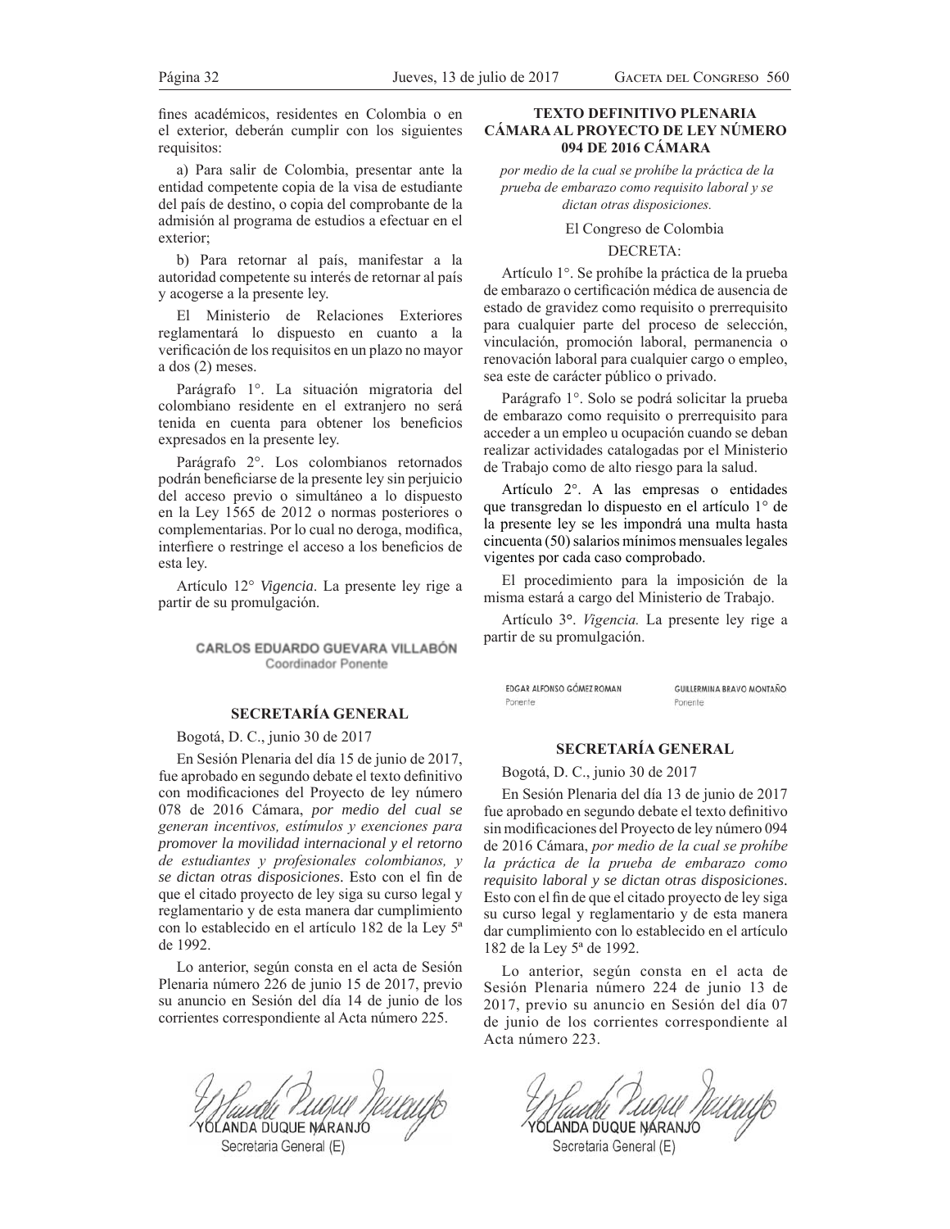fines académicos, residentes en Colombia o en el exterior, deberán cumplir con los siguientes requisitos:

a) Para salir de Colombia, presentar ante la entidad competente copia de la visa de estudiante del país de destino, o copia del comprobante de la admisión al programa de estudios a efectuar en el exterior;

b) Para retornar al país, manifestar a la autoridad competente su interés de retornar al país y acogerse a la presente ley.

El Ministerio de Relaciones Exteriores reglamentará lo dispuesto en cuanto a la verificación de los requisitos en un plazo no mayor a dos (2) meses.

Parágrafo 1°. La situación migratoria del colombiano residente en el extranjero no será tenida en cuenta para obtener los beneficios expresados en la presente ley.

Parágrafo 2°. Los colombianos retornados podrán beneficiarse de la presente ley sin perjuicio del acceso previo o simultáneo a lo dispuesto en la Ley 1565 de 2012 o normas posteriores o complementarias. Por lo cual no deroga, modifica, interfiere o restringe el acceso a los beneficios de esta ley.

Artículo 12° *Vigencia*. La presente ley rige a partir de su promulgación.

# CARLOS EDUARDO GUEVARA VILLABÓN Coordinador Ponente

# **SECRETARÍA GENERAL**

Bogotá, D. C., junio 30 de 2017

En Sesión Plenaria del día 15 de junio de 2017, fue aprobado en segundo debate el texto definitivo con modificaciones del Proyecto de ley número 078 de 2016 Cámara, *por medio del cual se*  generan incentivos, estímulos y exenciones para *promover la movilidad internacional y el retorno de estudiantes y profesionales colombianos, y*  $se$  dictan otras disposiciones. Esto con el fin de que el citado proyecto de ley siga su curso legal y reglamentario y de esta manera dar cumplimiento con lo establecido en el artículo 182 de la Ley 5ª de 1992.

Lo anterior, según consta en el acta de Sesión Plenaria número 226 de junio 15 de 2017, previo su anuncio en Sesión del día 14 de junio de los corrientes correspondiente al Acta número 225.

LANDA DUQUE NARANJO Secretaria General (E)

# **TEXTO DEFINITIVO PLENARIA CÁMARA AL PROYECTO DE LEY NÚMERO 094 DE 2016 CÁMARA**

por medio de la cual se prohíbe la práctica de la prueba de embarazo como requisito laboral y se dictan otras disposiciones.

El Congreso de Colombia

### DECRETA:

Artículo 1°. Se prohíbe la práctica de la prueba de embarazo o certificación médica de ausencia de estado de gravidez como requisito o prerrequisito para cualquier parte del proceso de selección, vinculación, promoción laboral, permanencia o renovación laboral para cualquier cargo o empleo, sea este de carácter público o privado.

Parágrafo 1°. Solo se podrá solicitar la prueba de embarazo como requisito o prerrequisito para acceder a un empleo u ocupación cuando se deban realizar actividades catalogadas por el Ministerio de Trabajo como de alto riesgo para la salud.

Artículo 2°. A las empresas o entidades que transgredan lo dispuesto en el artículo 1<sup>°</sup> de la presente ley se les impondrá una multa hasta cincuenta (50) salarios mínimos mensuales legales vigentes por cada caso comprobado.

El procedimiento para la imposición de la misma estará a cargo del Ministerio de Trabajo.

Artículo 3°. *Vigencia*. La presente ley rige a partir de su promulgación.

EDGAR ALFONSO GÓMEZ ROMAN **GUILLERMINA BRAVO MONTAÑO** Ponente Ponente

### **SECRETARÍA GENERAL**

Bogotá, D. C., junio 30 de 2017

En Sesión Plenaria del día 13 de junio de 2017 fue aprobado en segundo debate el texto definitivo sin modificaciones del Proyecto de ley número 094 de 2016 Cámara, por medio de la cual se prohíbe la práctica de la prueba de embarazo como *requisito laboral y se dictan otras disposiciones*. Esto con el fin de que el citado proyecto de ley siga su curso legal y reglamentario y de esta manera dar cumplimiento con lo establecido en el artículo 182 de la Ley 5ª de 1992.

Lo anterior, según consta en el acta de Sesión Plenaria número 224 de junio 13 de 2017, previo su anuncio en Sesión del día 07 de junio de los corrientes correspondiente al Acta número 223.

Musculu Purgue Nulluyo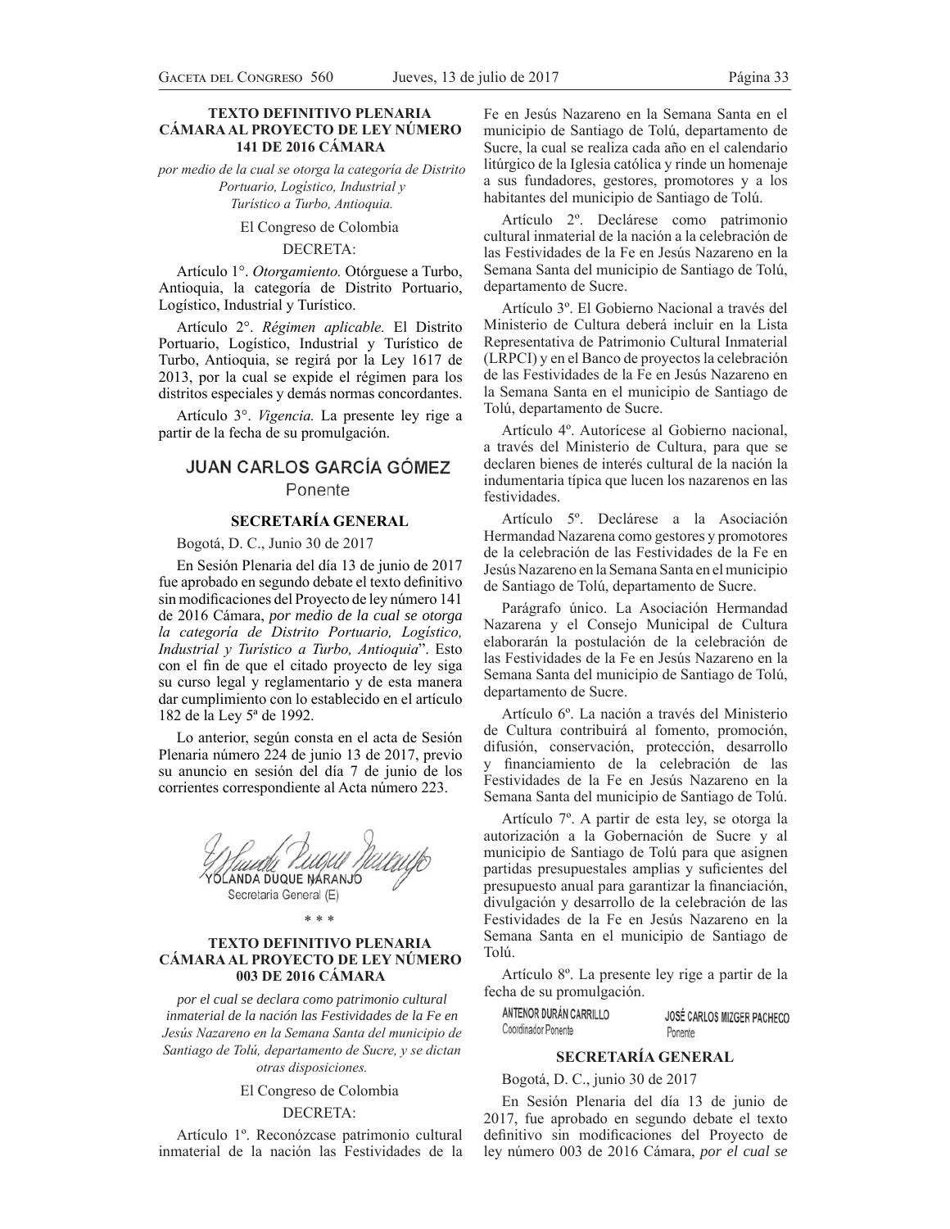# **TEXTO DEFINITIVO PLENARIA CÁMARA AL PROYECTO DE LEY NÚMERO 141 DE 2016 CÁMARA**

por medio de la cual se otorga la categoría de Distrito Portuario, Logístico, Industrial y Turístico a Turbo, Antioquia.

El Congreso de Colombia

# DECRETA:

Artículo 1°. *Otorgamiento*. Otórguese a Turbo, Antioquia, la categoría de Distrito Portuario, Logístico, Industrial y Turístico.

Artículo 2°. *Régimen aplicable*. El Distrito Portuario, Logístico, Industrial y Turístico de Turbo, Antioquia, se regirá por la Ley 1617 de 2013, por la cual se expide el régimen para los distritos especiales y demás normas concordantes.

Artículo 3°. *Vigencia*. La presente ley rige a partir de la fecha de su promulgación.

# **JUAN CARLOS GARCÍA GÓMEZ** Ponente

# **SECRETARÍA GENERAL**

Bogotá, D. C., Junio 30 de 2017

En Sesión Plenaria del día 13 de junio de 2017 fue aprobado en segundo debate el texto definitivo sin modificaciones del Proyecto de ley número 141 de 2016 Cámara, *por medio de la cual se otorga*  la categoría de Distrito Portuario, Logístico, *Industrial y Turístico a Turbo, Antioquia*". Esto con el fin de que el citado proyecto de ley siga su curso legal y reglamentario y de esta manera dar cumplimiento con lo establecido en el artículo 182 de la Ley 5ª de 1992.

Lo anterior, según consta en el acta de Sesión Plenaria número 224 de junio 13 de 2017, previo su anuncio en sesión del día 7 de junio de los corrientes correspondiente al Acta número 223.

**OLANDA DUQUE NARANJO** Secretaria General (E)

\* \* \*

# **TEXTO DEFINITIVO PLENARIA CÁMARA AL PROYECTO DE LEY NÚMERO 003 DE 2016 CÁMARA**

*por el cual se declara como patrimonio cultural inmaterial de la nación las Festividades de la Fe en*  Jesús Nazareno en la Semana Santa del municipio de Santiago de Tolú, departamento de Sucre, y se dictan *otras disposiciones.* 

El Congreso de Colombia

### DECRETA:

Artículo 1º. Reconózcase patrimonio cultural inmaterial de la nación las Festividades de la

Fe en Jesús Nazareno en la Semana Santa en el municipio de Santiago de Tolú, departamento de Sucre, la cual se realiza cada año en el calendario litúrgico de la Iglesia católica y rinde un homenaje a sus fundadores, gestores, promotores y a los habitantes del municipio de Santiago de Tolú.

Artículo 2º. Declárese como patrimonio cultural inmaterial de la nación a la celebración de las Festividades de la Fe en Jesús Nazareno en la Semana Santa del municipio de Santiago de Tolú, departamento de Sucre.

Artículo 3º. El Gobierno Nacional a través del Ministerio de Cultura deberá incluir en la Lista Representativa de Patrimonio Cultural Inmaterial (LRPCI) y en el Banco de proyectos la celebración de las Festividades de la Fe en Jesús Nazareno en la Semana Santa en el municipio de Santiago de Tolú, departamento de Sucre.

Artículo 4º. Autorícese al Gobierno nacional, a través del Ministerio de Cultura, para que se declaren bienes de interés cultural de la nación la indumentaria típica que lucen los nazarenos en las festividades.

Artículo 5º. Declárese a la Asociación Hermandad Nazarena como gestores y promotores de la celebración de las Festividades de la Fe en Jesús Nazareno en la Semana Santa en el municipio de Santiago de Tolú, departamento de Sucre.

Parágrafo único. La Asociación Hermandad Nazarena y el Consejo Municipal de Cultura elaborarán la postulación de la celebración de las Festividades de la Fe en Jesús Nazareno en la Semana Santa del municipio de Santiago de Tolú, departamento de Sucre.

Artículo 6º. La nación a través del Ministerio de Cultura contribuirá al fomento, promoción, difusión, conservación, protección, desarrollo y financiamiento de la celebración de las Festividades de la Fe en Jesús Nazareno en la Semana Santa del municipio de Santiago de Tolú.

Artículo 7º. A partir de esta ley, se otorga la autorización a la Gobernación de Sucre y al municipio de Santiago de Tolú para que asignen partidas presupuestales amplias y suficientes del presupuesto anual para garantizar la financiación, divulgación y desarrollo de la celebración de las Festividades de la Fe en Jesús Nazareno en la Semana Santa en el municipio de Santiago de Tolú.

Artículo 8º. La presente ley rige a partir de la fecha de su promulgación.

ANTENOR DURÁN CARRILLO JOSÉ CARLOS MIZGER PACHECO Ponente

# **SECRETARÍA GENERAL**

Bogotá, D. C., junio 30 de 2017

Coordinador Ponente

En Sesión Plenaria del día 13 de junio de 2017, fue aprobado en segundo debate el texto definitivo sin modificaciones del Proyecto de ley número 003 de 2016 Cámara, *por el cual se*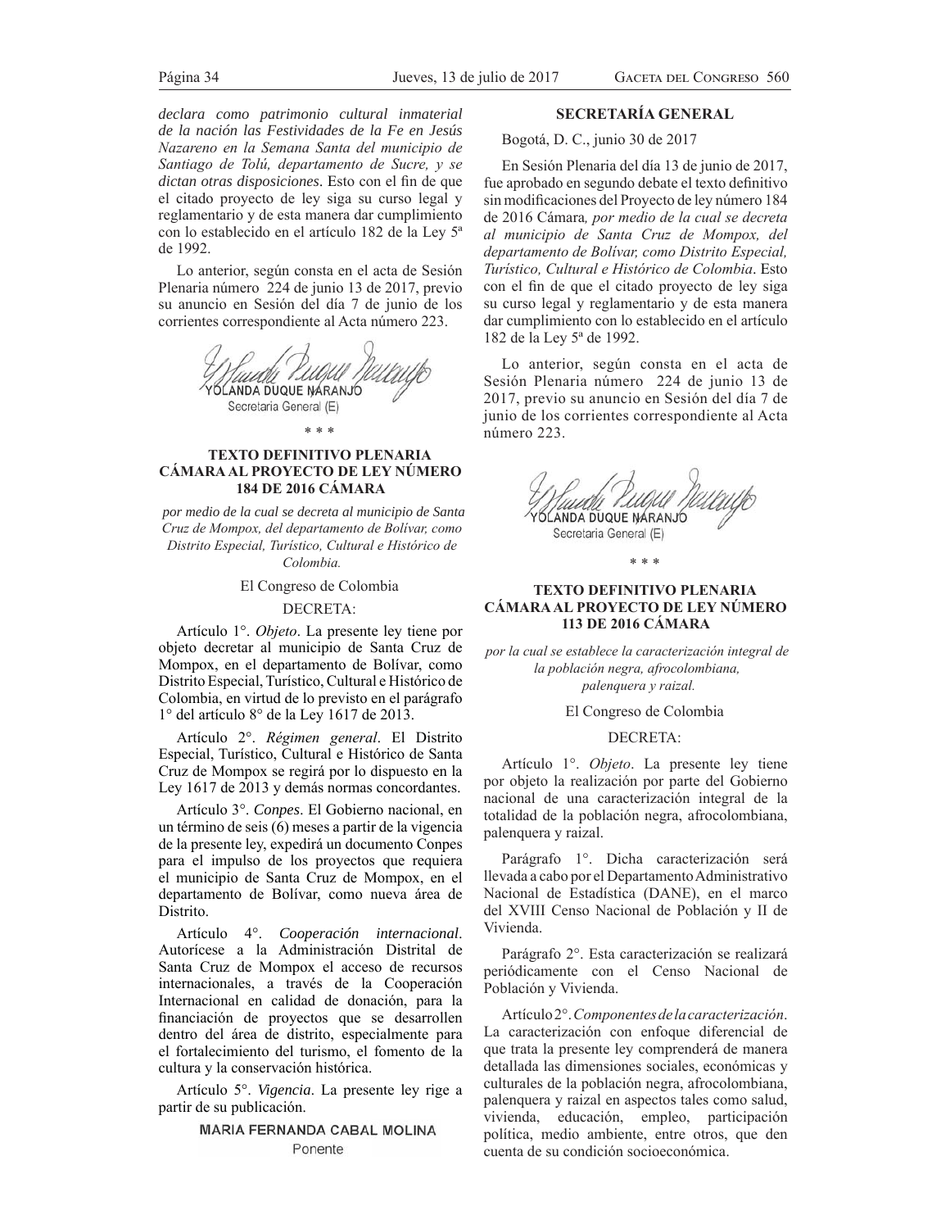*declara como patrimonio cultural inmaterial de la nación las Festividades de la Fe en Jesús*  Nazareno en la Semana Santa del municipio de Santiago de Tolú, departamento de Sucre, y se *dictan otras disposiciones*. Esto con el fin de que el citado proyecto de ley siga su curso legal y reglamentario y de esta manera dar cumplimiento con lo establecido en el artículo 182 de la Ley 5ª de 1992.

Lo anterior, según consta en el acta de Sesión Plenaria número 224 de junio 13 de 2017, previo su anuncio en Sesión del día 7 de junio de los corrientes correspondiente al Acta número 223.



#### \* \* \*

# **TEXTO DEFINITIVO PLENARIA CÁMARA AL PROYECTO DE LEY NÚMERO 184 DE 2016 CÁMARA**

 *por medio de la cual se decreta al municipio de Santa*  Cruz de Mompox, del departamento de Bolívar, como Distrito Especial, Turístico, Cultural e Histórico de Colombia.

## El Congreso de Colombia

# DECRETA:

Artículo 1°. *Objeto*. La presente ley tiene por objeto decretar al municipio de Santa Cruz de Mompox, en el departamento de Bolívar, como Distrito Especial, Turístico, Cultural e Histórico de Colombia, en virtud de lo previsto en el parágrafo 1° del artículo 8° de la Ley 1617 de 2013.

Artículo 2°. Régimen general. El Distrito Especial, Turístico, Cultural e Histórico de Santa Cruz de Mompox se regirá por lo dispuesto en la Ley 1617 de 2013 y demás normas concordantes.

Artículo 3°. *Conpes*. El Gobierno nacional, en un término de seis (6) meses a partir de la vigencia de la presente ley, expedirá un documento Conpes para el impulso de los proyectos que requiera el municipio de Santa Cruz de Mompox, en el departamento de Bolívar, como nueva área de Distrito.

Artículo 4°. *Cooperación internacional*. Autorícese a la Administración Distrital de Santa Cruz de Mompox el acceso de recursos internacionales, a través de la Cooperación Internacional en calidad de donación, para la financiación de proyectos que se desarrollen dentro del área de distrito, especialmente para el fortalecimiento del turismo, el fomento de la cultura y la conservación histórica.

Artículo 5°. *Vigencia*. La presente ley rige a partir de su publicación.

# **MARIA FERNANDA CABAL MOLINA** Ponente

# **SECRETARÍA GENERAL**

Bogotá, D. C., junio 30 de 2017

En Sesión Plenaria del día 13 de junio de 2017, fue aprobado en segundo debate el texto definitivo sin modificaciones del Proyecto de ley número 184 de 2016 Cámara, por medio de la cual se decreta *al municipio de Santa Cruz de Mompox, del* departamento de Bolívar, como Distrito Especial, *Turístico, Cultural e Histórico de Colombia. Esto* con el fin de que el citado proyecto de ley siga su curso legal y reglamentario y de esta manera dar cumplimiento con lo establecido en el artículo 182 de la Ley 5ª de 1992.

Lo anterior, según consta en el acta de Sesión Plenaria número 224 de junio 13 de 2017, previo su anuncio en Sesión del día 7 de junio de los corrientes correspondiente al Acta número 223.

**OLANDA DUQUE NÁRANJO** Secretaria General (E)

### \* \* \*

# **TEXTO DEFINITIVO PLENARIA CÁMARA AL PROYECTO DE LEY NÚMERO 113 DE 2016 CÁMARA**

*por la cual se establece la caracterización integral de la población negra, afrocolombiana,* 

palenquera v raizal.

### El Congreso de Colombia

### DECRETA:

Artículo 1°. *Objeto*. La presente ley tiene por objeto la realización por parte del Gobierno nacional de una caracterización integral de la totalidad de la población negra, afrocolombiana, palenquera y raizal.

Parágrafo 1°. Dicha caracterización será llevada a cabo por el Departamento Administrativo Nacional de Estadística (DANE), en el marco del XVIII Censo Nacional de Población y II de Vivienda.

Parágrafo 2°. Esta caracterización se realizará periódicamente con el Censo Nacional de Población y Vivienda.

Artículo 2°. Componentes de la caracterización. La caracterización con enfoque diferencial de que trata la presente ley comprenderá de manera detallada las dimensiones sociales, económicas y culturales de la población negra, afrocolombiana, palenquera y raizal en aspectos tales como salud, vivienda, educación, empleo, participación política, medio ambiente, entre otros, que den cuenta de su condición socioeconómica.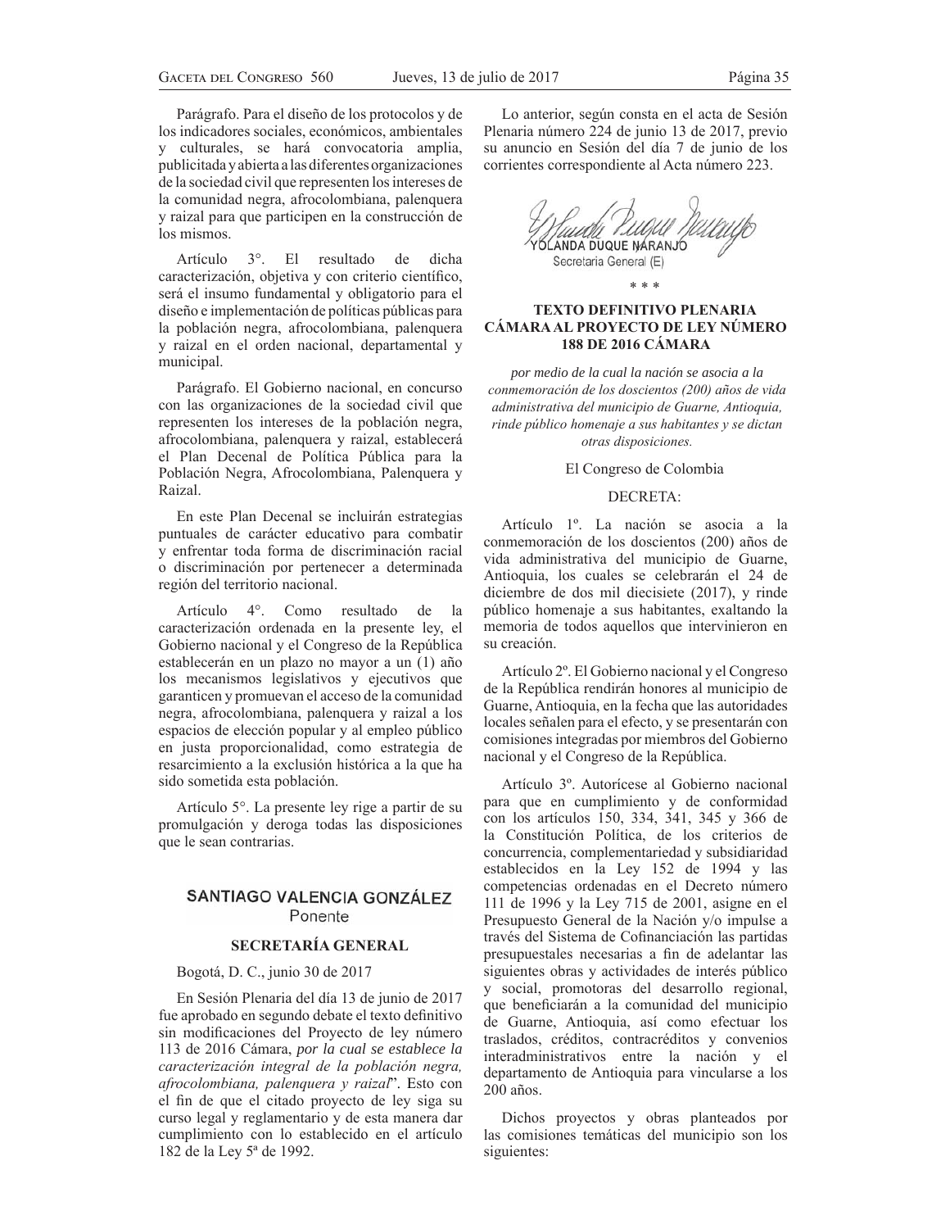Parágrafo. Para el diseño de los protocolos y de los indicadores sociales, económicos, ambientales y culturales, se hará convocatoria amplia, publicitada y abierta a las diferentes organizaciones de la sociedad civil que representen los intereses de la comunidad negra, afrocolombiana, palenquera y raizal para que participen en la construcción de los mismos.

Artículo 3<sup>°</sup>. El resultado de dicha caracterización, objetiva y con criterio científico, será el insumo fundamental y obligatorio para el diseño e implementación de políticas públicas para la población negra, afrocolombiana, palenquera y raizal en el orden nacional, departamental y municipal.

Parágrafo. El Gobierno nacional, en concurso con las organizaciones de la sociedad civil que representen los intereses de la población negra, afrocolombiana, palenquera y raizal, establecerá el Plan Decenal de Política Pública para la Población Negra, Afrocolombiana, Palenquera y Raizal.

En este Plan Decenal se incluirán estrategias puntuales de carácter educativo para combatir y enfrentar toda forma de discriminación racial o discriminación por pertenecer a determinada región del territorio nacional.

Artículo 4°. Como resultado de la caracterización ordenada en la presente ley, el Gobierno nacional y el Congreso de la República establecerán en un plazo no mayor a un (1) año los mecanismos legislativos y ejecutivos que garanticen y promuevan el acceso de la comunidad negra, afrocolombiana, palenquera y raizal a los espacios de elección popular y al empleo público en justa proporcionalidad, como estrategia de resarcimiento a la exclusión histórica a la que ha sido sometida esta población.

Artículo 5°. La presente ley rige a partir de su promulgación y deroga todas las disposiciones que le sean contrarias.

# **SANTIAGO VALENCIA GONZÁLEZ** Ponente

# **SECRETARÍA GENERAL**

Bogotá, D. C., junio 30 de 2017

En Sesión Plenaria del día 13 de junio de 2017 fue aprobado en segundo debate el texto definitivo sin modificaciones del Proyecto de ley número 113 de 2016 Cámara, *por la cual se establece la*  caracterización integral de la población negra, afrocolombiana, palenquera y raizal". Esto con el fin de que el citado proyecto de ley siga su curso legal y reglamentario y de esta manera dar cumplimiento con lo establecido en el artículo 182 de la Ley 5ª de 1992.

Lo anterior, según consta en el acta de Sesión Plenaria número 224 de junio 13 de 2017, previo su anuncio en Sesión del día 7 de junio de los corrientes correspondiente al Acta número 223.

ANDA DUQUE NÁRANJÓ Secretaria General (E)

# **TEXTO DEFINITIVO PLENARIA CÁMARA AL PROYECTO DE LEY NÚMERO 188 DE 2016 CÁMARA**

\* \* \*

*por medio de la cual la nación se asocia a la conmemoración de los doscientos (200) años de vida administrativa del municipio de Guarne, Antioquia,* rinde público homenaje a sus habitantes y se dictan *otras disposiciones.* 

El Congreso de Colombia

# DECRETA:

Artículo 1º. La nación se asocia a la conmemoración de los doscientos (200) años de vida administrativa del municipio de Guarne, Antioquia, los cuales se celebrarán el 24 de diciembre de dos mil diecisiete (2017), y rinde público homenaje a sus habitantes, exaltando la memoria de todos aquellos que intervinieron en su creación.

Artículo 2º. El Gobierno nacional y el Congreso de la República rendirán honores al municipio de Guarne, Antioquia, en la fecha que las autoridades locales señalen para el efecto, y se presentarán con comisiones integradas por miembros del Gobierno nacional y el Congreso de la República.

Artículo 3º. Autorícese al Gobierno nacional para que en cumplimiento y de conformidad con los artículos 150, 334, 341, 345 y 366 de la Constitución Política, de los criterios de concurrencia, complementariedad y subsidiaridad establecidos en la Ley 152 de 1994 y las competencias ordenadas en el Decreto número 111 de 1996 y la Ley 715 de 2001, asigne en el Presupuesto General de la Nación y/o impulse a través del Sistema de Cofinanciación las partidas presupuestales necesarias a fin de adelantar las siguientes obras y actividades de interés público y social, promotoras del desarrollo regional, que beneficiarán a la comunidad del municipio de Guarne, Antioquia, así como efectuar los traslados, créditos, contracréditos y convenios interadministrativos entre la nación y el departamento de Antioquia para vincularse a los 200 años.

Dichos proyectos y obras planteados por las comisiones temáticas del municipio son los siguientes: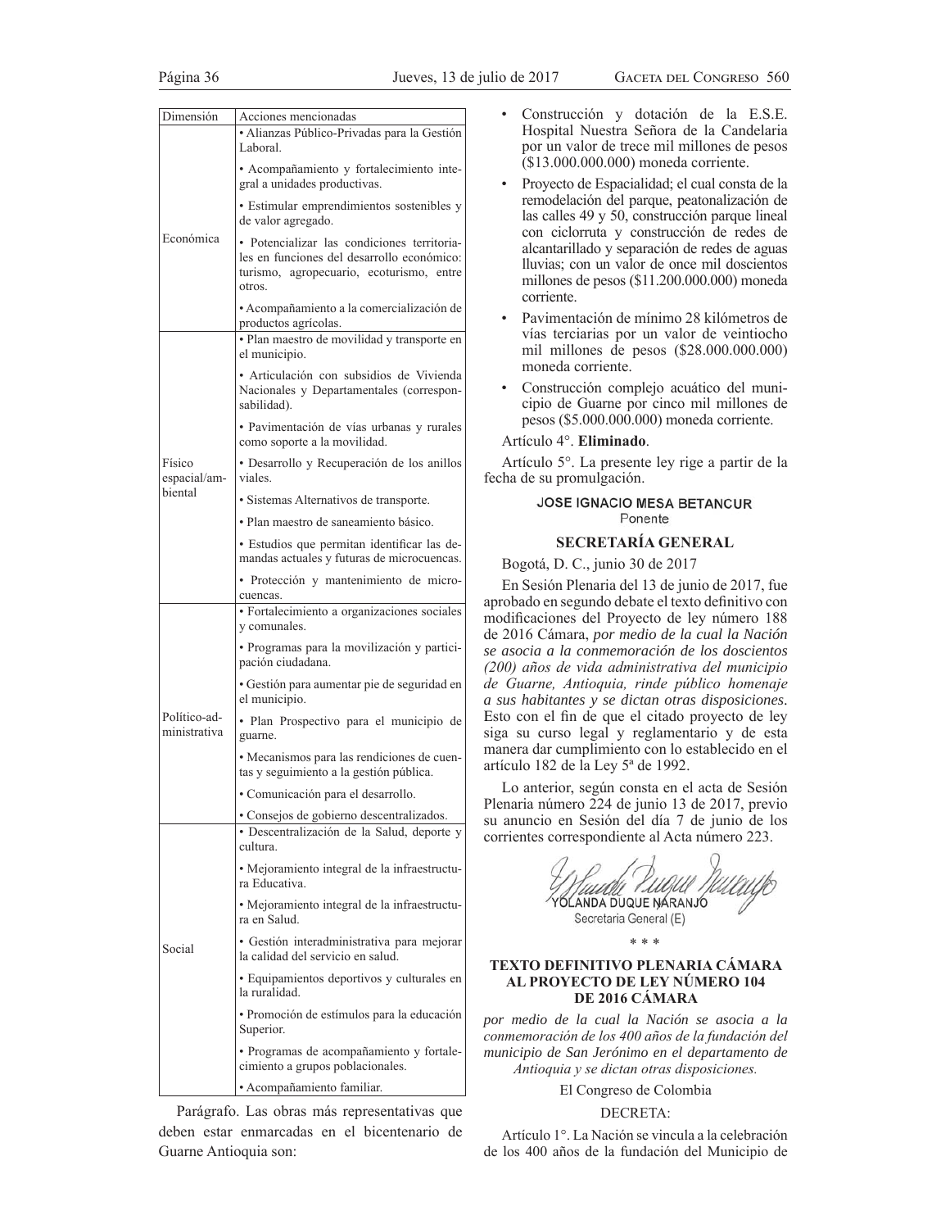| Dimensión                    | Acciones mencionadas                                                                                                                            |  |
|------------------------------|-------------------------------------------------------------------------------------------------------------------------------------------------|--|
|                              | · Alianzas Público-Privadas para la Gestión<br>Laboral.                                                                                         |  |
|                              | · Acompañamiento y fortalecimiento inte-<br>gral a unidades productivas.                                                                        |  |
| Económica                    | • Estimular emprendimientos sostenibles y<br>de valor agregado.                                                                                 |  |
|                              | • Potencializar las condiciones territoria-<br>les en funciones del desarrollo económico:<br>turismo, agropecuario, ecoturismo, entre<br>otros. |  |
|                              | • Acompañamiento a la comercialización de<br>productos agrícolas.                                                                               |  |
|                              | · Plan maestro de movilidad y transporte en<br>el municipio.                                                                                    |  |
|                              | · Articulación con subsidios de Vivienda<br>Nacionales y Departamentales (correspon-<br>sabilidad).                                             |  |
|                              | · Pavimentación de vías urbanas y rurales<br>como soporte a la movilidad.                                                                       |  |
| Físico<br>espacial/am-       | · Desarrollo y Recuperación de los anillos<br>viales.                                                                                           |  |
| biental                      | · Sistemas Alternativos de transporte.                                                                                                          |  |
|                              | · Plan maestro de saneamiento básico.                                                                                                           |  |
|                              | · Estudios que permitan identificar las de-<br>mandas actuales y futuras de microcuencas.                                                       |  |
|                              | · Protección y mantenimiento de micro-<br>cuencas.                                                                                              |  |
|                              | · Fortalecimiento a organizaciones sociales<br>y comunales.                                                                                     |  |
|                              | · Programas para la movilización y partici-<br>pación ciudadana.                                                                                |  |
|                              | · Gestión para aumentar pie de seguridad en<br>el municipio.                                                                                    |  |
| Político-ad-<br>ministrativa | · Plan Prospectivo para el municipio de<br>guarne.                                                                                              |  |
|                              | • Mecanismos para las rendiciones de cuen-<br>tas y seguimiento a la gestión pública.                                                           |  |
|                              | · Comunicación para el desarrollo                                                                                                               |  |
| Social                       | • Consejos de gobierno descentralizados.<br>· Descentralización de la Salud, deporte y<br>cultura.                                              |  |
|                              | • Mejoramiento integral de la infraestructu-<br>ra Educativa.                                                                                   |  |
|                              | • Mejoramiento integral de la infraestructu-<br>ra en Salud.                                                                                    |  |
|                              | • Gestión interadministrativa para mejorar<br>la calidad del servicio en salud.                                                                 |  |
|                              | • Equipamientos deportivos y culturales en<br>la ruralidad.                                                                                     |  |
|                              | · Promoción de estímulos para la educación<br>Superior.                                                                                         |  |
|                              | • Programas de acompañamiento y fortale-<br>cimiento a grupos poblacionales.                                                                    |  |
|                              | • Acompañamiento familiar.                                                                                                                      |  |

Parágrafo. Las obras más representativas que deben estar enmarcadas en el bicentenario de Guarne Antioquia son:

- Construcción y dotación de la E.S.E. Hospital Nuestra Señora de la Candelaria por un valor de trece mil millones de pesos  $($13.000.000.000)$  moneda corriente.
- Proyecto de Espacialidad; el cual consta de la remodelación del parque, peatonalización de las calles  $49 \times 50$ , construcción parque lineal con ciclorruta y construcción de redes de alcantarillado y separación de redes de aguas lluvias; con un valor de once mil doscientos millones de pesos (\$11.200.000.000) moneda corriente.
- Pavimentación de mínimo 28 kilómetros de vías terciarias por un valor de veintiocho mil millones de pesos  $(\$28.000.000.000)$ moneda corriente.
- Construcción complejo acuático del municipio de Guarne por cinco mil millones de pesos (\$5.000.000.000) moneda corriente.

### Artículo 4°. **Eliminado**.

Artículo 5°. La presente ley rige a partir de la fecha de su promulgación.

# JOSE IGNACIO MESA BETANCUR Ponente

## **SECRETARÍA GENERAL**

Bogotá, D. C., junio 30 de 2017

En Sesión Plenaria del 13 de junio de 2017, fue aprobado en segundo debate el texto definitivo con modificaciones del Proyecto de ley número 188 de 2016 Cámara, *por medio de la cual la Nación se asocia a la conmemoración de los doscientos*  (200) años de vida administrativa del municipio  $de$  Guarne, Antioquia, rinde público homenaje *a sus habitantes y se dictan otras disposiciones*. Esto con el fin de que el citado proyecto de ley siga su curso legal y reglamentario y de esta manera dar cumplimiento con lo establecido en el artículo 182 de la Ley 5ª de 1992.

Lo anterior, según consta en el acta de Sesión Plenaria número 224 de junio 13 de 2017, previo su anuncio en Sesión del día 7 de junio de los corrientes correspondiente al Acta número 223.

| ' I D.U<br>ANDA DUQUE NARANJO<br>Secretaria General (E) |  |
|---------------------------------------------------------|--|
|---------------------------------------------------------|--|

# \* \* \*

# **TEXTO DEFINITIVO PLENARIA CÁMARA AL PROYECTO DE LEY NÚMERO 104 DE 2016 CÁMARA**

*por medio de la cual la Nación se asocia a la conmemoración de los 400 años de la fundación del municipio de San Jerónimo en el departamento de Antioquia y se dictan otras disposiciones.* 

El Congreso de Colombia

# DECRETA:

Artículo 1°. La Nación se vincula a la celebración de los 400 años de la fundación del Municipio de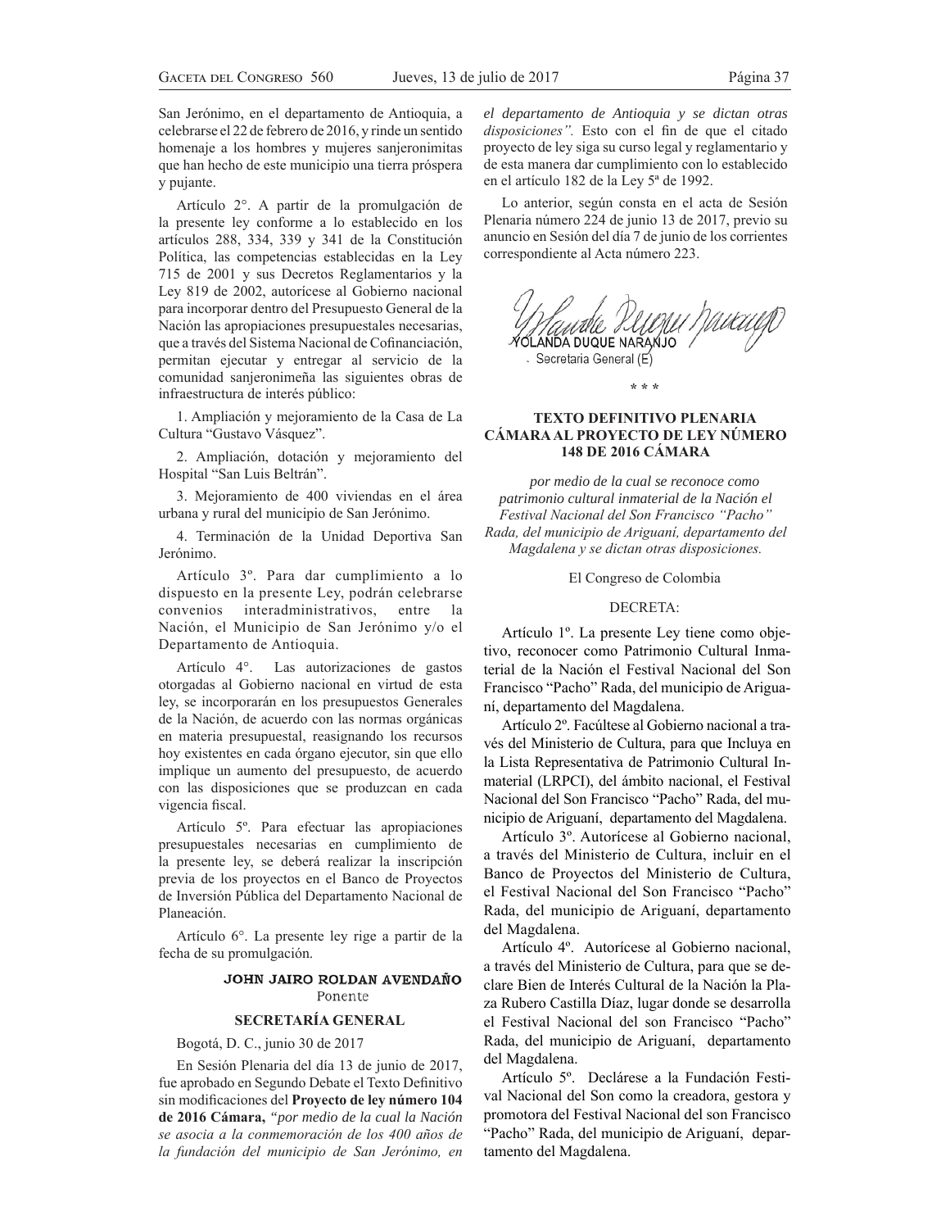San Jerónimo, en el departamento de Antioquia, a celebrarse el 22 de febrero de 2016, y rinde un sentido homenaje a los hombres y mujeres sanjeronimitas que han hecho de este municipio una tierra próspera y pujante.

Artículo 2°. A partir de la promulgación de la presente ley conforme a lo establecido en los artículos 288, 334, 339 y 341 de la Constitución Política, las competencias establecidas en la Ley 715 de 2001 y sus Decretos Reglamentarios y la Ley 819 de 2002, autorícese al Gobierno nacional para incorporar dentro del Presupuesto General de la Nación las apropiaciones presupuestales necesarias, que a través del Sistema Nacional de Cofinanciación, permitan ejecutar y entregar al servicio de la comunidad sanjeronimeña las siguientes obras de infraestructura de interés público:

1. Ampliación y mejoramiento de la Casa de La Cultura "Gustavo Vásquez".

2. Ampliación, dotación y mejoramiento del Hospital "San Luis Beltrán".

3. Mejoramiento de 400 viviendas en el área urbana y rural del municipio de San Jerónimo.

4. Terminación de la Unidad Deportiva San Jerónimo.

Artículo 3º. Para dar cumplimiento a lo dispuesto en la presente Ley, podrán celebrarse convenios interadministrativos, entre la Nación, el Municipio de San Jerónimo y/o el Departamento de Antioquia.

Artículo 4°. Las autorizaciones de gastos otorgadas al Gobierno nacional en virtud de esta ley, se incorporarán en los presupuestos Generales de la Nación, de acuerdo con las normas orgánicas en materia presupuestal, reasignando los recursos hoy existentes en cada órgano ejecutor, sin que ello implique un aumento del presupuesto, de acuerdo con las disposiciones que se produzcan en cada vigencia fiscal.

Artículo 5º. Para efectuar las apropiaciones presupuestales necesarias en cumplimiento de la presente ley, se deberá realizar la inscripción previa de los proyectos en el Banco de Proyectos de Inversión Pública del Departamento Nacional de Planeación.

Artículo 6°. La presente ley rige a partir de la fecha de su promulgación.

# JOHN JAIRO ROLDAN AVENDAÑO Ponente

# **SECRETARÍA GENERAL**

Bogotá, D. C., junio 30 de 2017

En Sesión Plenaria del día 13 de junio de 2017, fue aprobado en Segundo Debate el Texto Definitivo sin modificaciones del Proyecto de ley número 104 **de 2016 Cámara,** *"por medio de la cual la Nación*  se asocia a la conmemoración de los 400 años de la fundación del municipio de San Jerónimo, en

*el departamento de Antioquia y se dictan otras disposiciones*". Esto con el fin de que el citado proyecto de ley siga su curso legal y reglamentario y de esta manera dar cumplimiento con lo establecido en el artículo 182 de la Ley 5ª de 1992.

Lo anterior, según consta en el acta de Sesión Plenaria número 224 de junio 13 de 2017, previo su anuncio en Sesión del día 7 de junio de los corrientes correspondiente al Acta número 223.



# **TEXTO DEFINITIVO PLENARIA CÁMARA AL PROYECTO DE LEY NÚMERO 148 DE 2016 CÁMARA**

**\* \* \***

*por medio de la cual se reconoce como patrimonio cultural inmaterial de la Nación el*   $F$ estival Nacional del Son Francisco "Pacho" *Rada, del municipio de Ariguaní, departamento del Magdalena y se dictan otras disposiciones.* 

El Congreso de Colombia

### DECRETA:

Artículo 1º. La presente Ley tiene como objetivo, reconocer como Patrimonio Cultural Inmaterial de la Nación el Festival Nacional del Son Francisco "Pacho" Rada, del municipio de Ariguaní, departamento del Magdalena.

Artículo 2º. Facúltese al Gobierno nacional a través del Ministerio de Cultura, para que Incluya en la Lista Representativa de Patrimonio Cultural Inmaterial (LRPCI), del ámbito nacional, el Festival Nacional del Son Francisco "Pacho" Rada, del municipio de Ariguaní, departamento del Magdalena.

Artículo 3º. Autorícese al Gobierno nacional, a través del Ministerio de Cultura, incluir en el Banco de Proyectos del Ministerio de Cultura, el Festival Nacional del Son Francisco "Pacho" Rada, del municipio de Ariguaní, departamento del Magdalena.

Artículo 4º. Autorícese al Gobierno nacional, a través del Ministerio de Cultura, para que se declare Bien de Interés Cultural de la Nación la Pla za Rubero Castilla Díaz, lugar donde se desarrolla el Festival Nacional del son Francisco "Pacho" Rada, del municipio de Ariguaní, departamento del Magdalena.

Artículo 5º. Declárese a la Fundación Festival Nacional del Son como la creadora, gestora y promotora del Festival Nacional del son Francisco "Pacho" Rada, del municipio de Ariguaní, departamento del Magdalena.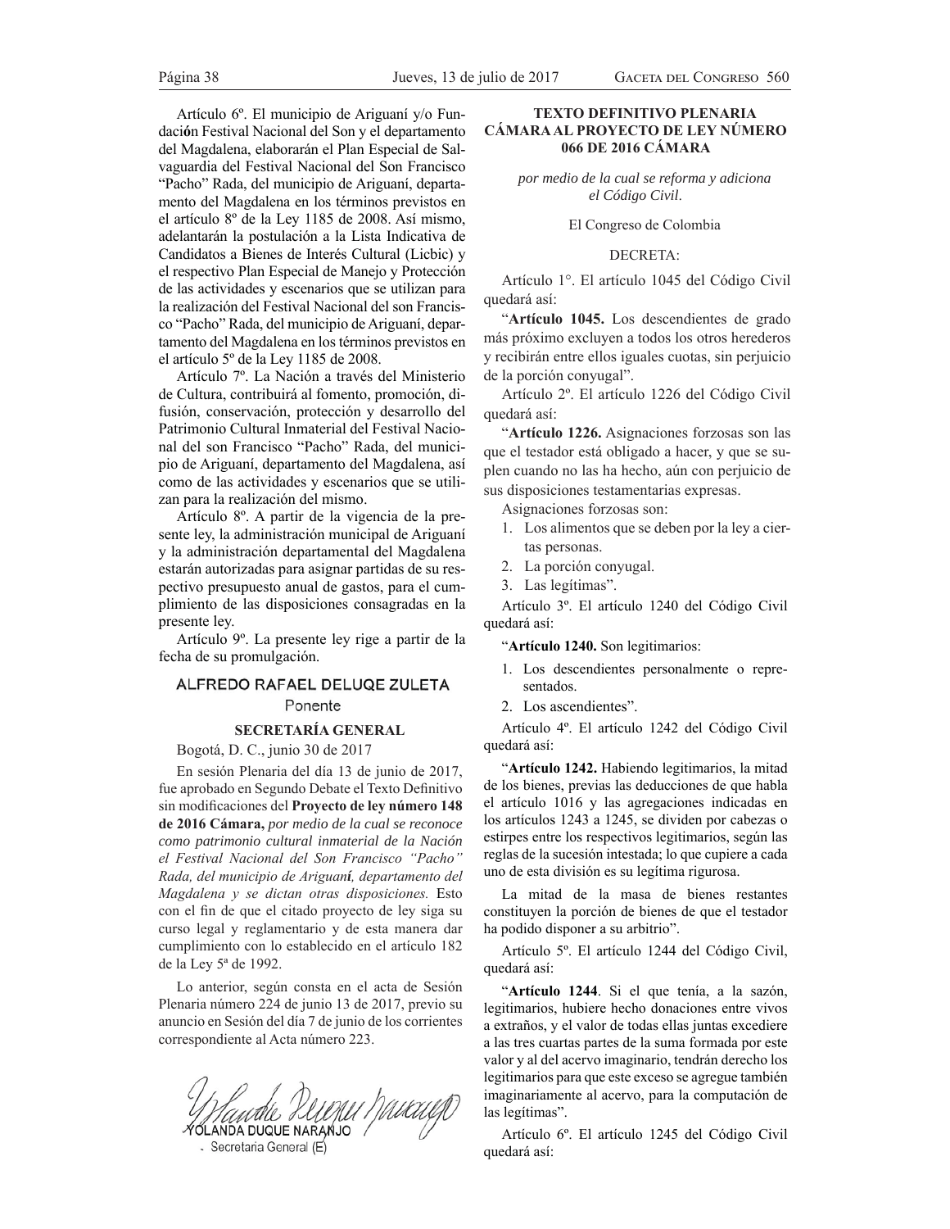Artículo 6<sup>o</sup>. El municipio de Ariguaní y/o Fundaci**ó**n Festival Nacional del Son y el departamento del Magdalena, elaborarán el Plan Especial de Salvaguardia del Festival Nacional del Son Francisco "Pacho" Rada, del municipio de Ariguaní, departamento del Magdalena en los términos previstos en el artículo 8º de la Ley 1185 de 2008. Así mismo, adelantarán la postulación a la Lista Indicativa de Candidatos a Bienes de Interés Cultural (Licbic) y el respectivo Plan Especial de Manejo y Protección de las actividades y escenarios que se utilizan para la realización del Festival Nacional del son Francisco "Pacho" Rada, del municipio de Ariguaní, departamento del Magdalena en los términos previstos en el artículo 5º de la Ley 1185 de 2008.

Artículo 7º. La Nación a través del Ministerio de Cultura, contribuirá al fomento, promoción, difusión, conservación, protección y desarrollo del Patrimonio Cultural Inmaterial del Festival Nacional del son Francisco "Pacho" Rada, del municipio de Ariguaní, departamento del Magdalena, así como de las actividades y escenarios que se utilizan para la realización del mismo.

Artículo 8º. A partir de la vigencia de la presente ley, la administración municipal de Ariguaní y la administración departamental del Magdalena estarán autorizadas para asignar partidas de su respectivo presupuesto anual de gastos, para el cumplimiento de las disposiciones consagradas en la presente ley.

Artículo 9º. La presente ley rige a partir de la fecha de su promulgación.

# ALFREDO RAFAEL DELUQE ZULETA Ponente

## **SECRETARÍA GENERAL**

Bogotá, D. C., junio 30 de 2017

En sesión Plenaria del día 13 de junio de 2017, fue aprobado en Segundo Debate el Texto Definitivo sin modificaciones del Proyecto de ley número 148 **de 2016 Cámara,** *por medio de la cual se reconoce como patrimonio cultural inmaterial de la Nación*   $el$  Festival Nacional del Son Francisco "Pacho" *Rada, del municipio de Ariguaní, departamento del Magdalena y se dictan otras disposiciones*. Esto con el fin de que el citado proyecto de ley siga su curso legal y reglamentario y de esta manera dar cumplimiento con lo establecido en el artículo 182 de la Ley 5ª de 1992.

Lo anterior, según consta en el acta de Sesión Plenaria número 224 de junio 13 de 2017, previo su anuncio en Sesión del día 7 de junio de los corrientes correspondiente al Acta número 223.

Mante DUMU Muruy

# **TEXTO DEFINITIVO PLENARIA CÁMARA AL PROYECTO DE LEY NÚMERO 066 DE 2016 CÁMARA**

*por medio de la cual se reforma y adiciona el Código Civil*.

El Congreso de Colombia

### DECRETA:

Artículo 1°. El artículo 1045 del Código Civil quedará así:

³**Artículo 1045.** Los descendientes de grado más próximo excluyen a todos los otros herederos y recibirán entre ellos iguales cuotas, sin perjuicio de la porción conyugal".

Artículo 2º. El artículo 1226 del Código Civil quedará así:

"Artículo 1226. Asignaciones forzosas son las que el testador está obligado a hacer, y que se suplen cuando no las ha hecho, aún con perjuicio de sus disposiciones testamentarias expresas.

Asignaciones forzosas son:

- 1. Los alimentos que se deben por la ley a ciertas personas.
- 2. La porción conyugal.
- 3. Las legítimas".

Artículo 3º. El artículo 1240 del Código Civil quedará así:

³**Artículo 1240.** Son legitimarios:

- 1. Los descendientes personalmente o representados.
- 2. Los ascendientes".

Artículo 4º. El artículo 1242 del Código Civil quedará así:

³**Artículo 1242.** Habiendo legitimarios, la mitad de los bienes, previas las deducciones de que habla el artículo 1016 y las agregaciones indicadas en los artículos 1243 a 1245, se dividen por cabezas o estirpes entre los respectivos legitimarios, según las reglas de la sucesión intestada; lo que cupiere a cada uno de esta división es su legítima rigurosa.

La mitad de la masa de bienes restantes constituyen la porción de bienes de que el testador ha podido disponer a su arbitrio".

Artículo 5º. El artículo 1244 del Código Civil, quedará así:

"Artículo 1244. Si el que tenía, a la sazón, legitimarios, hubiere hecho donaciones entre vivos a extraños, y el valor de todas ellas juntas excediere a las tres cuartas partes de la suma formada por este valor y al del acervo imaginario, tendrán derecho los legitimarios para que este exceso se agregue también imaginariamente al acervo, para la computación de las legítimas".

Artículo 6º. El artículo 1245 del Código Civil quedará así: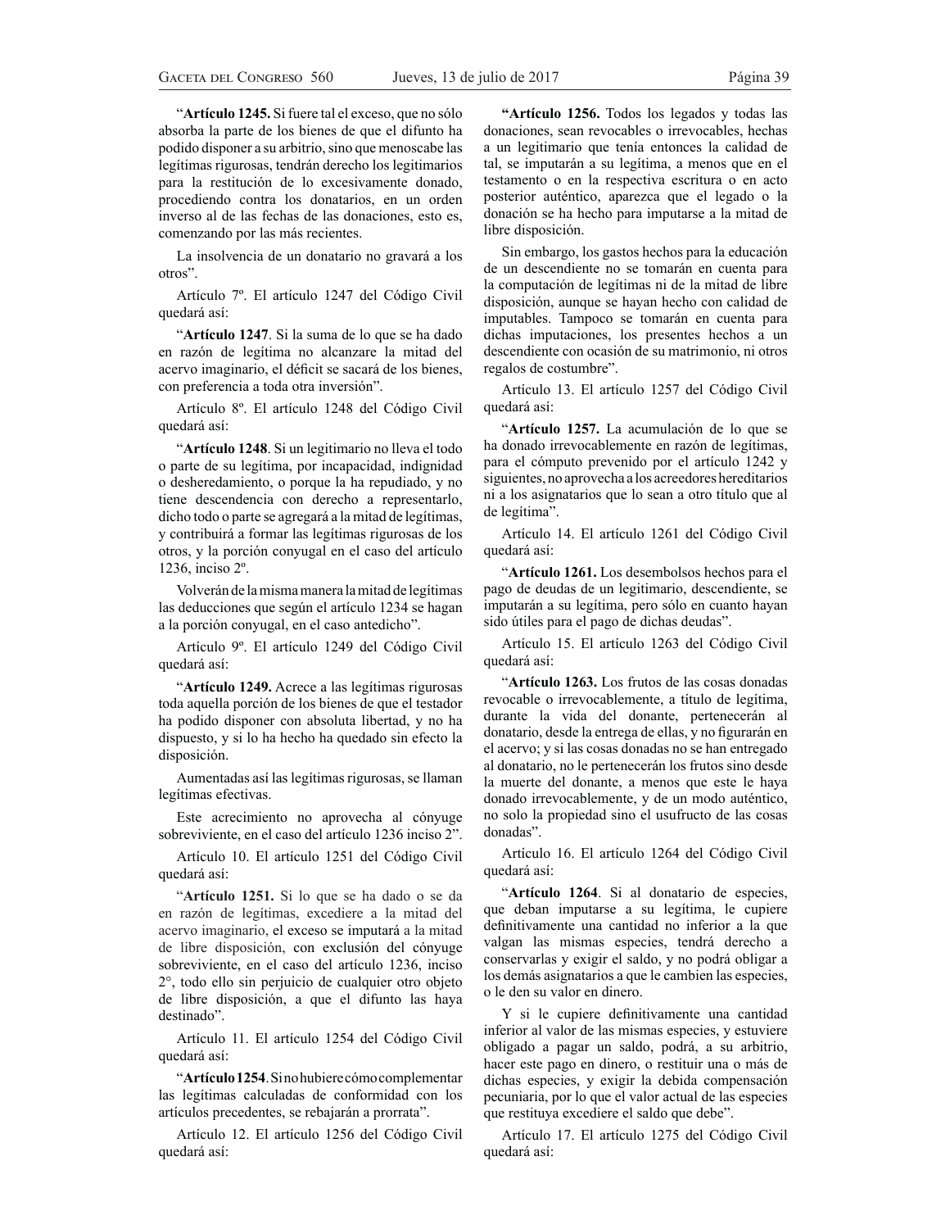"Artículo 1245. Si fuere tal el exceso, que no sólo absorba la parte de los bienes de que el difunto ha podido disponer a su arbitrio, sino que menoscabe las legítimas rigurosas, tendrán derecho los legitimarios para la restitución de lo excesivamente donado, procediendo contra los donatarios, en un orden inverso al de las fechas de las donaciones, esto es, comenzando por las más recientes.

La insolvencia de un donatario no gravará a los otros".

Artículo 7º. El artículo 1247 del Código Civil quedará así:

"Artículo 1247. Si la suma de lo que se ha dado en razón de legítima no alcanzare la mitad del acervo imaginario, el déficit se sacará de los bienes, con preferencia a toda otra inversión".

Artículo 8º. El artículo 1248 del Código Civil quedará así:

³**Artículo 1248**. Si un legitimario no lleva el todo o parte de su legítima, por incapacidad, indignidad o desheredamiento, o porque la ha repudiado, y no tiene descendencia con derecho a representarlo, dicho todo o parte se agregará a la mitad de legítimas, y contribuirá a formar las legítimas rigurosas de los otros, y la porción conyugal en el caso del artículo 1236, inciso 2º.

Volverán de la misma manera la mitad de legítimas las deducciones que según el artículo 1234 se hagan a la porción conyugal, en el caso antedicho".

Artículo 9º. El artículo 1249 del Código Civil quedará así:

³**Artículo 1249.** Acrece a las legítimas rigurosas toda aquella porción de los bienes de que el testador ha podido disponer con absoluta libertad, y no ha dispuesto, y si lo ha hecho ha quedado sin efecto la disposición.

Aumentadas así las legítimas rigurosas, se llaman legítimas efectivas.

Este acrecimiento no aprovecha al cónyuge sobreviviente, en el caso del artículo 1236 inciso 2".

Artículo 10. El artículo 1251 del Código Civil quedará así:

"Artículo 1251. Si lo que se ha dado o se da en razón de legítimas, excediere a la mitad del acervo imaginario, el exceso se imputará a la mitad de libre disposición, con exclusión del cónyuge sobreviviente, en el caso del artículo 1236, inciso 2°, todo ello sin perjuicio de cualquier otro objeto de libre disposición, a que el difunto las haya destinado".

Artículo 11. El artículo 1254 del Código Civil quedará así:

"Artículo 1254. Sinohubiere cómo complementar las legítimas calculadas de conformidad con los artículos precedentes, se rebajarán a prorrata".

Artículo 12. El artículo 1256 del Código Civil quedará así:

**"Artículo 1256.** Todos los legados y todas las donaciones, sean revocables o irrevocables, hechas a un legitimario que tenía entonces la calidad de tal, se imputarán a su legítima, a menos que en el testamento o en la respectiva escritura o en acto posterior auténtico, aparezca que el legado o la donación se ha hecho para imputarse a la mitad de libre disposición.

Sin embargo, los gastos hechos para la educación de un descendiente no se tomarán en cuenta para la computación de legítimas ni de la mitad de libre disposición, aunque se hayan hecho con calidad de imputables. Tampoco se tomarán en cuenta para dichas imputaciones, los presentes hechos a un descendiente con ocasión de su matrimonio, ni otros regalos de costumbre".

Artículo 13. El artículo 1257 del Código Civil quedará así:

"Artículo 1257. La acumulación de lo que se ha donado irrevocablemente en razón de legítimas, para el cómputo prevenido por el artículo 1242 y siguientes, no aprovecha a los acreedores hereditarios ni a los asignatarios que lo sean a otro título que al de legítima".

Artículo 14. El artículo 1261 del Código Civil quedará así:

"Artículo 1261. Los desembolsos hechos para el pago de deudas de un legitimario, descendiente, se imputarán a su legítima, pero sólo en cuanto hayan sido útiles para el pago de dichas deudas".

Artículo 15. El artículo 1263 del Código Civil quedará así:

³**Artículo 1263.** Los frutos de las cosas donadas revocable o irrevocablemente, a título de legítima, durante la vida del donante, pertenecerán al donatario, desde la entrega de ellas, y no figurarán en el acervo; y si las cosas donadas no se han entregado al donatario, no le pertenecerán los frutos sino desde la muerte del donante, a menos que este le haya donado irrevocablemente, y de un modo auténtico, no solo la propiedad sino el usufructo de las cosas donadas".

Artículo 16. El artículo 1264 del Código Civil quedará así:

³**Artículo 1264**. Si al donatario de especies, que deban imputarse a su legítima, le cupiere definitivamente una cantidad no inferior a la que valgan las mismas especies, tendrá derecho a conservarlas y exigir el saldo, y no podrá obligar a los demás asignatarios a que le cambien las especies, o le den su valor en dinero.

Y si le cupiere definitivamente una cantidad inferior al valor de las mismas especies, y estuviere obligado a pagar un saldo, podrá, a su arbitrio, hacer este pago en dinero, o restituir una o más de dichas especies, y exigir la debida compensación pecuniaria, por lo que el valor actual de las especies que restituya excediere el saldo que debe".

Artículo 17. El artículo 1275 del Código Civil quedará así: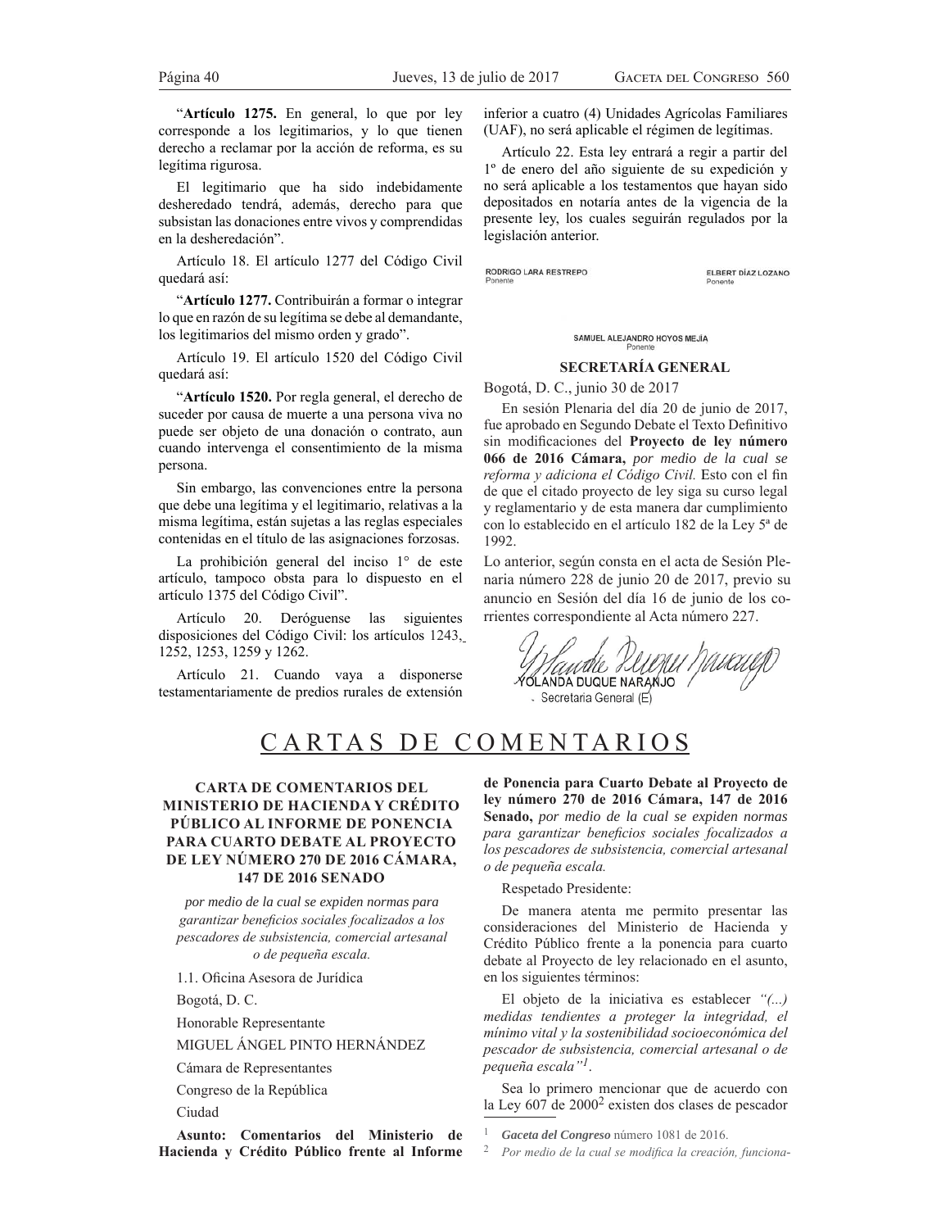"Artículo 1275. En general, lo que por ley  $corresponde$  a los legitimarios, y lo que tienen derecho a reclamar por la acción de reforma, es su legítima rigurosa.

El legitimario que ha sido indebidamente desheredado tendrá, además, derecho para que subsistan las donaciones entre vivos y comprendidas en la desheredación".

Artículo 18. El artículo 1277 del Código Civil quedará así:

³**Artículo 1277.** Contribuirán a formar o integrar lo que en razón de su legítima se debe al demandante, los legitimarios del mismo orden y grado".

Artículo 19. El artículo 1520 del Código Civil quedará así:

"Artículo 1520. Por regla general, el derecho de suceder por causa de muerte a una persona viva no puede ser objeto de una donación o contrato, aun cuando intervenga el consentimiento de la misma persona.

Sin embargo, las convenciones entre la persona que debe una legítima y el legitimario, relativas a la misma legítima, están sujetas a las reglas especiales contenidas en el título de las asignaciones forzosas.

La prohibición general del inciso 1º de este artículo, tampoco obsta para lo dispuesto en el artículo 1375 del Código Civil".

Artículo 20. Deróguense las siguientes disposiciones del Código Civil: los artículos 1243, 1252, 1253, 1259 y 1262.

Artículo 21. Cuando vaya a disponerse testamentariamente de predios rurales de extensión

inferior a cuatro (4) Unidades Agrícolas Familiares (UAF), no será aplicable el régimen de legítimas.

Artículo 22. Esta ley entrará a regir a partir del lº de enero del año siguiente de su expedición y no será aplicable a los testamentos que hayan sido depositados en notaría antes de la vigencia de la presente ley, los cuales seguirán regulados por la legislación anterior.

RODRIGO LARA RESTREPO

ELBERT DÍAZ LOZANO

SAMUEL ALEJANDRO HOYOS MEJÍA

### **SECRETARÍA GENERAL**

Bogotá, D. C., junio 30 de 2017

En sesión Plenaria del día 20 de junio de 2017, fue aprobado en Segundo Debate el Texto Definitivo sin modificaciones del Proyecto de ley número **066 de 2016 Cámara,** *por medio de la cual se reforma y adiciona el Código Civil.* Esto con el fin de que el citado proyecto de ley siga su curso legal y reglamentario y de esta manera dar cumplimiento con lo establecido en el artículo 182 de la Ley 5ª de 1992.

Lo anterior, según consta en el acta de Sesión Plenaria número 228 de junio 20 de 2017, previo su anuncio en Sesión del día 16 de junio de los corrientes correspondiente al Acta número 227.

Handle PUMU MUCULT Secretaria General (E)

# CARTAS DE COMENTARIOS

# **CARTA DE COMENTARIOS DEL MINISTERIO DE HACIENDA Y CRÉDITO PÚBLICO AL INFORME DE PONENCIA PARA CUARTO DEBATE AL PROYECTO DE LEY NÚMERO 270 DE 2016 CÁMARA, 147 DE 2016 SENADO**

*por medio de la cual se expiden normas para*  garantizar beneficios sociales focalizados a los pescadores de subsistencia, comercial artesanal  $o$  de pequeña escala.

1.1. Oficina Asesora de Jurídica

Bogotá, D. C.

Honorable Representante

MIGUEL ÁNGEL PINTO HERNÁNDEZ

Cámara de Representantes

Congreso de la República

Ciudad

**Asunto: Comentarios del Ministerio de Hacienda y Crédito Público frente al Informe** 

**de Ponencia para Cuarto Debate al Proyecto de ley número 270 de 2016 Cámara, 147 de 2016 Senado,** *por medio de la cual se expiden normas*  para garantizar beneficios sociales focalizados a los pescadores de subsistencia, comercial artesanal  $o$  de pequeña escala.

Respetado Presidente:

De manera atenta me permito presentar las consideraciones del Ministerio de Hacienda y Crédito Público frente a la ponencia para cuarto debate al Proyecto de ley relacionado en el asunto, en los siguientes términos:

El objeto de la iniciativa es establecer "(...)  $m$ edidas tendientes a proteger la integridad, el  $m$ inimo vital y la sostenibilidad socioeconómica del pescador de subsistencia, comercial artesanal o de pequeña escala"<sup>1</sup>.

Sea lo primero mencionar que de acuerdo con la Ley 607 de 2000<sup>2</sup> existen dos clases de pescador

<sup>1</sup> *Gaceta del Congreso* número 1081 de 2016.

<sup>2</sup> Por medio de la cual se modifica la creación, funciona-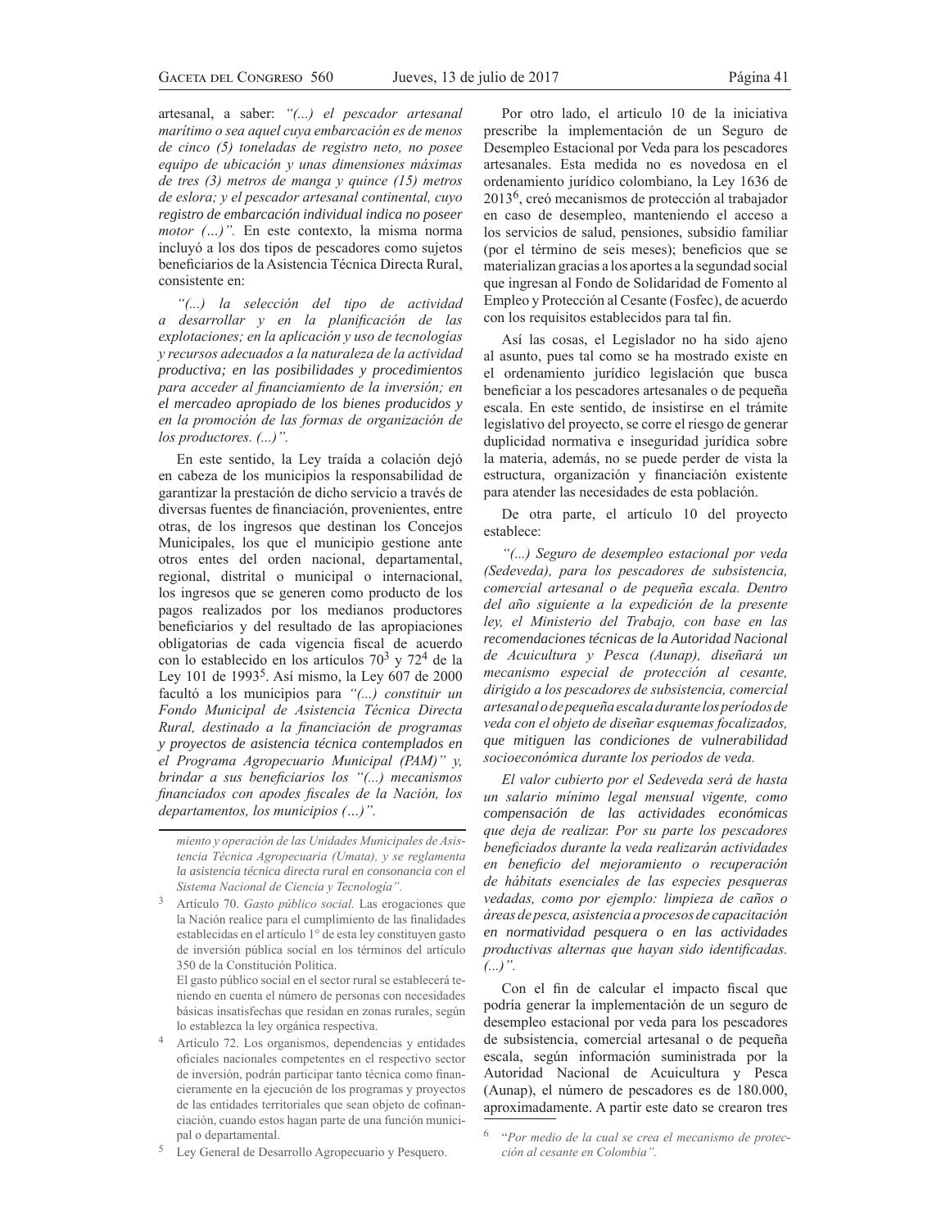artesanal, a saber: "(...) el pescador artesanal *<i>Parítimo o sea aquel cuva embarcación es de menos* de cinco (5) toneladas de registro neto, no posee equipo de ubicación y unas dimensiones máximas de tres (3) metros de manga y quince (15) metros  $de$  eslora; y el pescador artesanal continental, cuyo *registro de embarcación individual indica no poseer motor* (...)". En este contexto, la misma norma incluyó a los dos tipos de pescadores como sujetos beneficiarios de la Asistencia Técnica Directa Rural, consistente en:

"(...) la selección del tipo de actividad *a* desarrollar y en la planificación de las  $explotaciones$ ; en la aplicación y uso de tecnologías  $$ *productiva; en las posibilidades y procedimientos*  para acceder al financiamiento de la inversión; en *el mercadeo apropiado de los bienes producidos y*  en la promoción de las formas de organización de *los productores. (...)*".

En este sentido, la Ley traída a colación dejó en cabeza de los municipios la responsabilidad de garantizar la prestación de dicho servicio a través de diversas fuentes de financiación, provenientes, entre otras, de los ingresos que destinan los Concejos Municipales, los que el municipio gestione ante otros entes del orden nacional, departamental, regional, distrital o municipal o internacional, los ingresos que se generen como producto de los pagos realizados por los medianos productores beneficiarios y del resultado de las apropiaciones obligatorias de cada vigencia fiscal de acuerdo con lo establecido en los artículos  $70<sup>3</sup>$  y  $72<sup>4</sup>$  de la Ley 101 de 1993<sup>5</sup>. Así mismo, la Ley 607 de 2000 facultó a los municipios para "(...) constituir un Fondo Municipal de Asistencia Técnica Directa Rural, destinado a la financiación de programas *y proyectos de asistencia técnica contemplados en el Programa Agropecuario Municipal (PAM)*" y, *brindar a sus beneficiarios los "(...) mecanismos* financiados con apodes fiscales de la Nación, los *departamentos, los municipios (...)".* 

 El gasto público social en el sector rural se establecerá teniendo en cuenta el número de personas con necesidades básicas insatisfechas que residan en zonas rurales, según lo establezca la ley orgánica respectiva.

4 Artículo 72. Los organismos, dependencias y entidades oficiales nacionales competentes en el respectivo sector de inversión, podrán participar tanto técnica como financieramente en la ejecución de los programas y proyectos de las entidades territoriales que sean objeto de cofinanciación, cuando estos hagan parte de una función municipal o departamental.

<sup>5</sup> Ley General de Desarrollo Agropecuario y Pesquero.

Por otro lado, el artículo 10 de la iniciativa prescribe la implementación de un Seguro de Desempleo Estacional por Veda para los pescadores artesanales. Esta medida no es novedosa en el ordenamiento jurídico colombiano, la Ley 1636 de 20136, creó mecanismos de protección al trabajador en caso de desempleo, manteniendo el acceso a los servicios de salud, pensiones, subsidio familiar (por el término de seis meses); beneficios que se materializan gracias a los aportes a la segundad social que ingresan al Fondo de Solidaridad de Fomento al Empleo y Protección al Cesante (Fosfec), de acuerdo con los requisitos establecidos para tal fin.

Así las cosas, el Legislador no ha sido ajeno al asunto, pues tal como se ha mostrado existe en el ordenamiento jurídico legislación que busca beneficiar a los pescadores artesanales o de pequeña escala. En este sentido, de insistirse en el trámite legislativo del proyecto, se corre el riesgo de generar duplicidad normativa e inseguridad jurídica sobre la materia, además, no se puede perder de vista la estructura, organización y financiación existente para atender las necesidades de esta población.

De otra parte, el artículo 10 del proyecto establece:

"(...) Seguro de desempleo estacional por veda (Sedeveda), para los pescadores de subsistencia, comercial artesanal o de pequeña escala. Dentro del año siguiente a la expedición de la presente ley, el Ministerio del Trabajo, con base en las *recomendaciones técnicas de la Autoridad Nacional*  de Acuicultura y Pesca (Aunap), diseñará un  $mecanismo$  especial de protección al cesante, dirigido a los pescadores de subsistencia, comercial artesanal o de pequeña escala durante los períodos de veda con el objeto de diseñar esquemas focalizados, *que mitiguen las condiciones de vulnerabilidad socioeconómica durante los periodos de veda.* 

 $E1$  valor cubierto por el Sedeveda será de hasta *un salario mínimo legal mensual vigente, como compensación de las actividades económicas que deja de realizar. Por su parte los pescadores* beneficiados durante la veda realizarán actividades en beneficio del mejoramiento o recuperación de hábitats esenciales de las especies pesqueras  $v$ edadas, como por ejemplo: limpieza de caños o  $\emph{áreas}$  de pesca, asistencia a procesos de capacitación *en normatividad pesquera o en las actividades productivas alternas que hayan sido identificadas. ´*

Con el fin de calcular el impacto fiscal que podría generar la implementación de un seguro de desempleo estacional por veda para los pescadores de subsistencia, comercial artesanal o de pequeña escala, según información suministrada por la Autoridad Nacional de Acuicultura y Pesca (Aunap), el número de pescadores es de 180.000, aproximadamente. A partir este dato se crearon tres

*PRIENTO V* Operación de las Unidades Municipales de Asistencia Técnica Agropecuaria (Umata), y se reglamenta *la asistencia técnica directa rural en consonancia con el Sistema Nacional de Ciencia y Tecnología"*.

<sup>&</sup>lt;sup>3</sup> Artículo 70. *Gasto público social*. Las erogaciones que la Nación realice para el cumplimiento de las finalidades establecidas en el artículo 1° de esta ley constituyen gasto de inversión pública social en los términos del artículo 350 de la Constitución Política.

<sup>&</sup>lt;sup>6</sup> "Por medio de la cual se crea el mecanismo de protec-*".*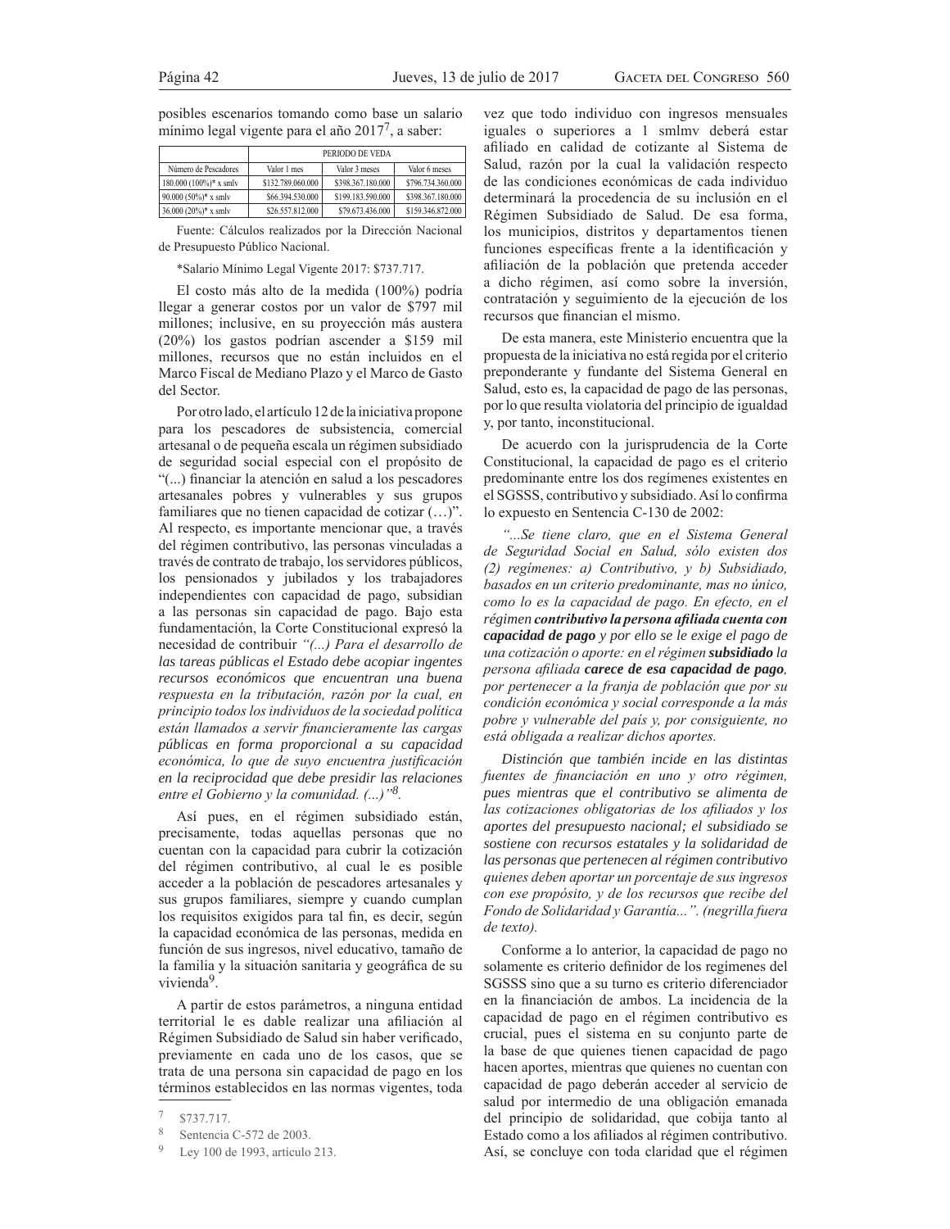posibles escenarios tomando como base un salario mínimo legal vigente para el año  $2017<sup>7</sup>$ , a saber:

|                          | PERIODO DE VEDA   |                   |                   |
|--------------------------|-------------------|-------------------|-------------------|
| Número de Pescadores     | Valor 1 mes       | Valor 3 meses     | Valor 6 meses     |
| $180.000(100\%)*$ x smlv | \$132,789,060,000 | \$398,367,180,000 | \$796.734.360.000 |
| 90.000 $(50\%)$ * x smlv | \$66,394,530,000  | \$199.183.590.000 | \$398,367,180,000 |
| 36.000 (20%)* x smlv     | \$26,557,812,000  | \$79,673,436,000  | \$159,346,872,000 |

Fuente: Cálculos realizados por la Dirección Nacional de Presupuesto Público Nacional.

\*Salario Mínimo Legal Vigente 2017: \$737.717.

El costo más alto de la medida (100%) podría llegar a generar costos por un valor de \$797 mil millones; inclusive, en su proyección más austera  $(20\%)$  los gastos podrían ascender a \$159 mil millones, recursos que no están incluidos en el Marco Fiscal de Mediano Plazo y el Marco de Gasto del Sector.

Por otro lado, el artículo 12 de la iniciativa propone para los pescadores de subsistencia, comercial artesanal o de pequeña escala un régimen subsidiado de seguridad social especial con el propósito de "(...) financiar la atención en salud a los pescadores artesanales pobres y vulnerables y sus grupos familiares que no tienen capacidad de cotizar  $(\ldots)$ ". Al respecto, es importante mencionar que, a través del régimen contributivo, las personas vinculadas a través de contrato de trabajo, los servidores públicos, los pensionados y jubilados y los trabajadores independientes con capacidad de pago, subsidian a las personas sin capacidad de pago. Bajo esta fundamentación, la Corte Constitucional expresó la necesidad de contribuir "(...) Para el desarrollo de *las tareas públicas el Estado debe acopiar ingentes recursos económicos que encuentran una buena*  respuesta en la tributación, razón por la cual, en *principio todos los individuos de la sociedad política* están llamados a servir financieramente las cargas *públicas en forma proporcional a su capacidad*  económica, lo que de suyo encuentra justificación *en la reciprocidad que debe presidir las relaciones entre el Gobierno y la comunidad.* (...)<sup>38</sup>.

Así pues, en el régimen subsidiado están, precisamente, todas aquellas personas que no cuentan con la capacidad para cubrir la cotización del régimen contributivo, al cual le es posible acceder a la población de pescadores artesanales y sus grupos familiares, siempre y cuando cumplan los requisitos exigidos para tal fin, es decir, según la capacidad económica de las personas, medida en función de sus ingresos, nivel educativo, tamaño de la familia y la situación sanitaria y geográfica de su vivienda<sup>9</sup>.

A partir de estos parámetros, a ninguna entidad territorial le es dable realizar una afiliación al Régimen Subsidiado de Salud sin haber verificado, previamente en cada uno de los casos, que se trata de una persona sin capacidad de pago en los términos establecidos en las normas vigentes, toda

vez que todo individuo con ingresos mensuales iguales o superiores a 1 smlmv deberá estar afiliado en calidad de cotizante al Sistema de Salud, razón por la cual la validación respecto de las condiciones económicas de cada individuo determinará la procedencia de su inclusión en el Régimen Subsidiado de Salud. De esa forma, los municipios, distritos y departamentos tienen funciones específicas frente a la identificación y afiliación de la población que pretenda acceder a dicho régimen, así como sobre la inversión, contratación y seguimiento de la ejecución de los recursos que financian el mismo.

De esta manera, este Ministerio encuentra que la propuesta de la iniciativa no está regida por el criterio preponderante y fundante del Sistema General en Salud, esto es, la capacidad de pago de las personas, por lo que resulta violatoria del principio de igualdad y, por tanto, inconstitucional.

De acuerdo con la jurisprudencia de la Corte Constitucional, la capacidad de pago es el criterio predominante entre los dos regímenes existentes en el SGSSS, contributivo y subsidiado. Así lo confirma lo expuesto en Sentencia C-130 de 2002:

*afflung Filtene claro, que en el Sistema General* de Seguridad Social en Salud, sólo existen dos (2) regimenes: a) Contributivo, y b) Subsidiado, basados en un criterio predominante, mas no único, *como lo es la capacidad de pago. En efecto, en el régimen contributivo la persona afiliada cuenta con capacidad de pago y por ello se le exige el pago de XQDFRWL]DFLyQRDSRUWHHQHOUpJLPHQsubsidiado la*  persona afiliada carece de esa capacidad de pago, *por pertenecer a la franja de población que por su condición económica y social corresponde a la más* pobre y vulnerable del país y, por consiguiente, no *está obligada a realizar dichos aportes.* 

*Distinción que también incide en las distintas*  fuentes de financiación en uno y otro régimen, *pues mientras que el contributivo se alimenta de*  las cotizaciones obligatorias de los afiliados y los *aportes del presupuesto nacional; el subsidiado se sostiene con recursos estatales y la solidaridad de las personas que pertenecen al régimen contributivo*  quienes deben aportar un porcentaje de sus ingresos *FRQ EXP propósito, y de los recursos que recibe del* Fondo de Solidaridad y Garantía...". (negrilla fuera de texto).

Conforme a lo anterior, la capacidad de pago no solamente es criterio definidor de los regímenes del SGSSS sino que a su turno es criterio diferenciador en la financiación de ambos. La incidencia de la capacidad de pago en el régimen contributivo es crucial, pues el sistema en su conjunto parte de la base de que quienes tienen capacidad de pago hacen aportes, mientras que quienes no cuentan con capacidad de pago deberán acceder al servicio de salud por intermedio de una obligación emanada del principio de solidaridad, que cobija tanto al Estado como a los afiliados al régimen contributivo. Así, se concluye con toda claridad que el régimen

 $7$  \$737.717.

<sup>8</sup> Sentencia C-572 de 2003.

<sup>9</sup> Ley 100 de 1993, artículo 213.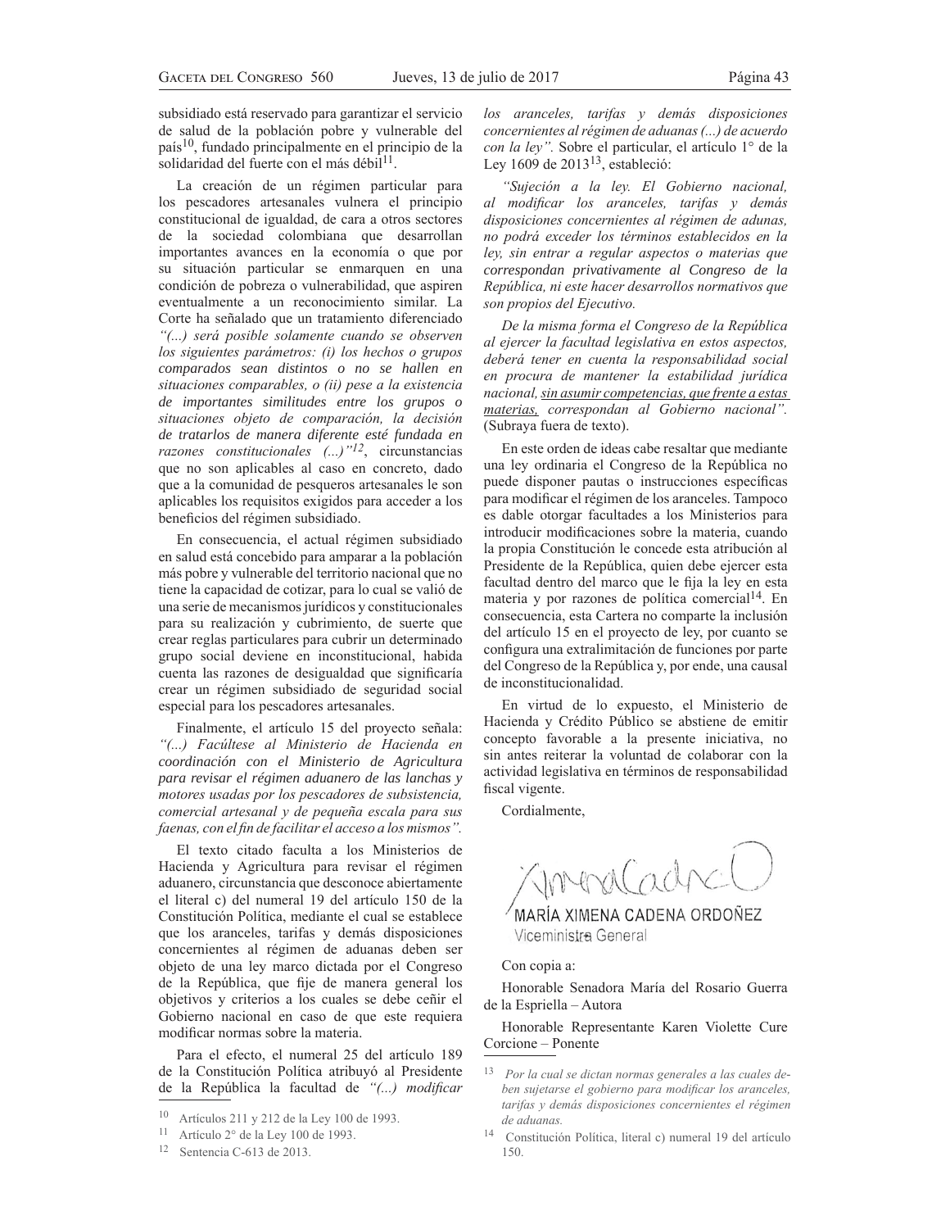subsidiado está reservado para garantizar el servicio de salud de la población pobre y vulnerable del país10, fundado principalmente en el principio de la solidaridad del fuerte con el más débil<sup>11</sup>.

La creación de un régimen particular para los pescadores artesanales vulnera el principio constitucional de igualdad, de cara a otros sectores de la sociedad colombiana que desarrollan importantes avances en la economía o que por su situación particular se enmarquen en una condición de pobreza o vulnerabilidad, que aspiren eventualmente a un reconocimiento similar. La Corte ha señalado que un tratamiento diferenciado *"(...)* será posible solamente cuando se observen *los siguientes parámetros: (i) los hechos o grupos comparados sean distintos o no se hallen en*  situaciones comparables, o (ii) pese a la existencia *de importantes similitudes entre los grupos o*  situaciones objeto de comparación, la decisión *de tratarlos de manera diferente esté fundada en razones constitucionales* (...)<sup>"12</sup>, circunstancias que no son aplicables al caso en concreto, dado que a la comunidad de pesqueros artesanales le son aplicables los requisitos exigidos para acceder a los beneficios del régimen subsidiado.

En consecuencia, el actual régimen subsidiado en salud está concebido para amparar a la población más pobre y vulnerable del territorio nacional que no tiene la capacidad de cotizar, para lo cual se valió de una serie de mecanismos jurídicos y constitucionales para su realización y cubrimiento, de suerte que crear reglas particulares para cubrir un determinado grupo social deviene en inconstitucional, habida cuenta las razones de desigualdad que significaría crear un régimen subsidiado de seguridad social especial para los pescadores artesanales.

Finalmente, el artículo 15 del proyecto señala: "(...) Facúltese al Ministerio de Hacienda en *coordinación con el Ministerio de Agricultura para revisar el régimen aduanero de las lanchas y <i>PROPINGB PRICIOS POS pescadores de subsistencia*, *comercial artesanal y de pequeña escala para sus faenas, con el fin de facilitar el acceso a los mismos".* 

El texto citado faculta a los Ministerios de Hacienda y Agricultura para revisar el régimen aduanero, circunstancia que desconoce abiertamente el literal c) del numeral 19 del artículo 150 de la Constitución Política, mediante el cual se establece que los aranceles, tarifas y demás disposiciones concernientes al régimen de aduanas deben ser objeto de una ley marco dictada por el Congreso de la República, que fije de manera general los objetivos y criterios a los cuales se debe ceñir el Gobierno nacional en caso de que este requiera modificar normas sobre la materia.

Para el efecto, el numeral 25 del artículo 189 de la Constitución Política atribuyó al Presidente de la República la facultad de "(...) modificar

12 Sentencia C-613 de 2013.

*los aranceles, tarifas y demás disposiciones concernientes al régimen de aduanas (...) de acuerdo con la ley*". Sobre el particular, el artículo 1° de la Ley 1609 de 2013 $13$ , estableció:

"Sujeción a la ley. El Gobierno nacional, al modificar los aranceles, tarifas y demás disposiciones concernientes al régimen de adunas, no podrá exceder los términos establecidos en la *ley, sin entrar a regular aspectos o materias que correspondan privativamente al Congreso de la*   $Rep'ublica$ , ni este hacer desarrollos normativos que *son propios del Ejecutivo.* 

De la misma forma el Congreso de la República *al ejercer la facultad legislativa en estos aspectos,* deberá tener en cuenta la responsabilidad social en procura de mantener la estabilidad jurídica *nacional, sin asumir competencias, que frente a estas <i>Phaterias, correspondan al Gobierno nacional*". (Subraya fuera de texto).

En este orden de ideas cabe resaltar que mediante una ley ordinaria el Congreso de la República no puede disponer pautas o instrucciones específicas para modificar el régimen de los aranceles. Tampoco es dable otorgar facultades a los Ministerios para introducir modificaciones sobre la materia, cuando la propia Constitución le concede esta atribución al Presidente de la República, quien debe ejercer esta facultad dentro del marco que le fija la ley en esta materia y por razones de política comercial $1^14$ . En consecuencia, esta Cartera no comparte la inclusión del artículo 15 en el proyecto de ley, por cuanto se configura una extralimitación de funciones por parte del Congreso de la República y, por ende, una causal de inconstitucionalidad.

En virtud de lo expuesto, el Ministerio de Hacienda y Crédito Público se abstiene de emitir concepto favorable a la presente iniciativa, no sin antes reiterar la voluntad de colaborar con la actividad legislativa en términos de responsabilidad fiscal vigente.

Cordialmente,

MARÍA XIMENA CADENA ORDONEZ Viceministr<del>a</del> General

### Con copia a:

Honorable Senadora María del Rosario Guerra de la Espriella – Autora

Honorable Representante Karen Violette Cure Corcione – Ponente

<sup>10</sup> Artículos 211 y 212 de la Ley 100 de 1993.

<sup>11</sup> Artículo 2° de la Ley 100 de 1993.

<sup>13</sup> Por la cual se dictan normas generales a las cuales deben sujetarse el gobierno para modificar los aranceles, tarifas y demás disposiciones concernientes el régimen *de aduanas*.

<sup>14</sup> Constitución Política, literal c) numeral 19 del artículo 150.